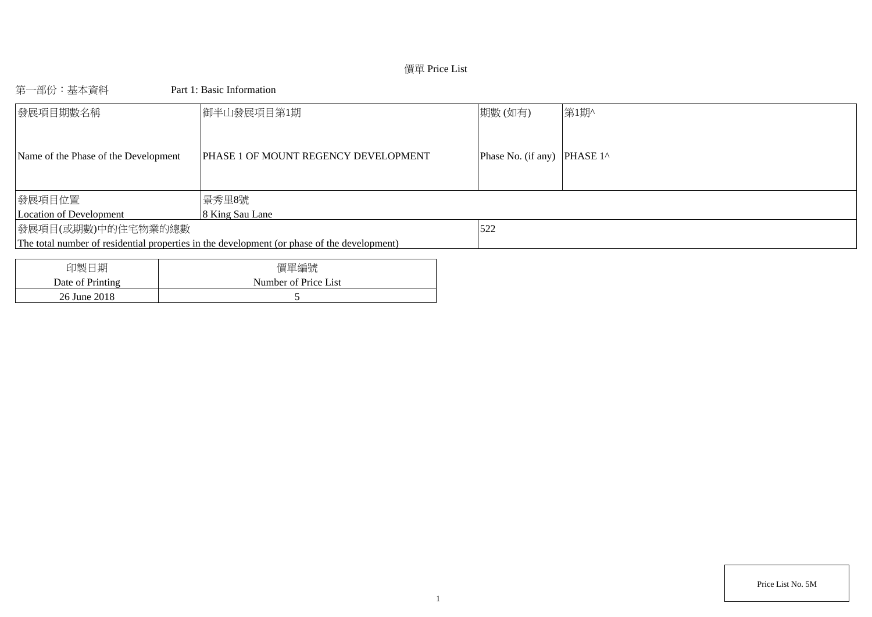## 價單 Price List

第一部份:基本資料 Part 1: Basic Information

| 發展項目期數名稱                             | 御半山發展項目第1期                                                                                  | 期數(如有)                                | 第1期^ |
|--------------------------------------|---------------------------------------------------------------------------------------------|---------------------------------------|------|
| Name of the Phase of the Development | PHASE 1 OF MOUNT REGENCY DEVELOPMENT                                                        | Phase No. (if any) PHASE $1^{\wedge}$ |      |
| 發展項目位置                               | 景秀里8號                                                                                       |                                       |      |
| Location of Development              | 8 King Sau Lane                                                                             |                                       |      |
| 發展項目(或期數)中的住宅物業的總數                   |                                                                                             | 522                                   |      |
|                                      | The total number of residential properties in the development (or phase of the development) |                                       |      |
|                                      |                                                                                             |                                       |      |
| 印製日期                                 | 價單編號                                                                                        |                                       |      |

| 印製目期             | 慣里編號                 |
|------------------|----------------------|
| Date of Printing | Number of Price List |
| 26 June 2018     |                      |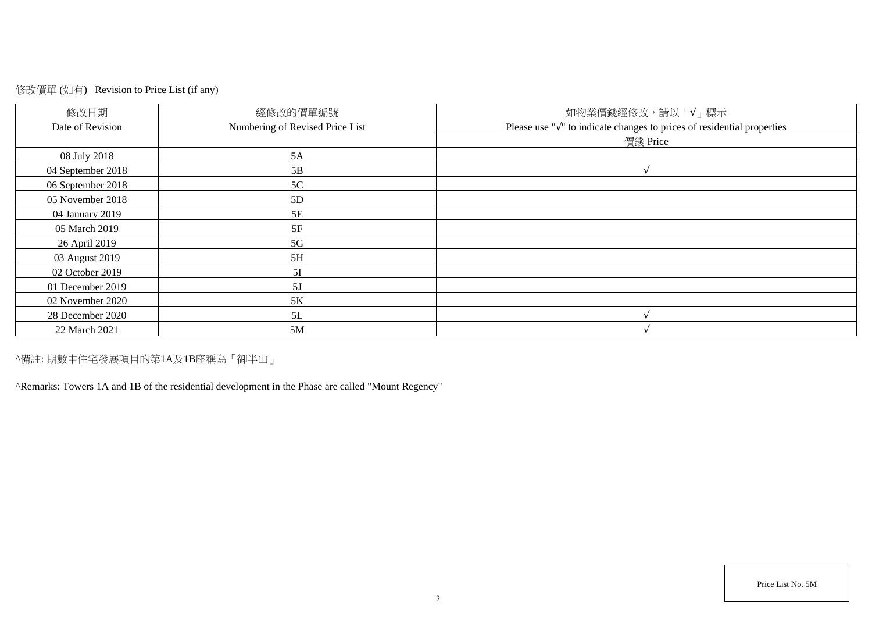# 修改價單 (如有) Revision to Price List (if any)

| 修改日期              | 經修改的價單編號                        | 如物業價錢經修改,請以「√」標示                                                                  |
|-------------------|---------------------------------|-----------------------------------------------------------------------------------|
| Date of Revision  | Numbering of Revised Price List | Please use " $\sqrt{ }$ " to indicate changes to prices of residential properties |
|                   |                                 | 價錢 Price                                                                          |
| 08 July 2018      | 5A                              |                                                                                   |
| 04 September 2018 | 5B                              |                                                                                   |
| 06 September 2018 | 5C                              |                                                                                   |
| 05 November 2018  | 5D                              |                                                                                   |
| 04 January 2019   | 5E                              |                                                                                   |
| 05 March 2019     | 5F                              |                                                                                   |
| 26 April 2019     | 5G                              |                                                                                   |
| 03 August 2019    | 5H                              |                                                                                   |
| 02 October 2019   | 5I                              |                                                                                   |
| 01 December 2019  | 5J                              |                                                                                   |
| 02 November 2020  | 5K                              |                                                                                   |
| 28 December 2020  | 5L                              |                                                                                   |
| 22 March 2021     | 5M                              |                                                                                   |

^備註: 期數中住宅發展項目的第1A及1B座稱為「御半山」

^Remarks: Towers 1A and 1B of the residential development in the Phase are called "Mount Regency"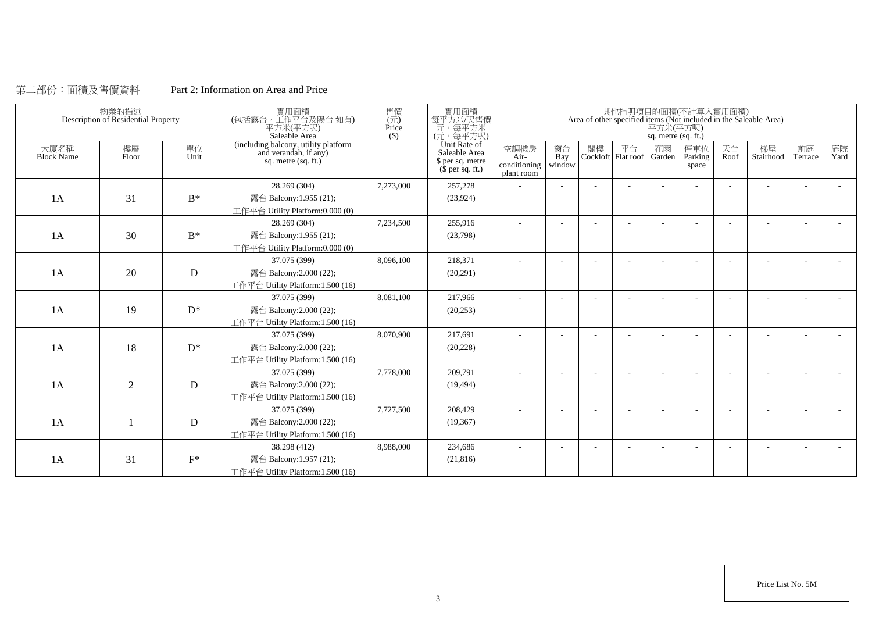## 第二部份:面積及售價資料 Part 2: Information on Area and Price

|                           | 物業的描述<br>Description of Residential Property |             | 實用面積<br>(包括露台,工作平台及陽台如有)<br>平方米(平方呎)<br>Saleable Area                                | 售價<br>$(\vec{\pi})$<br>Price<br>(S) | 實用面積<br>每平方米/呎售價<br>元,每平方米<br>(元,每平方呎)                                |                                            |                     |    |    | 平方米(平方呎)<br>sq. metre (sq. ft.) | 其他指明項目的面積(不計算入實用面積)     |            | Area of other specified items (Not included in the Saleable Area) |               |            |
|---------------------------|----------------------------------------------|-------------|--------------------------------------------------------------------------------------|-------------------------------------|-----------------------------------------------------------------------|--------------------------------------------|---------------------|----|----|---------------------------------|-------------------------|------------|-------------------------------------------------------------------|---------------|------------|
| 大廈名稱<br><b>Block Name</b> | 樓層<br>Floor                                  | 單位<br>Unit  | (including balcony, utility platform<br>and verandah, if any)<br>sq. metre (sq. ft.) |                                     | Unit Rate of<br>Saleable Area<br>\$ per sq. metre<br>$$$ per sq. ft.) | 空調機房<br>Air-<br>conditioning<br>plant room | 窗台<br>Bay<br>window | 閣樓 | 平台 | 花園<br>Cockloft Flat roof Garden | 停車位<br>Parking<br>space | 天台<br>Roof | 梯屋<br>Stairhood                                                   | 前庭<br>Terrace | 庭院<br>Yard |
|                           |                                              |             | 28.269 (304)                                                                         | 7,273,000                           | 257,278                                                               |                                            |                     |    |    |                                 |                         |            |                                                                   |               |            |
| 1A                        | 31                                           | $B^*$       | 露台 Balcony:1.955 (21);                                                               |                                     | (23, 924)                                                             |                                            |                     |    |    |                                 |                         |            |                                                                   |               |            |
|                           |                                              |             | 工作平台 Utility Platform:0.000 (0)                                                      |                                     |                                                                       |                                            |                     |    |    |                                 |                         |            |                                                                   |               |            |
|                           |                                              |             | 28.269 (304)                                                                         | 7,234,500                           | 255,916                                                               | ÷                                          | $\sim$              |    |    |                                 |                         | ÷          |                                                                   | $\sim$        | $\sim$     |
| 1A                        | 30                                           | $B^*$       | 露台 Balcony:1.955 (21);                                                               |                                     | (23,798)                                                              |                                            |                     |    |    |                                 |                         |            |                                                                   |               |            |
|                           |                                              |             | 工作平台 Utility Platform: 0.000 (0)                                                     |                                     |                                                                       |                                            |                     |    |    |                                 |                         |            |                                                                   |               |            |
|                           |                                              |             | 37.075 (399)                                                                         | 8,096,100                           | 218,371                                                               | ÷                                          |                     |    |    |                                 |                         |            |                                                                   |               |            |
| 1A                        | 20                                           | $\mathbf D$ | 露台 Balcony:2.000 (22);                                                               |                                     | (20,291)                                                              |                                            |                     |    |    |                                 |                         |            |                                                                   |               |            |
|                           |                                              |             | 工作平台 Utility Platform:1.500 (16)                                                     |                                     |                                                                       |                                            |                     |    |    |                                 |                         |            |                                                                   |               |            |
|                           |                                              |             | 37.075 (399)                                                                         | 8,081,100                           | 217,966                                                               |                                            |                     |    |    |                                 |                         | ٠          |                                                                   |               |            |
| 1A                        | 19                                           | $D^*$       | 露台 Balcony:2.000 (22);                                                               |                                     | (20, 253)                                                             |                                            |                     |    |    |                                 |                         |            |                                                                   |               |            |
|                           |                                              |             | 工作平台 Utility Platform:1.500 (16)                                                     |                                     |                                                                       |                                            |                     |    |    |                                 |                         |            |                                                                   |               |            |
|                           |                                              |             | 37.075 (399)                                                                         | 8,070,900                           | 217,691                                                               | ٠                                          |                     |    |    |                                 |                         |            |                                                                   |               |            |
| 1A                        | 18                                           | $D^*$       | 露台 Balcony:2.000 (22);                                                               |                                     | (20, 228)                                                             |                                            |                     |    |    |                                 |                         |            |                                                                   |               |            |
|                           |                                              |             | 工作平台 Utility Platform:1.500 (16)                                                     |                                     |                                                                       |                                            |                     |    |    |                                 |                         |            |                                                                   |               |            |
|                           |                                              |             | 37.075 (399)                                                                         | 7,778,000                           | 209,791                                                               |                                            |                     |    |    |                                 |                         |            |                                                                   |               |            |
| 1A                        | $\overline{2}$                               | D           | 露台 Balcony:2.000 (22);                                                               |                                     | (19, 494)                                                             |                                            |                     |    |    |                                 |                         |            |                                                                   |               |            |
|                           |                                              |             | 工作平台 Utility Platform:1.500 (16)                                                     |                                     |                                                                       |                                            |                     |    |    |                                 |                         |            |                                                                   |               |            |
|                           |                                              |             | 37.075 (399)                                                                         | 7,727,500                           | 208,429                                                               |                                            |                     |    |    |                                 |                         |            |                                                                   |               |            |
| 1A                        |                                              | D           | 露台 Balcony:2.000 (22);                                                               |                                     | (19,367)                                                              |                                            |                     |    |    |                                 |                         |            |                                                                   |               |            |
|                           |                                              |             | 工作平台 Utility Platform:1.500 (16)                                                     |                                     |                                                                       |                                            |                     |    |    |                                 |                         |            |                                                                   |               |            |
|                           |                                              |             | 38.298 (412)                                                                         | 8,988,000                           | 234,686                                                               |                                            |                     |    |    |                                 |                         |            |                                                                   |               |            |
| 1A                        | 31                                           | $F^*$       | 露台 Balcony:1.957 (21);                                                               |                                     | (21, 816)                                                             |                                            |                     |    |    |                                 |                         |            |                                                                   |               |            |
|                           |                                              |             | 工作平台 Utility Platform:1.500 (16)                                                     |                                     |                                                                       |                                            |                     |    |    |                                 |                         |            |                                                                   |               |            |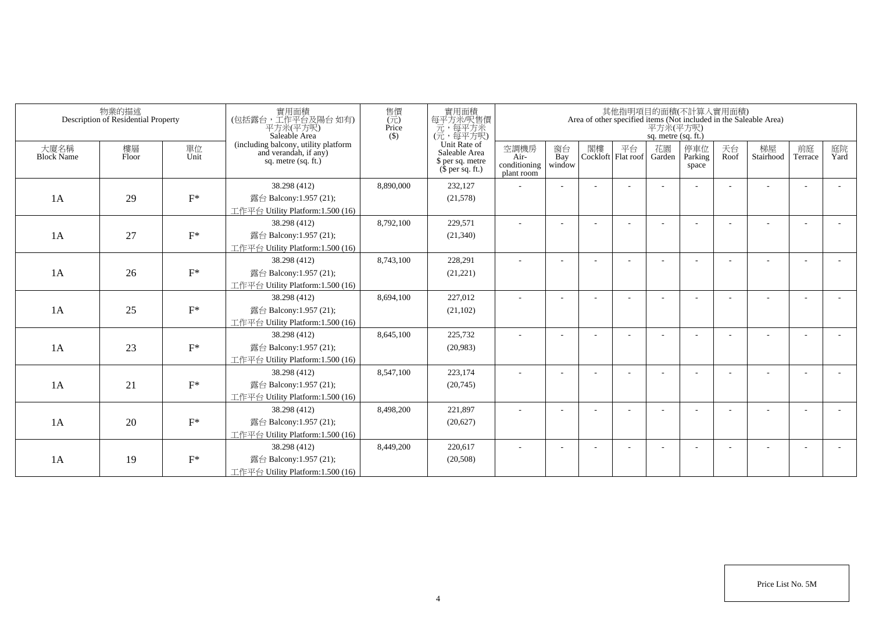|                           | 物業的描述<br>Description of Residential Property |            | 實用面積<br>(包括露台,工作平台及陽台如有)<br>平方米(平方呎)<br>Saleable Area                                  | 售價<br>$(\vec{\pi})$<br>Price<br>$($ \$) | 實用面積<br>每平方米/呎售價<br>一元,每平方米<br>(元,每平方呎)                               |                                            |                          |    |                          | 平方米(平方呎)<br>sq. metre (sq. ft.) | 其他指明項目的面積(不計算入實用面積)     |            | Area of other specified items (Not included in the Saleable Area) |                          |            |
|---------------------------|----------------------------------------------|------------|----------------------------------------------------------------------------------------|-----------------------------------------|-----------------------------------------------------------------------|--------------------------------------------|--------------------------|----|--------------------------|---------------------------------|-------------------------|------------|-------------------------------------------------------------------|--------------------------|------------|
| 大廈名稱<br><b>Block Name</b> | 樓層<br>Floor                                  | 單位<br>Unit | (including balcony, utility platform<br>and verandah, if any)<br>sq. metre $(sq, ft.)$ |                                         | Unit Rate of<br>Saleable Area<br>\$ per sq. metre<br>$$$ per sq. ft.) | 空調機房<br>Air-<br>conditioning<br>plant room | 窗台<br>Bay<br>window      | 閣樓 | 平台<br>Cockloft Flat roof | 花園<br>Garden                    | 停車位<br>Parking<br>space | 天台<br>Roof | 梯屋<br>Stairhood                                                   | 前庭<br>Terrace            | 庭院<br>Yard |
|                           |                                              |            | 38.298 (412)                                                                           | 8,890,000                               | 232,127                                                               |                                            |                          |    |                          |                                 |                         |            |                                                                   |                          |            |
| 1A                        | 29                                           | $F^*$      | 露台 Balcony:1.957 (21);                                                                 |                                         | (21,578)                                                              |                                            |                          |    |                          |                                 |                         |            |                                                                   |                          |            |
|                           |                                              |            | 工作平台 Utility Platform:1.500 (16)                                                       |                                         |                                                                       |                                            |                          |    |                          |                                 |                         |            |                                                                   |                          |            |
|                           |                                              |            | 38.298 (412)                                                                           | 8,792,100                               | 229,571                                                               |                                            |                          |    |                          |                                 |                         |            |                                                                   |                          |            |
| 1A                        | 27                                           | $F^*$      | 露台 Balcony:1.957 (21);                                                                 |                                         | (21,340)                                                              |                                            |                          |    |                          |                                 |                         |            |                                                                   |                          |            |
|                           |                                              |            | 工作平台 Utility Platform:1.500 (16)                                                       |                                         |                                                                       |                                            |                          |    |                          |                                 |                         |            |                                                                   |                          |            |
|                           |                                              |            | 38.298 (412)                                                                           | 8,743,100                               | 228,291                                                               | ٠                                          | $\overline{\phantom{a}}$ |    |                          |                                 |                         |            |                                                                   | $\overline{\phantom{a}}$ |            |
| 1A                        | 26                                           | $F^*$      | 露台 Balcony:1.957 (21);                                                                 |                                         | (21, 221)                                                             |                                            |                          |    |                          |                                 |                         |            |                                                                   |                          |            |
|                           |                                              |            | 工作平台 Utility Platform: 1.500 (16)                                                      |                                         |                                                                       |                                            |                          |    |                          |                                 |                         |            |                                                                   |                          |            |
|                           |                                              |            | 38.298 (412)                                                                           | 8,694,100                               | 227,012                                                               |                                            |                          |    |                          |                                 |                         |            |                                                                   |                          |            |
| 1A                        | 25                                           | $F^*$      | 露台 Balcony:1.957 (21);                                                                 |                                         | (21, 102)                                                             |                                            |                          |    |                          |                                 |                         |            |                                                                   |                          |            |
|                           |                                              |            | 工作平台 Utility Platform: 1.500 (16)                                                      |                                         |                                                                       |                                            |                          |    |                          |                                 |                         |            |                                                                   |                          |            |
|                           |                                              |            | 38.298 (412)                                                                           | 8,645,100                               | 225,732                                                               | ٠                                          |                          |    |                          |                                 |                         |            |                                                                   |                          |            |
| 1A                        | 23                                           | $F^*$      | 露台 Balcony:1.957 (21);                                                                 |                                         | (20,983)                                                              |                                            |                          |    |                          |                                 |                         |            |                                                                   |                          |            |
|                           |                                              |            | 工作平台 Utility Platform:1.500 (16)                                                       |                                         |                                                                       |                                            |                          |    |                          |                                 |                         |            |                                                                   |                          |            |
|                           |                                              |            | 38.298 (412)                                                                           | 8,547,100                               | 223,174                                                               |                                            |                          |    |                          |                                 |                         |            |                                                                   |                          |            |
| 1A                        | 21                                           | $F^*$      | 露台 Balcony:1.957 (21);                                                                 |                                         | (20,745)                                                              |                                            |                          |    |                          |                                 |                         |            |                                                                   |                          |            |
|                           |                                              |            | 工作平台 Utility Platform: 1.500 (16)                                                      |                                         |                                                                       |                                            |                          |    |                          |                                 |                         |            |                                                                   |                          |            |
|                           |                                              |            | 38.298 (412)                                                                           | 8,498,200                               | 221,897                                                               |                                            |                          |    |                          |                                 |                         |            |                                                                   | $\overline{\phantom{a}}$ |            |
| 1A                        | 20                                           | $F^*$      | 露台 Balcony:1.957 (21);                                                                 |                                         | (20,627)                                                              |                                            |                          |    |                          |                                 |                         |            |                                                                   |                          |            |
|                           |                                              |            | 工作平台 Utility Platform: 1.500 (16)                                                      |                                         |                                                                       |                                            |                          |    |                          |                                 |                         |            |                                                                   |                          |            |
|                           |                                              |            | 38.298 (412)                                                                           | 8,449,200                               | 220,617                                                               |                                            |                          |    |                          |                                 |                         |            |                                                                   | <b>.</b>                 |            |
| 1A                        | 19                                           | $F^*$      | 露台 Balcony:1.957 (21);                                                                 |                                         | (20, 508)                                                             |                                            |                          |    |                          |                                 |                         |            |                                                                   |                          |            |
|                           |                                              |            | 工作平台 Utility Platform:1.500 (16)                                                       |                                         |                                                                       |                                            |                          |    |                          |                                 |                         |            |                                                                   |                          |            |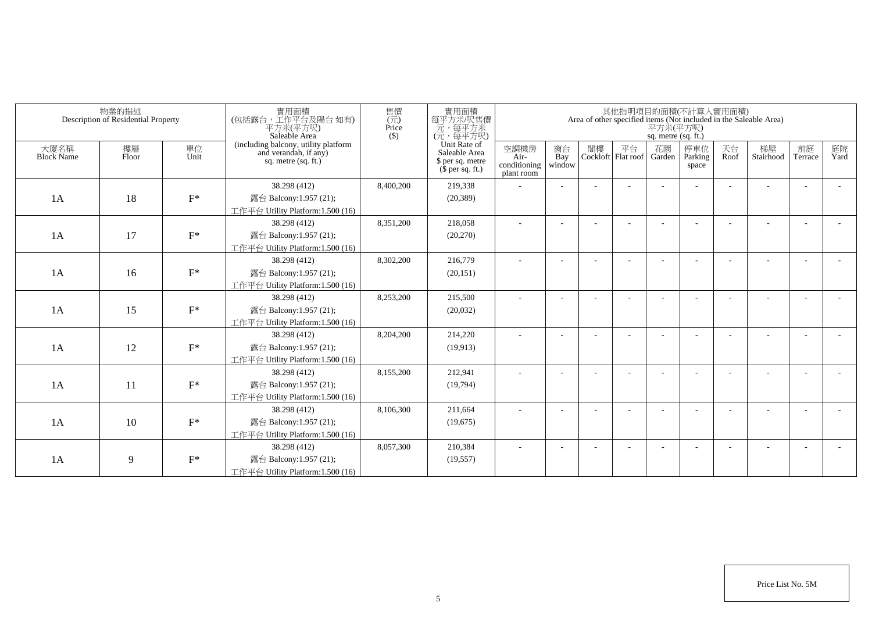|                           | 物業的描述<br>Description of Residential Property |            | 實用面積<br>(包括露台,工作平台及陽台 如有)<br>平方米(平方呎)<br>Saleable Area                                 | 售價<br>$(\vec{\pi})$<br>Price<br>$($ \$) | 實用面積<br>每平方米/呎售價<br>一元,每平方米<br>(元,每平方呎)                               |                                            |                          |    |                          | 平方米(平方呎)<br>sq. metre (sq. ft.) | 其他指明項目的面積(不計算入實用面積)     |            | Area of other specified items (Not included in the Saleable Area) |                          |            |
|---------------------------|----------------------------------------------|------------|----------------------------------------------------------------------------------------|-----------------------------------------|-----------------------------------------------------------------------|--------------------------------------------|--------------------------|----|--------------------------|---------------------------------|-------------------------|------------|-------------------------------------------------------------------|--------------------------|------------|
| 大廈名稱<br><b>Block Name</b> | 樓層<br>Floor                                  | 單位<br>Unit | (including balcony, utility platform<br>and verandah, if any)<br>sq. metre $(sq, ft.)$ |                                         | Unit Rate of<br>Saleable Area<br>\$ per sq. metre<br>$$$ per sq. ft.) | 空調機房<br>Air-<br>conditioning<br>plant room | 窗台<br>Bay<br>window      | 閣樓 | 平台<br>Cockloft Flat roof | 花園<br>Garden                    | 停車位<br>Parking<br>space | 天台<br>Roof | 梯屋<br>Stairhood                                                   | 前庭<br>Terrace            | 庭院<br>Yard |
|                           |                                              |            | 38.298 (412)                                                                           | 8,400,200                               | 219,338                                                               |                                            |                          |    |                          |                                 |                         |            |                                                                   |                          |            |
| 1A                        | 18                                           | $F^*$      | 露台 Balcony:1.957 (21);                                                                 |                                         | (20, 389)                                                             |                                            |                          |    |                          |                                 |                         |            |                                                                   |                          |            |
|                           |                                              |            | 工作平台 Utility Platform:1.500 (16)                                                       |                                         |                                                                       |                                            |                          |    |                          |                                 |                         |            |                                                                   |                          |            |
|                           |                                              |            | 38.298 (412)                                                                           | 8,351,200                               | 218,058                                                               |                                            |                          |    |                          |                                 |                         |            |                                                                   |                          |            |
| 1A                        | 17                                           | $F^*$      | 露台 Balcony:1.957 (21);                                                                 |                                         | (20,270)                                                              |                                            |                          |    |                          |                                 |                         |            |                                                                   |                          |            |
|                           |                                              |            | 工作平台 Utility Platform:1.500 (16)                                                       |                                         |                                                                       |                                            |                          |    |                          |                                 |                         |            |                                                                   |                          |            |
|                           |                                              |            | 38.298 (412)                                                                           | 8,302,200                               | 216,779                                                               | ٠                                          | $\overline{\phantom{a}}$ |    |                          |                                 |                         |            |                                                                   | $\overline{\phantom{a}}$ |            |
| 1A                        | 16                                           | $F^*$      | 露台 Balcony:1.957 (21);                                                                 |                                         | (20, 151)                                                             |                                            |                          |    |                          |                                 |                         |            |                                                                   |                          |            |
|                           |                                              |            | 工作平台 Utility Platform: 1.500 (16)                                                      |                                         |                                                                       |                                            |                          |    |                          |                                 |                         |            |                                                                   |                          |            |
|                           |                                              |            | 38.298 (412)                                                                           | 8,253,200                               | 215,500                                                               |                                            |                          |    |                          |                                 |                         |            |                                                                   |                          |            |
| 1A                        | 15                                           | $F^*$      | 露台 Balcony:1.957 (21);                                                                 |                                         | (20,032)                                                              |                                            |                          |    |                          |                                 |                         |            |                                                                   |                          |            |
|                           |                                              |            | 工作平台 Utility Platform: 1.500 (16)                                                      |                                         |                                                                       |                                            |                          |    |                          |                                 |                         |            |                                                                   |                          |            |
|                           |                                              |            | 38.298 (412)                                                                           | 8,204,200                               | 214,220                                                               | ä,                                         |                          |    |                          |                                 |                         |            |                                                                   |                          |            |
| 1A                        | 12                                           | $F^*$      | 露台 Balcony:1.957 (21);                                                                 |                                         | (19,913)                                                              |                                            |                          |    |                          |                                 |                         |            |                                                                   |                          |            |
|                           |                                              |            | 工作平台 Utility Platform:1.500 (16)                                                       |                                         |                                                                       |                                            |                          |    |                          |                                 |                         |            |                                                                   |                          |            |
|                           |                                              |            | 38.298 (412)                                                                           | 8,155,200                               | 212,941                                                               |                                            |                          |    |                          |                                 |                         |            |                                                                   |                          |            |
| 1A                        | 11                                           | $F^*$      | 露台 Balcony:1.957 (21);                                                                 |                                         | (19,794)                                                              |                                            |                          |    |                          |                                 |                         |            |                                                                   |                          |            |
|                           |                                              |            | 工作平台 Utility Platform: 1.500 (16)                                                      |                                         |                                                                       |                                            |                          |    |                          |                                 |                         |            |                                                                   |                          |            |
|                           |                                              |            | 38.298 (412)                                                                           | 8,106,300                               | 211,664                                                               |                                            |                          |    |                          |                                 |                         |            |                                                                   | $\overline{\phantom{a}}$ |            |
| 1A                        | 10                                           | $F^*$      | 露台 Balcony:1.957 (21);                                                                 |                                         | (19,675)                                                              |                                            |                          |    |                          |                                 |                         |            |                                                                   |                          |            |
|                           |                                              |            | 工作平台 Utility Platform: 1.500 (16)                                                      |                                         |                                                                       |                                            |                          |    |                          |                                 |                         |            |                                                                   |                          |            |
|                           |                                              |            | 38.298 (412)                                                                           | 8,057,300                               | 210,384                                                               |                                            |                          |    |                          |                                 |                         |            |                                                                   | <b>.</b>                 |            |
| 1A                        | 9                                            | $F^*$      | 露台 Balcony:1.957 (21);                                                                 |                                         | (19, 557)                                                             |                                            |                          |    |                          |                                 |                         |            |                                                                   |                          |            |
|                           |                                              |            | 工作平台 Utility Platform:1.500 (16)                                                       |                                         |                                                                       |                                            |                          |    |                          |                                 |                         |            |                                                                   |                          |            |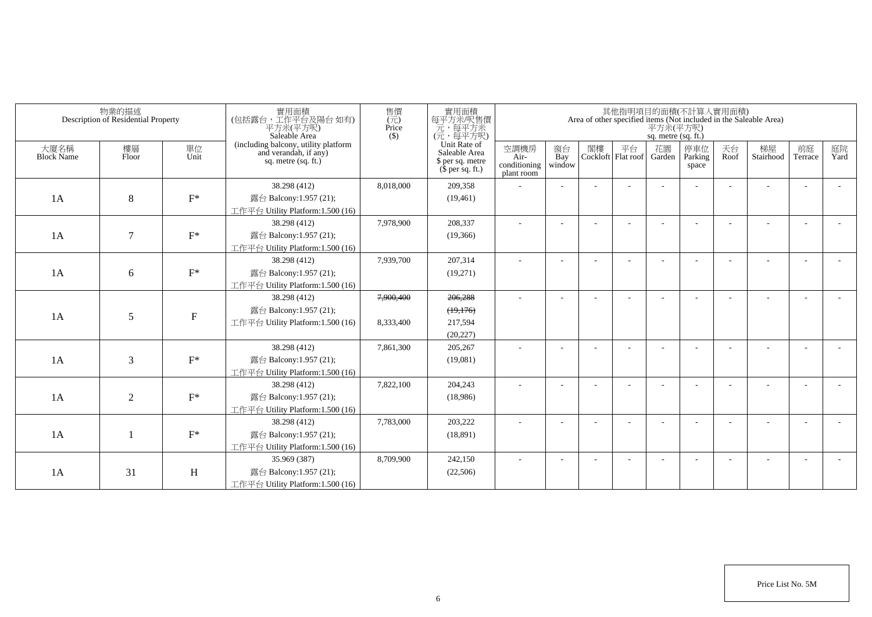|                           | 物業的描述<br>Description of Residential Property |                           | 實用面積<br>(包括露台,工作平台及陽台如有)<br>平方米(平方呎)<br>Saleable Area                                | 售價<br>$\overline{(\overline{\pi})}$<br>Price<br>$($ \$) | 實用面積<br>每平方米/呎售價<br>元,每平方米<br>(元,每平方呎)                                |                                            |                          |                             | 平方米(平方呎)<br>sq. metre (sq. ft.) | 其他指明項目的面積(不計算入實用面積)     |            | Area of other specified items (Not included in the Saleable Area) |                          |            |
|---------------------------|----------------------------------------------|---------------------------|--------------------------------------------------------------------------------------|---------------------------------------------------------|-----------------------------------------------------------------------|--------------------------------------------|--------------------------|-----------------------------|---------------------------------|-------------------------|------------|-------------------------------------------------------------------|--------------------------|------------|
| 大廈名稱<br><b>Block Name</b> | 樓層<br>Floor                                  | 單位<br>Unit                | (including balcony, utility platform<br>and verandah, if any)<br>sq. metre (sq. ft.) |                                                         | Unit Rate of<br>Saleable Area<br>\$ per sq. metre<br>$$$ per sq. ft.) | 空調機房<br>Air-<br>conditioning<br>plant room | 窗台<br>Bay<br>window      | 閣樓 平台<br>Cockloft Flat roof | 花園<br>Garden                    | 停車位<br>Parking<br>space | 天台<br>Roof | 梯屋<br>Stairhood                                                   | 前庭<br>Terrace            | 庭院<br>Yard |
|                           |                                              |                           | 38.298 (412)                                                                         | 8,018,000                                               | 209.358                                                               |                                            |                          |                             |                                 |                         |            |                                                                   |                          |            |
| 1A                        | $\,8\,$                                      | $F^*$                     | 露台 Balcony:1.957 (21);                                                               |                                                         | (19, 461)                                                             |                                            |                          |                             |                                 |                         |            |                                                                   |                          |            |
|                           |                                              |                           | 工作平台 Utility Platform: $1.500(16)$                                                   |                                                         |                                                                       |                                            |                          |                             |                                 |                         |            |                                                                   |                          |            |
|                           |                                              |                           | 38.298 (412)                                                                         | 7,978,900                                               | 208,337                                                               |                                            | $\overline{\phantom{a}}$ |                             |                                 |                         |            |                                                                   | $\overline{\phantom{a}}$ |            |
| 1A                        | $\tau$                                       | $F^*$                     | 露台 Balcony:1.957 (21);                                                               |                                                         | (19,366)                                                              |                                            |                          |                             |                                 |                         |            |                                                                   |                          |            |
|                           |                                              |                           | 工作平台 Utility Platform:1.500 (16)                                                     |                                                         |                                                                       |                                            |                          |                             |                                 |                         |            |                                                                   |                          |            |
|                           |                                              |                           | 38.298 (412)                                                                         | 7,939,700                                               | 207,314                                                               |                                            | $\overline{\phantom{a}}$ |                             |                                 |                         |            |                                                                   | $\overline{\phantom{a}}$ |            |
| 1A                        | 6                                            | $F^*$                     | 露台 Balcony:1.957 (21);                                                               |                                                         | (19,271)                                                              |                                            |                          |                             |                                 |                         |            |                                                                   |                          |            |
|                           |                                              |                           | 工作平台 Utility Platform:1.500 (16)                                                     |                                                         |                                                                       |                                            |                          |                             |                                 |                         |            |                                                                   |                          |            |
|                           |                                              |                           | 38.298 (412)                                                                         | 7,900,400                                               | 206.288                                                               |                                            | $\overline{a}$           |                             |                                 |                         |            |                                                                   | $\overline{\phantom{a}}$ |            |
| 1A                        | 5                                            | $\boldsymbol{\mathrm{F}}$ | 露台 Balcony:1.957 (21);                                                               |                                                         | (19,176)                                                              |                                            |                          |                             |                                 |                         |            |                                                                   |                          |            |
|                           |                                              |                           | 工作平台 Utility Platform:1.500 (16)                                                     | 8,333,400                                               | 217,594                                                               |                                            |                          |                             |                                 |                         |            |                                                                   |                          |            |
|                           |                                              |                           |                                                                                      |                                                         | (20, 227)                                                             |                                            |                          |                             |                                 |                         |            |                                                                   |                          |            |
|                           |                                              |                           | 38.298 (412)                                                                         | 7,861,300                                               | 205,267                                                               |                                            |                          |                             |                                 |                         |            |                                                                   | $\overline{a}$           |            |
| 1A                        | 3                                            | $F^*$                     | 露台 Balcony:1.957 (21);                                                               |                                                         | (19,081)                                                              |                                            |                          |                             |                                 |                         |            |                                                                   |                          |            |
|                           |                                              |                           | 工作平台 Utility Platform:1.500 (16)                                                     |                                                         |                                                                       |                                            |                          |                             |                                 |                         |            |                                                                   |                          |            |
|                           |                                              |                           | 38.298 (412)                                                                         | 7,822,100                                               | 204,243                                                               |                                            |                          |                             |                                 |                         |            |                                                                   | ٠                        |            |
| 1A                        | $\overline{2}$                               | $F^*$                     | 露台 Balcony:1.957 (21);                                                               |                                                         | (18,986)                                                              |                                            |                          |                             |                                 |                         |            |                                                                   |                          |            |
|                           |                                              |                           | 工作平台 Utility Platform:1.500 (16)                                                     |                                                         |                                                                       |                                            |                          |                             |                                 |                         |            |                                                                   |                          |            |
|                           |                                              |                           | 38.298 (412)                                                                         | 7,783,000                                               | 203,222                                                               |                                            | $\overline{\phantom{a}}$ |                             |                                 |                         |            |                                                                   | $\overline{\phantom{a}}$ |            |
| 1A                        |                                              | $F^*$                     | 露台 Balcony:1.957 (21);                                                               |                                                         | (18, 891)                                                             |                                            |                          |                             |                                 |                         |            |                                                                   |                          |            |
|                           |                                              |                           | 工作平台 Utility Platform:1.500 (16)                                                     |                                                         |                                                                       |                                            |                          |                             |                                 |                         |            |                                                                   |                          |            |
|                           |                                              |                           | 35.969 (387)                                                                         | 8,709,900                                               | 242,150                                                               |                                            |                          |                             |                                 |                         |            |                                                                   |                          |            |
| 1A                        | 31                                           | H                         | 露台 Balcony:1.957 (21);                                                               |                                                         | (22,506)                                                              |                                            |                          |                             |                                 |                         |            |                                                                   |                          |            |
|                           |                                              |                           | 工作平台 Utility Platform: 1.500 (16)                                                    |                                                         |                                                                       |                                            |                          |                             |                                 |                         |            |                                                                   |                          |            |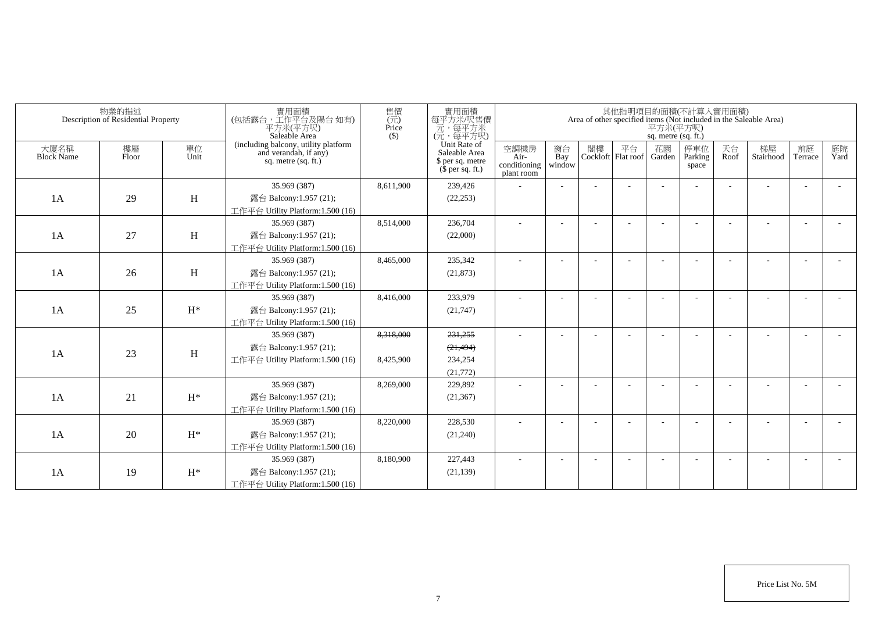|                           | 物業的描述<br>Description of Residential Property |                | 實用面積<br>(包括露台,工作平台及陽台如有)<br>平方米(平方呎)<br>Saleable Area                                | 售價<br>$\overline{(\overline{\pi})}$<br>Price<br>$($ \$) | 實用面積<br>每平方米/呎售價<br>一元<br>(元, 每平方米)<br>(元, 每平方呎)                      |                                            |                          |    |                          | 平方米(平方呎)<br>sq. metre (sq. ft.) | 其他指明項目的面積(不計算入實用面積)     |            | Area of other specified items (Not included in the Saleable Area) |                          |            |
|---------------------------|----------------------------------------------|----------------|--------------------------------------------------------------------------------------|---------------------------------------------------------|-----------------------------------------------------------------------|--------------------------------------------|--------------------------|----|--------------------------|---------------------------------|-------------------------|------------|-------------------------------------------------------------------|--------------------------|------------|
| 大廈名稱<br><b>Block Name</b> | 樓層<br>Floor                                  | 單位<br>Unit     | (including balcony, utility platform<br>and verandah, if any)<br>sq. metre (sq. ft.) |                                                         | Unit Rate of<br>Saleable Area<br>\$ per sq. metre<br>$$$ per sq. ft.) | 空調機房<br>Air-<br>conditioning<br>plant room | 窗台<br>Bay<br>window      | 閣樓 | 平台<br>Cockloft Flat roof | 花園<br>Garden                    | 停車位<br>Parking<br>space | 天台<br>Roof | 梯屋<br>Stairhood                                                   | 前庭<br>Terrace            | 庭院<br>Yard |
|                           |                                              |                | 35.969 (387)                                                                         | 8,611,900                                               | 239,426                                                               |                                            |                          |    |                          |                                 |                         |            |                                                                   |                          |            |
| 1A                        | 29                                           | H              | 露台 Balcony:1.957 (21);                                                               |                                                         | (22, 253)                                                             |                                            |                          |    |                          |                                 |                         |            |                                                                   |                          |            |
|                           |                                              |                | 工作平台 Utility Platform:1.500 (16)                                                     |                                                         |                                                                       |                                            |                          |    |                          |                                 |                         |            |                                                                   |                          |            |
|                           |                                              |                | 35.969 (387)                                                                         | 8,514,000                                               | 236,704                                                               |                                            |                          |    |                          |                                 |                         |            |                                                                   | $\overline{a}$           |            |
| 1A                        | 27                                           | H              | 露台 Balcony:1.957 (21);                                                               |                                                         | (22,000)                                                              |                                            |                          |    |                          |                                 |                         |            |                                                                   |                          |            |
|                           |                                              |                | 工作平台 Utility Platform:1.500 (16)                                                     |                                                         |                                                                       |                                            |                          |    |                          |                                 |                         |            |                                                                   |                          |            |
|                           |                                              |                | 35.969 (387)                                                                         | 8,465,000                                               | 235,342                                                               | ÷,                                         |                          |    |                          |                                 |                         |            |                                                                   |                          |            |
| 1A                        | 26                                           | H              | 露台 Balcony:1.957 (21);                                                               |                                                         | (21, 873)                                                             |                                            |                          |    |                          |                                 |                         |            |                                                                   |                          |            |
|                           |                                              |                | 工作平台 Utility Platform:1.500 (16)                                                     |                                                         |                                                                       |                                            |                          |    |                          |                                 |                         |            |                                                                   |                          |            |
|                           |                                              |                | 35.969 (387)                                                                         | 8,416,000                                               | 233,979                                                               |                                            | $\overline{\phantom{a}}$ |    |                          |                                 |                         |            |                                                                   |                          |            |
| 1A                        | 25                                           | $H^*$          | 露台 Balcony:1.957 (21);                                                               |                                                         | (21,747)                                                              |                                            |                          |    |                          |                                 |                         |            |                                                                   |                          |            |
|                           |                                              |                | 工作平台 Utility Platform:1.500 (16)                                                     |                                                         |                                                                       |                                            |                          |    |                          |                                 |                         |            |                                                                   |                          |            |
|                           |                                              |                | 35.969 (387)                                                                         | 8,318,000                                               | 231,255                                                               |                                            |                          |    |                          |                                 |                         |            |                                                                   |                          |            |
|                           |                                              |                | 露台 Balcony:1.957 (21);                                                               |                                                         | (21, 494)                                                             |                                            |                          |    |                          |                                 |                         |            |                                                                   |                          |            |
| 1A                        | 23                                           | H              | 工作平台 Utility Platform:1.500 (16)                                                     | 8,425,900                                               | 234,254                                                               |                                            |                          |    |                          |                                 |                         |            |                                                                   |                          |            |
|                           |                                              |                |                                                                                      |                                                         | (21,772)                                                              |                                            |                          |    |                          |                                 |                         |            |                                                                   |                          |            |
|                           |                                              |                | 35.969 (387)                                                                         | 8,269,000                                               | 229,892                                                               |                                            |                          |    |                          |                                 |                         |            |                                                                   | $\overline{\phantom{a}}$ |            |
| 1A                        | 21                                           | $H^*$          | 露台 Balcony:1.957 (21);                                                               |                                                         | (21, 367)                                                             |                                            |                          |    |                          |                                 |                         |            |                                                                   |                          |            |
|                           |                                              |                | 工作平台 Utility Platform: 1.500 (16)                                                    |                                                         |                                                                       |                                            |                          |    |                          |                                 |                         |            |                                                                   |                          |            |
|                           |                                              |                | 35.969 (387)                                                                         | 8,220,000                                               | 228,530                                                               |                                            |                          |    |                          |                                 |                         |            |                                                                   |                          |            |
| 1A                        | 20                                           | $\mathrm{H}^*$ | 露台 Balcony:1.957 (21);                                                               |                                                         | (21,240)                                                              |                                            |                          |    |                          |                                 |                         |            |                                                                   |                          |            |
|                           |                                              |                | 工作平台 Utility Platform:1.500 (16)                                                     |                                                         |                                                                       |                                            |                          |    |                          |                                 |                         |            |                                                                   |                          |            |
|                           |                                              |                | 35.969 (387)                                                                         | 8,180,900                                               | 227,443                                                               |                                            |                          |    |                          |                                 |                         |            |                                                                   |                          |            |
| 1A                        | 19                                           | $H^*$          | 露台 Balcony:1.957 (21);                                                               |                                                         | (21, 139)                                                             |                                            |                          |    |                          |                                 |                         |            |                                                                   |                          |            |
|                           |                                              |                | 工作平台 Utility Platform:1.500 (16)                                                     |                                                         |                                                                       |                                            |                          |    |                          |                                 |                         |            |                                                                   |                          |            |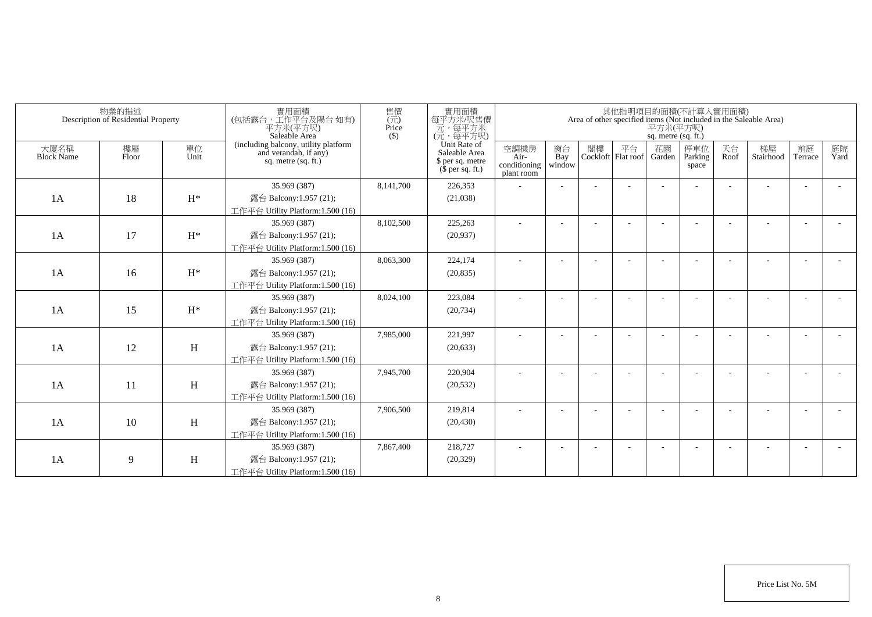|                           | 物業的描述<br>Description of Residential Property |            | 實用面積<br>(包括露台,工作平台及陽台 如有)<br>平方米(平方呎)<br>Saleable Area                                 | 售價<br>$(\vec{\pi})$<br>Price<br>$($ \$) | 實用面積<br>每平方米/呎售價<br>一元,每平方米<br>(元,每平方呎)                               |                                            |                          |    |                          | 平方米(平方呎)<br>sq. metre (sq. ft.) | 其他指明項目的面積(不計算入實用面積)     |            | Area of other specified items (Not included in the Saleable Area) |                          |            |
|---------------------------|----------------------------------------------|------------|----------------------------------------------------------------------------------------|-----------------------------------------|-----------------------------------------------------------------------|--------------------------------------------|--------------------------|----|--------------------------|---------------------------------|-------------------------|------------|-------------------------------------------------------------------|--------------------------|------------|
| 大廈名稱<br><b>Block Name</b> | 樓層<br>Floor                                  | 單位<br>Unit | (including balcony, utility platform<br>and verandah, if any)<br>sq. metre $(sq, ft.)$ |                                         | Unit Rate of<br>Saleable Area<br>\$ per sq. metre<br>$$$ per sq. ft.) | 空調機房<br>Air-<br>conditioning<br>plant room | 窗台<br>Bay<br>window      | 閣樓 | 平台<br>Cockloft Flat roof | 花園<br>Garden                    | 停車位<br>Parking<br>space | 天台<br>Roof | 梯屋<br>Stairhood                                                   | 前庭<br>Terrace            | 庭院<br>Yard |
|                           |                                              |            | 35.969 (387)                                                                           | 8,141,700                               | 226,353                                                               |                                            |                          |    |                          |                                 |                         |            |                                                                   |                          |            |
| 1A                        | 18                                           | $H^*$      | 露台 Balcony:1.957 (21);                                                                 |                                         | (21,038)                                                              |                                            |                          |    |                          |                                 |                         |            |                                                                   |                          |            |
|                           |                                              |            | 工作平台 Utility Platform:1.500 (16)                                                       |                                         |                                                                       |                                            |                          |    |                          |                                 |                         |            |                                                                   |                          |            |
|                           |                                              |            | 35.969 (387)                                                                           | 8,102,500                               | 225,263                                                               |                                            |                          |    |                          |                                 |                         |            |                                                                   |                          |            |
| 1A                        | 17                                           | $H^*$      | 露台 Balcony:1.957 (21);                                                                 |                                         | (20,937)                                                              |                                            |                          |    |                          |                                 |                         |            |                                                                   |                          |            |
|                           |                                              |            | 工作平台 Utility Platform:1.500 (16)                                                       |                                         |                                                                       |                                            |                          |    |                          |                                 |                         |            |                                                                   |                          |            |
|                           |                                              |            | 35.969 (387)                                                                           | 8,063,300                               | 224,174                                                               | ٠                                          | $\overline{\phantom{a}}$ |    |                          |                                 |                         |            |                                                                   | $\overline{\phantom{a}}$ |            |
| 1A                        | 16                                           | $H^*$      | 露台 Balcony:1.957 (21);                                                                 |                                         | (20, 835)                                                             |                                            |                          |    |                          |                                 |                         |            |                                                                   |                          |            |
|                           |                                              |            | 工作平台 Utility Platform:1.500 (16)                                                       |                                         |                                                                       |                                            |                          |    |                          |                                 |                         |            |                                                                   |                          |            |
|                           |                                              |            | 35.969 (387)                                                                           | 8,024,100                               | 223,084                                                               |                                            |                          |    |                          |                                 |                         |            |                                                                   |                          |            |
| 1A                        | 15                                           | $H^*$      | 露台 Balcony:1.957 (21);                                                                 |                                         | (20, 734)                                                             |                                            |                          |    |                          |                                 |                         |            |                                                                   |                          |            |
|                           |                                              |            | 工作平台 Utility Platform:1.500 (16)                                                       |                                         |                                                                       |                                            |                          |    |                          |                                 |                         |            |                                                                   |                          |            |
|                           |                                              |            | 35.969 (387)                                                                           | 7,985,000                               | 221,997                                                               |                                            |                          |    |                          |                                 |                         |            |                                                                   |                          |            |
| 1A                        | 12                                           | H          | 露台 Balcony:1.957 (21);                                                                 |                                         | (20, 633)                                                             |                                            |                          |    |                          |                                 |                         |            |                                                                   |                          |            |
|                           |                                              |            | 工作平台 Utility Platform:1.500 (16)                                                       |                                         |                                                                       |                                            |                          |    |                          |                                 |                         |            |                                                                   |                          |            |
|                           |                                              |            | 35.969 (387)                                                                           | 7,945,700                               | 220,904                                                               |                                            |                          |    |                          |                                 |                         |            |                                                                   |                          |            |
| 1A                        | 11                                           | H          | 露台 Balcony:1.957 (21);                                                                 |                                         | (20, 532)                                                             |                                            |                          |    |                          |                                 |                         |            |                                                                   |                          |            |
|                           |                                              |            | 工作平台 Utility Platform: 1.500 (16)                                                      |                                         |                                                                       |                                            |                          |    |                          |                                 |                         |            |                                                                   |                          |            |
|                           |                                              |            | 35.969 (387)                                                                           | 7,906,500                               | 219,814                                                               |                                            |                          |    |                          |                                 |                         |            |                                                                   | $\overline{\phantom{a}}$ |            |
| 1A                        | 10                                           | H          | 露台 Balcony:1.957 (21);                                                                 |                                         | (20, 430)                                                             |                                            |                          |    |                          |                                 |                         |            |                                                                   |                          |            |
|                           |                                              |            | 工作平台 Utility Platform: 1.500 (16)                                                      |                                         |                                                                       |                                            |                          |    |                          |                                 |                         |            |                                                                   |                          |            |
|                           |                                              |            | 35.969 (387)                                                                           | 7,867,400                               | 218,727                                                               |                                            |                          |    |                          |                                 |                         |            |                                                                   | ÷                        |            |
| 1A                        | 9                                            | H          | 露台 Balcony:1.957 (21);                                                                 |                                         | (20, 329)                                                             |                                            |                          |    |                          |                                 |                         |            |                                                                   |                          |            |
|                           |                                              |            | 工作平台 Utility Platform:1.500 (16)                                                       |                                         |                                                                       |                                            |                          |    |                          |                                 |                         |            |                                                                   |                          |            |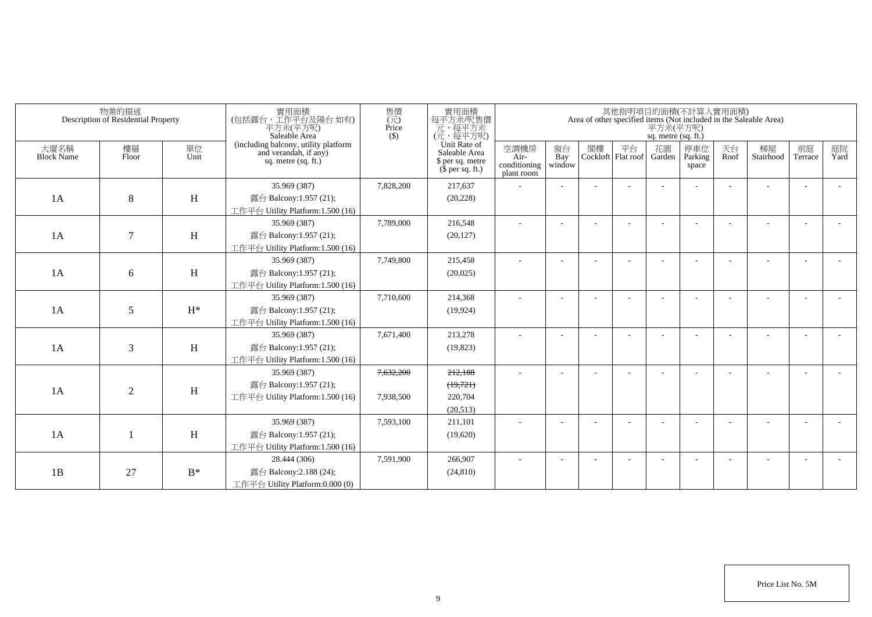|                           | 物業的描述<br>Description of Residential Property |            | 實用面積<br>(包括露台,工作平台及陽台如有)<br>平方米(平方呎)<br>Saleable Area                                | 售價<br>$\overline{(\overline{\pi})}$<br>Price<br>$($ \$) | 實用面積<br>每平方米/呎售價<br>一元<br>(元, 每平方米)<br>(元, 每平方呎)                      |                                            |                          |    |                          | sq. metre (sq. ft.) | 其他指明項目的面積(不計算入實用面積)     |            | Area of other specified items (Not included in the Saleable Area)<br>$\overline{P}$ $\overline{\mathcal{H}}$ $\mathcal{H}$ ( $\overline{P}$ $\overline{\mathcal{H}}$ ) |                          |            |
|---------------------------|----------------------------------------------|------------|--------------------------------------------------------------------------------------|---------------------------------------------------------|-----------------------------------------------------------------------|--------------------------------------------|--------------------------|----|--------------------------|---------------------|-------------------------|------------|------------------------------------------------------------------------------------------------------------------------------------------------------------------------|--------------------------|------------|
| 大廈名稱<br><b>Block Name</b> | 樓層<br>Floor                                  | 單位<br>Unit | (including balcony, utility platform<br>and verandah, if any)<br>sq. metre (sq. ft.) |                                                         | Unit Rate of<br>Saleable Area<br>\$ per sq. metre<br>$$$ per sq. ft.) | 空調機房<br>Air-<br>conditioning<br>plant room | 窗台<br>Bay<br>window      | 閣樓 | 平台<br>Cockloft Flat roof | 花園<br>Garden        | 停車位<br>Parking<br>space | 天台<br>Roof | 梯屋<br>Stairhood                                                                                                                                                        | 前庭<br>Terrace            | 庭院<br>Yard |
|                           |                                              |            | 35.969 (387)                                                                         | 7,828,200                                               | 217,637                                                               |                                            |                          |    |                          |                     |                         |            |                                                                                                                                                                        |                          |            |
| 1A                        | 8                                            | H          | 露台 Balcony:1.957 (21);                                                               |                                                         | (20, 228)                                                             |                                            |                          |    |                          |                     |                         |            |                                                                                                                                                                        |                          |            |
|                           |                                              |            | 工作平台 Utility Platform:1.500 (16)                                                     |                                                         |                                                                       |                                            |                          |    |                          |                     |                         |            |                                                                                                                                                                        |                          |            |
|                           |                                              |            | 35.969 (387)                                                                         | 7,789,000                                               | 216,548                                                               |                                            |                          |    |                          |                     |                         |            |                                                                                                                                                                        | $\overline{a}$           |            |
| 1A                        | $\tau$                                       | H          | 露台 Balcony:1.957 (21);                                                               |                                                         | (20, 127)                                                             |                                            |                          |    |                          |                     |                         |            |                                                                                                                                                                        |                          |            |
|                           |                                              |            | 工作平台 Utility Platform:1.500 (16)                                                     |                                                         |                                                                       |                                            |                          |    |                          |                     |                         |            |                                                                                                                                                                        |                          |            |
|                           |                                              |            | 35.969 (387)                                                                         | 7,749,800                                               | 215,458                                                               | ÷,                                         |                          |    |                          |                     |                         |            |                                                                                                                                                                        |                          |            |
| 1A                        | 6                                            | H          | 露台 Balcony:1.957 (21);                                                               |                                                         | (20,025)                                                              |                                            |                          |    |                          |                     |                         |            |                                                                                                                                                                        |                          |            |
|                           |                                              |            | 工作平台 Utility Platform:1.500 (16)                                                     |                                                         |                                                                       |                                            |                          |    |                          |                     |                         |            |                                                                                                                                                                        |                          |            |
|                           |                                              |            | 35.969 (387)                                                                         | 7,710,600                                               | 214,368                                                               |                                            | $\overline{\phantom{a}}$ |    |                          |                     |                         |            |                                                                                                                                                                        |                          |            |
| 1A                        | 5                                            | $H^*$      | 露台 Balcony:1.957 (21);                                                               |                                                         | (19, 924)                                                             |                                            |                          |    |                          |                     |                         |            |                                                                                                                                                                        |                          |            |
|                           |                                              |            | 工作平台 Utility Platform:1.500 (16)                                                     |                                                         |                                                                       |                                            |                          |    |                          |                     |                         |            |                                                                                                                                                                        |                          |            |
|                           |                                              |            | 35.969 (387)                                                                         | 7,671,400                                               | 213,278                                                               |                                            |                          |    |                          |                     |                         |            |                                                                                                                                                                        |                          |            |
| 1A                        | 3                                            | H          | 露台 Balcony:1.957 (21);                                                               |                                                         | (19, 823)                                                             |                                            |                          |    |                          |                     |                         |            |                                                                                                                                                                        |                          |            |
|                           |                                              |            | 工作平台 Utility Platform:1.500 (16)                                                     |                                                         |                                                                       |                                            |                          |    |                          |                     |                         |            |                                                                                                                                                                        |                          |            |
|                           |                                              |            | 35.969 (387)                                                                         | 7,632,200                                               | 212,188                                                               |                                            | $\overline{\phantom{a}}$ |    |                          |                     |                         |            |                                                                                                                                                                        | $\overline{\phantom{a}}$ |            |
|                           |                                              |            | 露台 Balcony:1.957 (21);                                                               |                                                         | (19,721)                                                              |                                            |                          |    |                          |                     |                         |            |                                                                                                                                                                        |                          |            |
| 1A                        | $\mathbf{2}$                                 | H          | 工作平台 Utility Platform:1.500 (16)                                                     | 7,938,500                                               | 220,704                                                               |                                            |                          |    |                          |                     |                         |            |                                                                                                                                                                        |                          |            |
|                           |                                              |            |                                                                                      |                                                         | (20,513)                                                              |                                            |                          |    |                          |                     |                         |            |                                                                                                                                                                        |                          |            |
|                           |                                              |            | 35.969 (387)                                                                         | 7,593,100                                               | 211,101                                                               |                                            |                          |    |                          |                     |                         |            |                                                                                                                                                                        |                          |            |
| 1A                        |                                              | H          | 露台 Balcony:1.957 (21);                                                               |                                                         | (19,620)                                                              |                                            |                          |    |                          |                     |                         |            |                                                                                                                                                                        |                          |            |
|                           |                                              |            | 工作平台 Utility Platform:1.500 (16)                                                     |                                                         |                                                                       |                                            |                          |    |                          |                     |                         |            |                                                                                                                                                                        |                          |            |
|                           |                                              |            | 28.444 (306)                                                                         | 7,591,900                                               | 266,907                                                               |                                            |                          |    |                          |                     |                         |            |                                                                                                                                                                        |                          |            |
| 1B                        | 27                                           | $B^*$      | 露台 Balcony: 2.188 (24);                                                              |                                                         | (24, 810)                                                             |                                            |                          |    |                          |                     |                         |            |                                                                                                                                                                        |                          |            |
|                           |                                              |            | 工作平台 Utility Platform:0.000 (0)                                                      |                                                         |                                                                       |                                            |                          |    |                          |                     |                         |            |                                                                                                                                                                        |                          |            |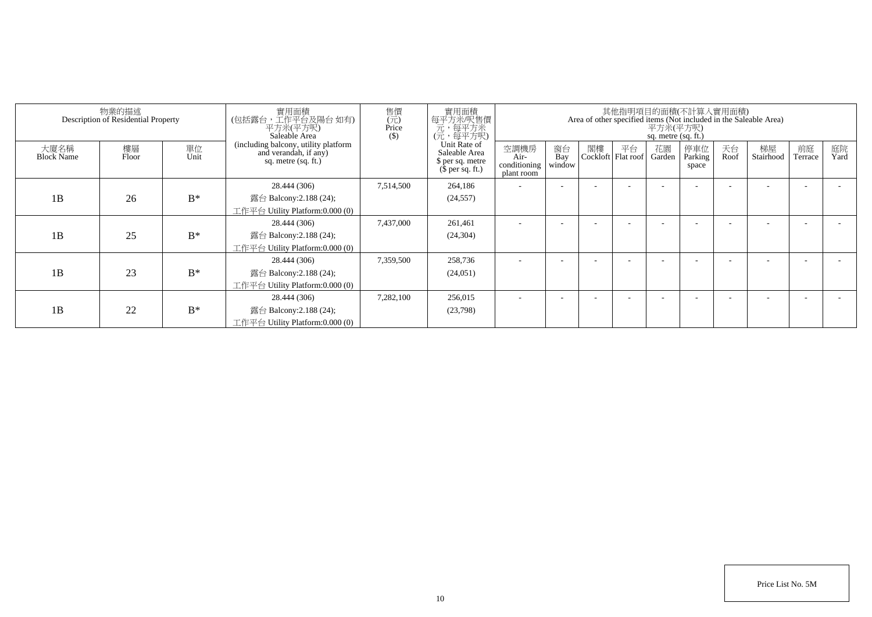|                           | 物業的描述<br>Description of Residential Property |            | 實用面積<br>(包括露台,工作平台及陽台 如有)<br>平方米(平方呎)<br>Saleable Area                               | 售價<br>$\overline{(\overline{\pi})}$<br>Price<br>$($)$ | 實用面積<br>每平方米/呎售價<br>元,每平方米<br>(元,每平方呎)                                |                                            |                     |    | 其他指明項目的面積(不計算入實用面積)        | 平方米(平方呎)<br>sq. metre (sq. ft.) |                         |            | Area of other specified items (Not included in the Saleable Area) |                      |            |
|---------------------------|----------------------------------------------|------------|--------------------------------------------------------------------------------------|-------------------------------------------------------|-----------------------------------------------------------------------|--------------------------------------------|---------------------|----|----------------------------|---------------------------------|-------------------------|------------|-------------------------------------------------------------------|----------------------|------------|
| 大廈名稱<br><b>Block Name</b> | 樓層<br>Floor                                  | 單位<br>Unit | (including balcony, utility platform<br>and verandah, if any)<br>sq. metre (sq. ft.) |                                                       | Unit Rate of<br>Saleable Area<br>\$ per sq. metre<br>$$per\$ sq. ft.) | 空調機房<br>Air-<br>conditioning<br>plant room | 窗台<br>Bay<br>window | 閣樓 | 平台<br>Cockloft   Flat roof | 花園<br>Garden                    | 停車位<br>Parking<br>space | 天台<br>Roof | 梯屋<br>Stairhood                                                   | 前庭<br><b>Terrace</b> | 庭院<br>Yard |
|                           |                                              |            | 28.444 (306)                                                                         | 7,514,500                                             | 264,186                                                               |                                            |                     |    |                            |                                 |                         |            |                                                                   |                      |            |
| 1B                        | 26                                           | $B^*$      | 露台 Balcony: $2.188(24)$ ;                                                            |                                                       | (24, 557)                                                             |                                            |                     |    |                            |                                 |                         |            |                                                                   |                      |            |
|                           |                                              |            | 工作平台 Utility Platform:0.000 (0)                                                      |                                                       |                                                                       |                                            |                     |    |                            |                                 |                         |            |                                                                   |                      |            |
|                           |                                              |            | 28.444 (306)                                                                         | 7,437,000                                             | 261,461                                                               |                                            |                     |    |                            |                                 |                         |            |                                                                   |                      |            |
| 1B                        | 25                                           | $B^*$      | 露台 Balcony: $2.188(24)$ ;                                                            |                                                       | (24, 304)                                                             |                                            |                     |    |                            |                                 |                         |            |                                                                   |                      |            |
|                           |                                              |            | 工作平台 Utility Platform:0.000 (0)                                                      |                                                       |                                                                       |                                            |                     |    |                            |                                 |                         |            |                                                                   |                      |            |
|                           |                                              |            | 28.444 (306)                                                                         | 7,359,500                                             | 258,736                                                               |                                            |                     |    |                            |                                 |                         |            |                                                                   |                      |            |
| 1B                        | 23                                           | $B^*$      | 露台 Balcony:2.188 (24);                                                               |                                                       | (24,051)                                                              |                                            |                     |    |                            |                                 |                         |            |                                                                   |                      |            |
|                           |                                              |            | 工作平台 Utility Platform:0.000 (0)                                                      |                                                       |                                                                       |                                            |                     |    |                            |                                 |                         |            |                                                                   |                      |            |
|                           |                                              |            | 28.444 (306)                                                                         | 7,282,100                                             | 256,015                                                               |                                            |                     |    |                            |                                 |                         |            |                                                                   |                      |            |
| 1B                        | 22                                           | $B^*$      | 露台 Balcony: $2.188(24)$ ;                                                            |                                                       | (23,798)                                                              |                                            |                     |    |                            |                                 |                         |            |                                                                   |                      |            |
|                           |                                              |            | 工作平台 Utility Platform:0.000 (0)                                                      |                                                       |                                                                       |                                            |                     |    |                            |                                 |                         |            |                                                                   |                      |            |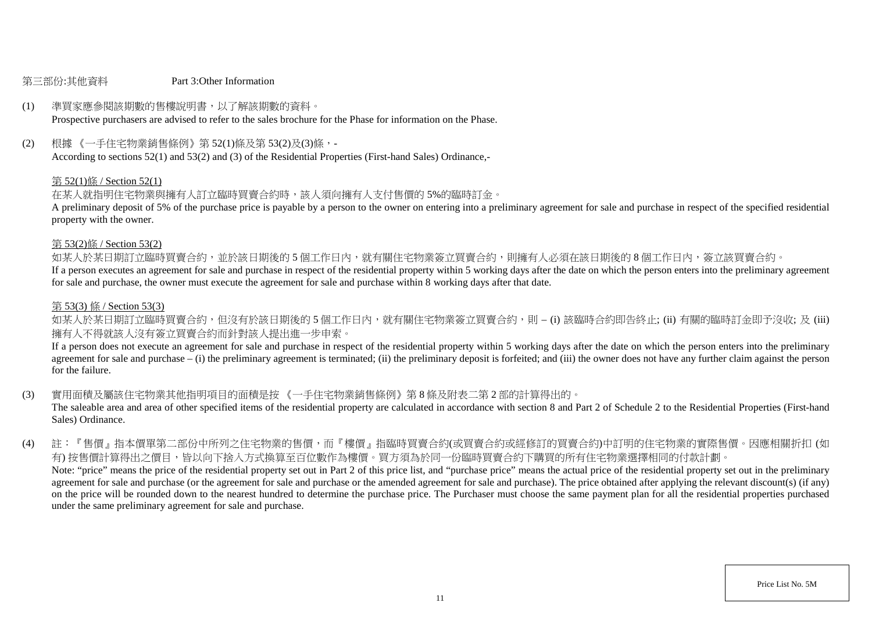#### 第三部份:其他資料 Part 3:Other Information

### (1) 準買家應參閱該期數的售樓說明書,以了解該期數的資料。

Prospective purchasers are advised to refer to the sales brochure for the Phase for information on the Phase.

(2) 根據 《一手住宅物業銷售條例》第 52(1)條及第 53(2)及(3)條,-

According to sections 52(1) and 53(2) and (3) of the Residential Properties (First-hand Sales) Ordinance,-

#### 第 52(1)條 / Section 52(1)

在某人就指明住宅物業與擁有人訂立臨時買賣合約時,該人須向擁有人支付售價的 5%的臨時訂金。

A preliminary deposit of 5% of the purchase price is payable by a person to the owner on entering into a preliminary agreement for sale and purchase in respect of the specified residential property with the owner.

#### 第 53(2)條 / Section 53(2)

如某人於某日期訂立臨時買賣合約,並於該日期後的 5 個工作日内,就有關住宅物業簽立買賣合約,則擁有人必須在該日期後的 8 個工作日内,簽立該買賣合約。

If a person executes an agreement for sale and purchase in respect of the residential property within 5 working days after the date on which the person enters into the preliminary agreement for sale and purchase, the owner must execute the agreement for sale and purchase within 8 working days after that date.

#### 第 53(3) 條 / Section 53(3)

如某人於某日期訂立臨時買賣合約,但沒有於該日期後的 5 個工作日内,就有關住宅物業簽立買賣合約,則 – (i) 該臨時合約即告終止; (ii) 有關的臨時訂金即予沒收; 及 (iii) 擁有人不得就該人沒有簽立買賣合約而針對該人提出進一步申索。

If a person does not execute an agreement for sale and purchase in respect of the residential property within 5 working days after the date on which the person enters into the preliminary agreement for sale and purchase – (i) the preliminary agreement is terminated; (ii) the preliminary deposit is forfeited; and (iii) the owner does not have any further claim against the person for the failure.

(3) 實用面積及屬該住宅物業其他指明項目的面積是按 《一手住宅物業銷售條例》第 8 條及附表二第 2 部的計算得出的。

The saleable area and area of other specified items of the residential property are calculated in accordance with section 8 and Part 2 of Schedule 2 to the Residential Properties (First-hand Sales) Ordinance.

(4) 註:『售價』指本價單第二部份中所列之住宅物業的售價,而『樓價』指臨時買賣合約(或買賣合約或經修訂的買賣合約)中訂明的住宅物業的實際售價。因應相關折扣 (如 有) 按售價計算得出之價目,皆以向下捨入方式換算至百位數作為樓價。買方須為於同一份臨時買賣合約下購買的所有住宅物業選擇相同的付款計劃。 Note: "price" means the price of the residential property set out in Part 2 of this price list, and "purchase price" means the actual price of the residential property set out in the preliminary agreement for sale and purchase (or the agreement for sale and purchase or the amended agreement for sale and purchase). The price obtained after applying the relevant discount(s) (if any) on the price will be rounded down to the nearest hundred to determine the purchase price. The Purchaser must choose the same payment plan for all the residential properties purchased under the same preliminary agreement for sale and purchase.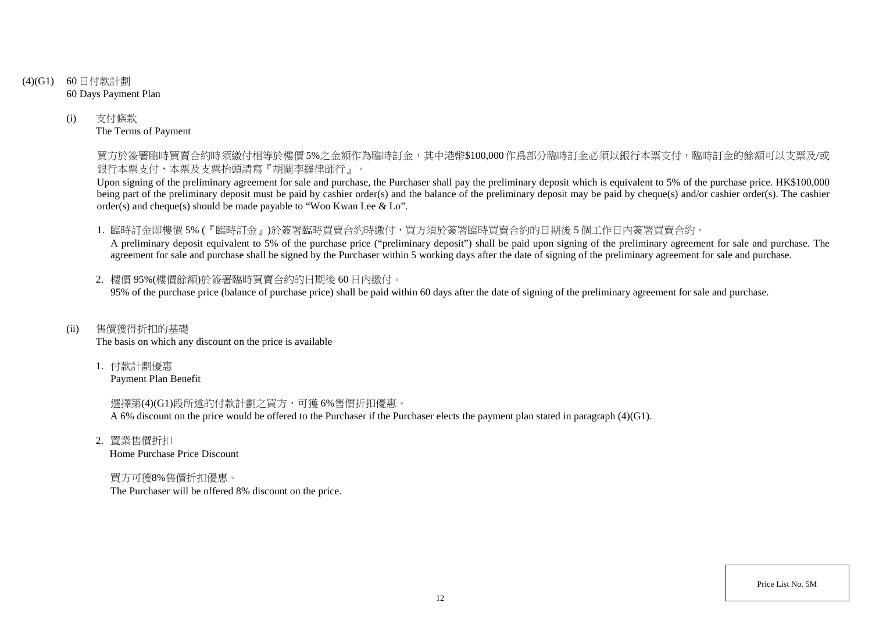- (4)(G1) 60 日付款計劃 60 Days Payment Plan
	- (i) 支付條款 The Terms of Payment

買方於簽署臨時買賣合約時須繳付相等於樓價 5%之金額作為臨時訂金,其中港幣\$100,000 作爲部分臨時訂金必須以銀行本票支付,臨時訂金的餘額可以支票及/或 銀行本票支付,本票及支票抬頭請寫『胡關李羅律師行』。

Upon signing of the preliminary agreement for sale and purchase, the Purchaser shall pay the preliminary deposit which is equivalent to 5% of the purchase price. HK\$100,000 being part of the preliminary deposit must be paid by cashier order(s) and the balance of the preliminary deposit may be paid by cheque(s) and/or cashier order(s). The cashier order(s) and cheque(s) should be made payable to "Woo Kwan Lee & Lo".

1. 臨時訂金即樓價 5% (『臨時訂金』)於簽署臨時買賣合約時繳付,買方須於簽署臨時買賣合約的日期後 5 個工作日內簽署買賣合約。

A preliminary deposit equivalent to 5% of the purchase price ("preliminary deposit") shall be paid upon signing of the preliminary agreement for sale and purchase. The agreement for sale and purchase shall be signed by the Purchaser within 5 working days after the date of signing of the preliminary agreement for sale and purchase.

2. 樓價 95%(樓價餘額)於簽署臨時買賣合約的日期後 60 日內繳付。 95% of the purchase price (balance of purchase price) shall be paid within 60 days after the date of signing of the preliminary agreement for sale and purchase.

(ii) 售價獲得折扣的基礎

The basis on which any discount on the price is available

1. 付款計劃優惠 Payment Plan Benefit

> 選擇第(4)(G1)段所述的付款計劃之買方,可獲 6%售價折扣優惠。 A 6% discount on the price would be offered to the Purchaser if the Purchaser elects the payment plan stated in paragraph (4)(G1).

2. 置業售價折扣 Home Purchase Price Discount

買方可獲8%售價折扣優惠。 The Purchaser will be offered 8% discount on the price.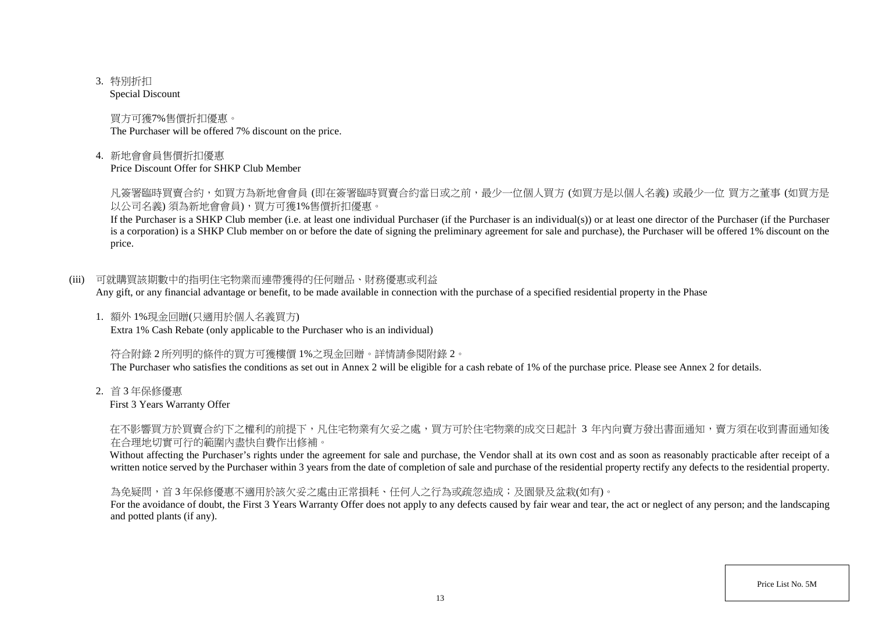3. 特別折扣

Special Discount

買方可獲7%售價折扣優惠。 The Purchaser will be offered 7% discount on the price.

4. 新地會會員售價折扣優惠

Price Discount Offer for SHKP Club Member

凡簽署臨時買賣合約,如買方為新地會會員 (即在簽署臨時買賣合約當日或之前,最少一位個人買方 (如買方是以個人名義) 或最少一位 買方之董事 (如買方是 以公司名義) 須為新地會會員),買方可獲1%售價折扣優惠。

If the Purchaser is a SHKP Club member (i.e. at least one individual Purchaser (if the Purchaser is an individual(s)) or at least one director of the Purchaser (if the Purchaser is a corporation) is a SHKP Club member on or before the date of signing the preliminary agreement for sale and purchase), the Purchaser will be offered 1% discount on the price.

(iii) 可就購買該期數中的指明住宅物業而連帶獲得的任何贈品、財務優惠或利益

Any gift, or any financial advantage or benefit, to be made available in connection with the purchase of a specified residential property in the Phase

1. 額外 1%現金回贈(只適用於個人名義買方) Extra 1% Cash Rebate (only applicable to the Purchaser who is an individual)

符合附錄 2 所列明的條件的買方可獲樓價 1%之現金回贈。詳情請參閱附錄 2。

The Purchaser who satisfies the conditions as set out in Annex 2 will be eligible for a cash rebate of 1% of the purchase price. Please see Annex 2 for details.

2. 首 3 年保修優惠

First 3 Years Warranty Offer

在不影響買方於買賣合約下之權利的前提下,凡住宅物業有欠妥之處,買方可於住宅物業的成交日起計 3 年內向賣方發出書面通知,賣方須在收到書面通知後 在合理地切實可行的範圍內盡快自費作出修補。

Without affecting the Purchaser's rights under the agreement for sale and purchase, the Vendor shall at its own cost and as soon as reasonably practicable after receipt of a written notice served by the Purchaser within 3 years from the date of completion of sale and purchase of the residential property rectify any defects to the residential property.

為免疑問,首 3 年保修優惠不適用於該欠妥之處由正常損耗、任何人之行為或疏忽造成;及園景及盆栽(如有)。

For the avoidance of doubt, the First 3 Years Warranty Offer does not apply to any defects caused by fair wear and tear, the act or neglect of any person; and the landscaping and potted plants (if any).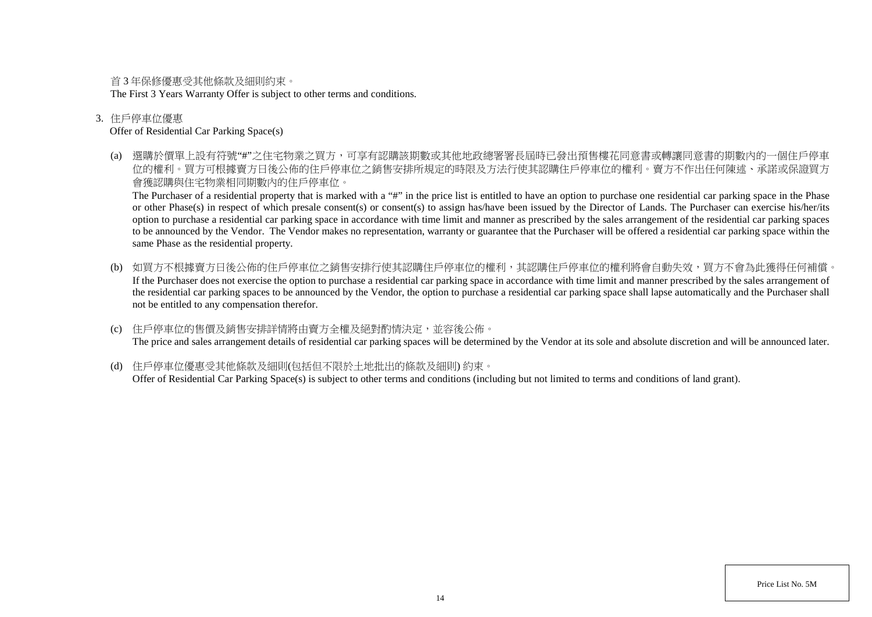首 3 年保修優惠受其他條款及細則約束。

The First 3 Years Warranty Offer is subject to other terms and conditions.

### 3. 住戶停車位優惠

#### Offer of Residential Car Parking Space(s)

(a) 選購於價單上設有符號"#"之住宅物業之買方,可享有認購該期數或其他地政總署署長屆時已發出預售樓花同意書或轉讓同意書的期數內的一個住戶停車 位的權利。買方可根據賣方日後公佈的住戶停車位之銷售安排所規定的時限及方法行使其認購住戶停車位的權利。賣方不作出任何陳述、承諾或保證買方 會獲認購與住宅物業相同期數內的住戶停車位。

The Purchaser of a residential property that is marked with a "#" in the price list is entitled to have an option to purchase one residential car parking space in the Phase or other Phase(s) in respect of which presale consent(s) or consent(s) to assign has/have been issued by the Director of Lands. The Purchaser can exercise his/her/its option to purchase a residential car parking space in accordance with time limit and manner as prescribed by the sales arrangement of the residential car parking spaces to be announced by the Vendor. The Vendor makes no representation, warranty or guarantee that the Purchaser will be offered a residential car parking space within the same Phase as the residential property.

- (b) 如買方不根據賣方日後公佈的住戶停車位之銷售安排行使其認購住戶停車位的權利,其認購住戶停車位的權利將會自動失效,買方不會為此獲得任何補償。 If the Purchaser does not exercise the option to purchase a residential car parking space in accordance with time limit and manner prescribed by the sales arrangement of the residential car parking spaces to be announced by the Vendor, the option to purchase a residential car parking space shall lapse automatically and the Purchaser shall not be entitled to any compensation therefor.
- (c) 住戶停車位的售價及銷售安排詳情將由賣方全權及絕對酌情決定,並容後公佈。 The price and sales arrangement details of residential car parking spaces will be determined by the Vendor at its sole and absolute discretion and will be announced later.
- (d) 住戶停車位優惠受其他條款及細則(包括但不限於土地批出的條款及細則) 約束。 Offer of Residential Car Parking Space(s) is subject to other terms and conditions (including but not limited to terms and conditions of land grant).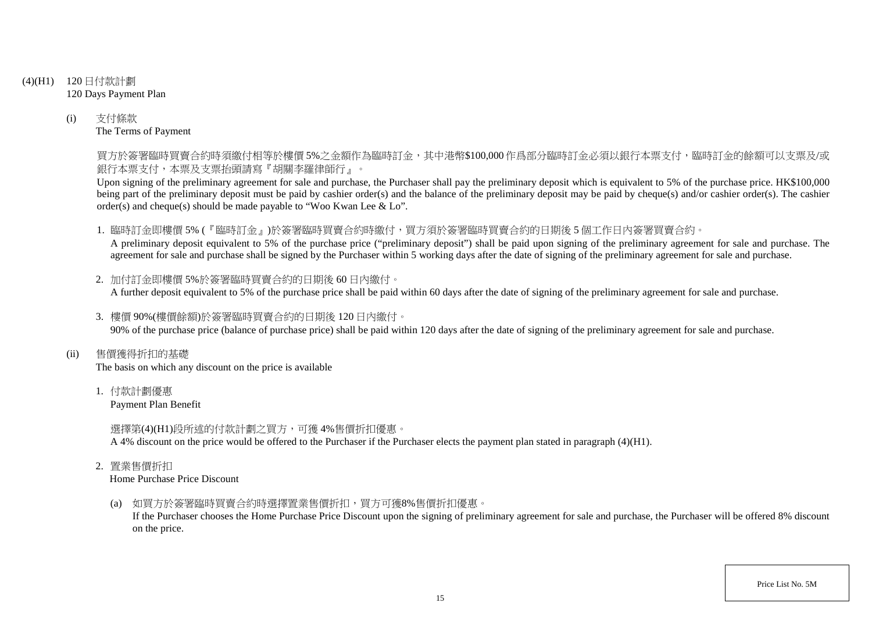- (4)(H1) 120 日付款計劃 120 Days Payment Plan
	- (i) 支付條款 The Terms of Payment

買方於簽署臨時買賣合約時須繳付相等於樓價 5%之金額作為臨時訂金,其中港幣\$100,000 作爲部分臨時訂金必須以銀行本票支付,臨時訂金的餘額可以支票及/或 銀行本票支付,本票及支票抬頭請寫『胡關李羅律師行』。

Upon signing of the preliminary agreement for sale and purchase, the Purchaser shall pay the preliminary deposit which is equivalent to 5% of the purchase price. HK\$100,000 being part of the preliminary deposit must be paid by cashier order(s) and the balance of the preliminary deposit may be paid by cheque(s) and/or cashier order(s). The cashier order(s) and cheque(s) should be made payable to "Woo Kwan Lee & Lo".

1. 臨時訂金即樓價 5% (『臨時訂金』)於簽署臨時買賣合約時繳付,買方須於簽署臨時買賣合約的日期後 5 個工作日內簽署買賣合約。

A preliminary deposit equivalent to 5% of the purchase price ("preliminary deposit") shall be paid upon signing of the preliminary agreement for sale and purchase. The agreement for sale and purchase shall be signed by the Purchaser within 5 working days after the date of signing of the preliminary agreement for sale and purchase.

- 2. 加付訂金即樓價 5%於簽署臨時買賣合約的日期後 60 日內繳付。 A further deposit equivalent to 5% of the purchase price shall be paid within 60 days after the date of signing of the preliminary agreement for sale and purchase.
- 3. 樓價 90%(樓價餘額)於簽署臨時買賣合約的日期後 120 日內繳付。 90% of the purchase price (balance of purchase price) shall be paid within 120 days after the date of signing of the preliminary agreement for sale and purchase.
- (ii) 售價獲得折扣的基礎

The basis on which any discount on the price is available

1. 付款計劃優惠

Payment Plan Benefit

選擇第(4)(H1)段所述的付款計劃之買方,可獲 4%售價折扣優惠。

A 4% discount on the price would be offered to the Purchaser if the Purchaser elects the payment plan stated in paragraph (4)(H1).

2. 置業售價折扣

Home Purchase Price Discount

(a) 如買方於簽署臨時買賣合約時選擇置業售價折扣,買方可獲8%售價折扣優惠。

If the Purchaser chooses the Home Purchase Price Discount upon the signing of preliminary agreement for sale and purchase, the Purchaser will be offered 8% discount on the price.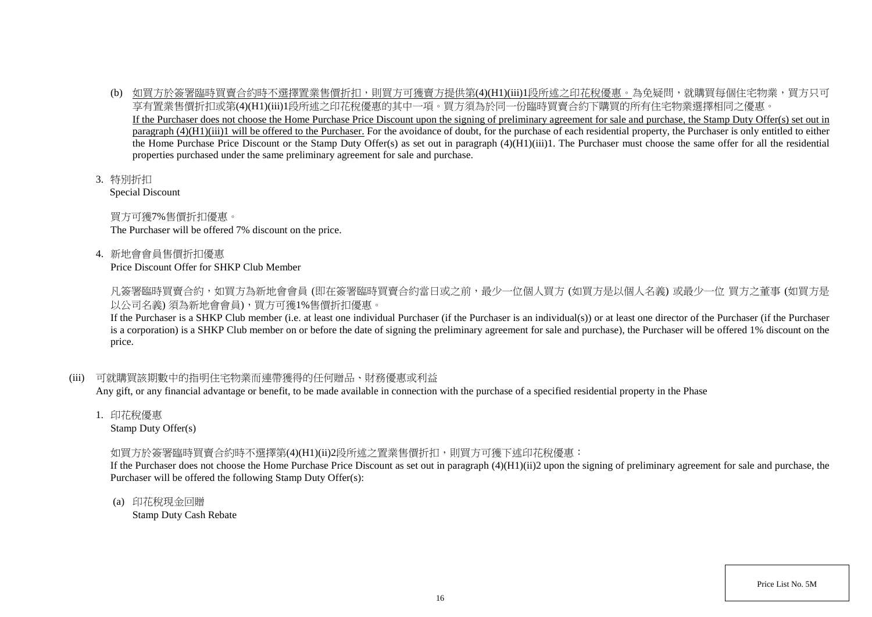- (b) 如買方於簽署臨時買賣合約時不選擇置業售價折扣,則買方可獲賣方提供第(4)(H1)(iii)1段所述之印花稅優惠。為免疑問,就購買每個住宅物業,買方只可 享有置業售價折扣或第(4)(H1)(iii)1段所述之印花稅優惠的其中一項。買方須為於同一份臨時買賣合約下購買的所有住宅物業選擇相同之優惠。 If the Purchaser does not choose the Home Purchase Price Discount upon the signing of preliminary agreement for sale and purchase, the Stamp Duty Offer(s) set out in paragraph (4)(H1)(iii)1 will be offered to the Purchaser. For the avoidance of doubt, for the purchase of each residential property, the Purchaser is only entitled to either the Home Purchase Price Discount or the Stamp Duty Offer(s) as set out in paragraph (4)(H1)(iii)1. The Purchaser must choose the same offer for all the residential properties purchased under the same preliminary agreement for sale and purchase.
- 3. 特別折扣

Special Discount

買方可獲7%售價折扣優惠。 The Purchaser will be offered 7% discount on the price.

4. 新地會會員售價折扣優惠

Price Discount Offer for SHKP Club Member

凡簽署臨時買賣合約,如買方為新地會會員 (即在簽署臨時買賣合約當日或之前,最少一位個人買方 (如買方是以個人名義) 或最少一位 買方之董事 (如買方是 以公司名義) 須為新地會會員),買方可獲1%售價折扣優惠。

If the Purchaser is a SHKP Club member (i.e. at least one individual Purchaser (if the Purchaser is an individual(s)) or at least one director of the Purchaser (if the Purchaser is a corporation) is a SHKP Club member on or before the date of signing the preliminary agreement for sale and purchase), the Purchaser will be offered 1% discount on the price.

# (iii) 可就購買該期數中的指明住宅物業而連帶獲得的任何贈品、財務優惠或利益

Any gift, or any financial advantage or benefit, to be made available in connection with the purchase of a specified residential property in the Phase

1. 印花稅優惠

Stamp Duty Offer(s)

# 如買方於簽署臨時買賣合約時不選擇第(4)(H1)(ii)2段所述之置業售價折扣,則買方可獲下述印花稅優惠:

If the Purchaser does not choose the Home Purchase Price Discount as set out in paragraph (4)(H1)(ii)2 upon the signing of preliminary agreement for sale and purchase, the Purchaser will be offered the following Stamp Duty Offer(s):

(a) 印花稅現金回贈 Stamp Duty Cash Rebate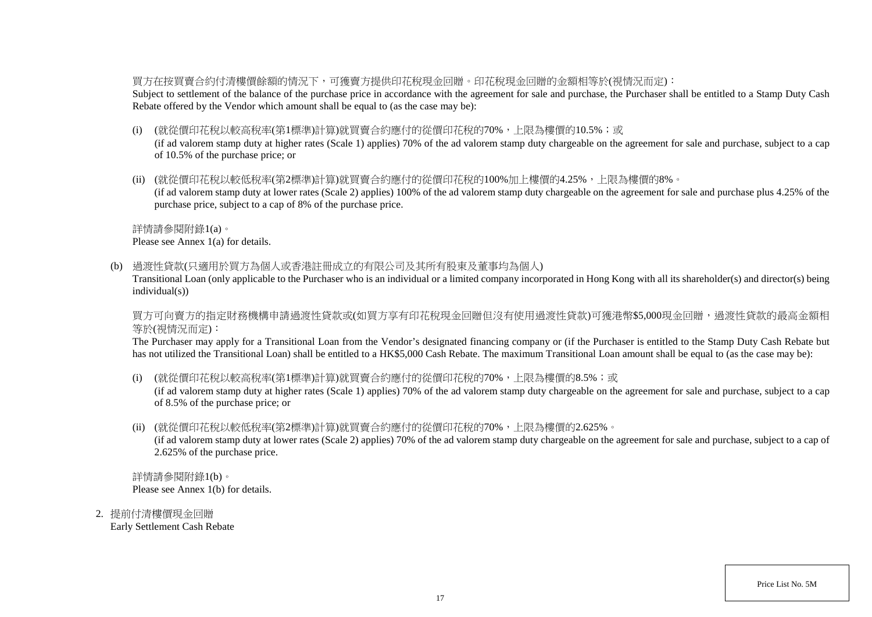### 買方在按買賣合約付清樓價餘額的情況下,可獲賣方提供印花稅現金回贈。印花稅現金回贈的金額相等於(視情況而定):

Subject to settlement of the balance of the purchase price in accordance with the agreement for sale and purchase, the Purchaser shall be entitled to a Stamp Duty Cash Rebate offered by the Vendor which amount shall be equal to (as the case may be):

(i) (就從價印花稅以較高稅率(第1標準)計算)就買賣合約應付的從價印花稅的70%,上限為樓價的10.5%;或

(if ad valorem stamp duty at higher rates (Scale 1) applies) 70% of the ad valorem stamp duty chargeable on the agreement for sale and purchase, subject to a cap of 10.5% of the purchase price; or

(ii) (就從價印花稅以較低稅率(第2標準)計算)就買賣合約應付的從價印花稅的100%加上樓價的4.25%,上限為樓價的8%。

(if ad valorem stamp duty at lower rates (Scale 2) applies) 100% of the ad valorem stamp duty chargeable on the agreement for sale and purchase plus 4.25% of the purchase price, subject to a cap of 8% of the purchase price.

詳情請參閱附錄1(a)。

Please see Annex 1(a) for details.

(b) 過渡性貸款(只適用於買方為個人或香港註冊成立的有限公司及其所有股東及董事均為個人)

Transitional Loan (only applicable to the Purchaser who is an individual or a limited company incorporated in Hong Kong with all its shareholder(s) and director(s) being individual(s))

買方可向賣方的指定財務機構申請過渡性貸款或(如買方享有印花稅現金回贈但沒有使用過渡性貸款)可獲港幣\$5,000現金回贈,過渡性貸款的最高金額相 等於(視情況而定):

The Purchaser may apply for a Transitional Loan from the Vendor's designated financing company or (if the Purchaser is entitled to the Stamp Duty Cash Rebate but has not utilized the Transitional Loan) shall be entitled to a HK\$5,000 Cash Rebate. The maximum Transitional Loan amount shall be equal to (as the case may be):

(i) (就從價印花稅以較高稅率(第1標準)計算)就買賣合約應付的從價印花稅的70%,上限為樓價的8.5%;或

(if ad valorem stamp duty at higher rates (Scale 1) applies) 70% of the ad valorem stamp duty chargeable on the agreement for sale and purchase, subject to a cap of 8.5% of the purchase price; or

(ii) (就從價印花稅以較低稅率(第2標準)計算)就買賣合約應付的從價印花稅的70%,上限為樓價的2.625%。

(if ad valorem stamp duty at lower rates (Scale 2) applies) 70% of the ad valorem stamp duty chargeable on the agreement for sale and purchase, subject to a cap of 2.625% of the purchase price.

詳情請參閱附錄1(b)。 Please see Annex 1(b) for details.

2. 提前付清樓價現金回贈 Early Settlement Cash Rebate

Price List No. 5M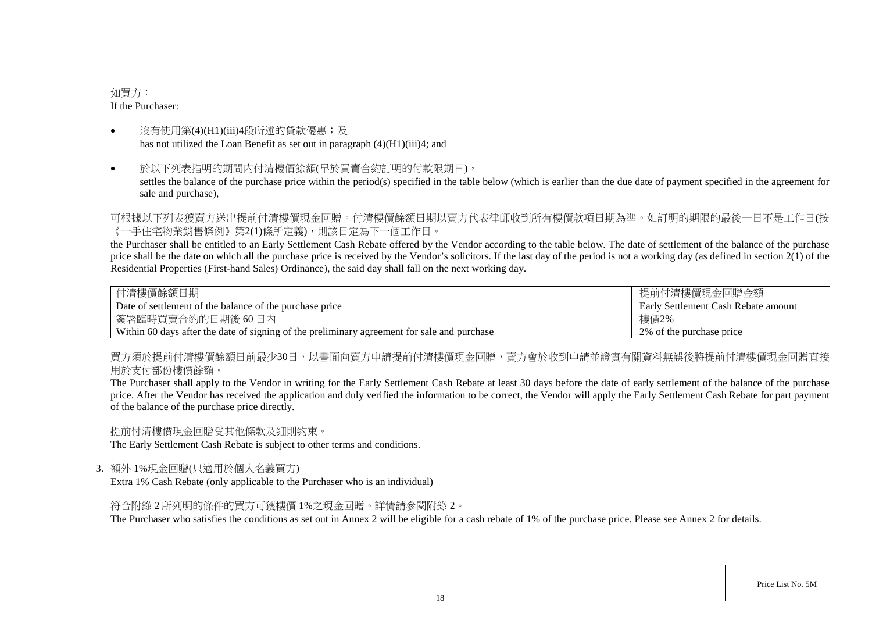### 如買方: If the Purchaser:

- 沒有使用第(4)(H1)(iii)4段所述的貸款優惠;及 has not utilized the Loan Benefit as set out in paragraph (4)(H1)(iii)4; and
- 於以下列表指明的期間内付清樓價餘額(早於買賣合約訂明的付款限期日), settles the balance of the purchase price within the period(s) specified in the table below (which is earlier than the due date of payment specified in the agreement for sale and purchase),

可根據以下列表獲賣方送出提前付清樓價現金回贈。付清樓價餘額日期以賣方代表律師收到所有樓價款項日期為準。如訂明的期限的最後一日不是工作日(按 《一手住宅物業銷售條例》第2(1)條所定義),則該日定為下一個工作日。

the Purchaser shall be entitled to an Early Settlement Cash Rebate offered by the Vendor according to the table below. The date of settlement of the balance of the purchase price shall be the date on which all the purchase price is received by the Vendor's solicitors. If the last day of the period is not a working day (as defined in section  $2(1)$  of the Residential Properties (First-hand Sales) Ordinance), the said day shall fall on the next working day.

| 付清樓價餘額日期                                                                                    | 提前付清樓價現金回贈金額                        |
|---------------------------------------------------------------------------------------------|-------------------------------------|
| Date of settlement of the balance of the purchase price                                     | Early Settlement Cash Rebate amount |
| 簽署臨時買賣合約的日期後 60日內                                                                           | 樓價2%                                |
| Within 60 days after the date of signing of the preliminary agreement for sale and purchase | 2\% of the purchase price           |

買方須於提前付清樓價餘額日前最少30日,以書面向賣方申請提前付清樓價現金回贈,賣方會於收到申請並證實有關資料無誤後將提前付清樓價現金回贈直接 用於支付部份樓價餘額。

The Purchaser shall apply to the Vendor in writing for the Early Settlement Cash Rebate at least 30 days before the date of early settlement of the balance of the purchase price. After the Vendor has received the application and duly verified the information to be correct, the Vendor will apply the Early Settlement Cash Rebate for part payment of the balance of the purchase price directly.

提前付清樓價現金回贈受其他條款及細則約束。

The Early Settlement Cash Rebate is subject to other terms and conditions.

3. 額外 1%現金回贈(只適用於個人名義買方)

Extra 1% Cash Rebate (only applicable to the Purchaser who is an individual)

符合附錄 2 所列明的條件的買方可獲樓價 1%之現金回贈。詳情請參閱附錄 2。

The Purchaser who satisfies the conditions as set out in Annex 2 will be eligible for a cash rebate of 1% of the purchase price. Please see Annex 2 for details.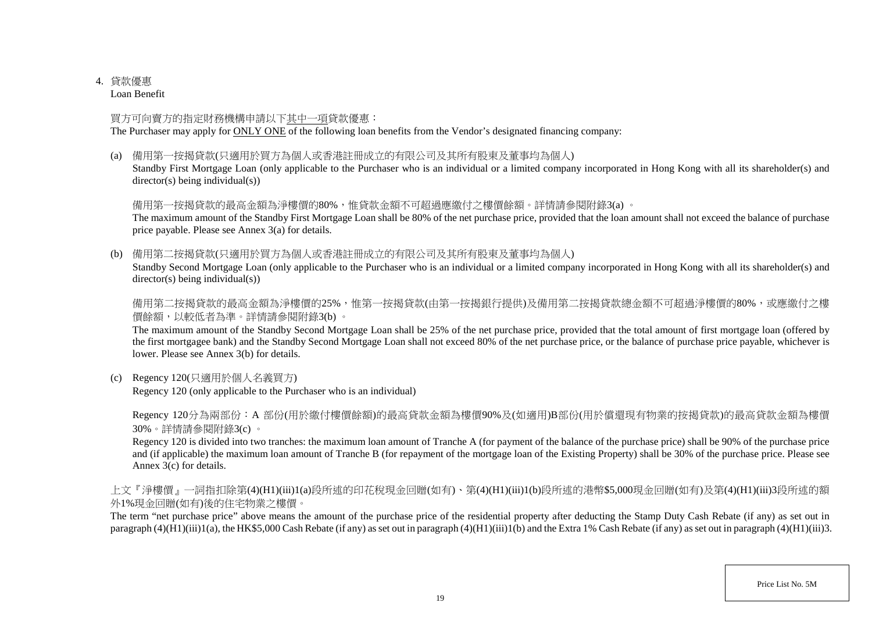## 4. 貸款優惠

Loan Benefit

## 買方可向賣方的指定財務機構申請以下其中一項貸款優惠:

The Purchaser may apply for ONLY ONE of the following loan benefits from the Vendor's designated financing company:

(a) 備用第一按揭貸款(只適用於買方為個人或香港註冊成立的有限公司及其所有股東及董事均為個人)

Standby First Mortgage Loan (only applicable to the Purchaser who is an individual or a limited company incorporated in Hong Kong with all its shareholder(s) and director(s) being individual(s))

## 備用第一按揭貸款的最高金額為淨樓價的80%,惟貸款金額不可超過應繳付之樓價餘額。詳情請參閱附錄3(a)。

The maximum amount of the Standby First Mortgage Loan shall be 80% of the net purchase price, provided that the loan amount shall not exceed the balance of purchase price payable. Please see Annex 3(a) for details.

(b) 備用第二按揭貸款(只適用於買方為個人或香港註冊成立的有限公司及其所有股東及董事均為個人)

Standby Second Mortgage Loan (only applicable to the Purchaser who is an individual or a limited company incorporated in Hong Kong with all its shareholder(s) and director(s) being individual(s))

備用第二按揭貸款的最高金額為淨樓價的25%,惟第一按揭貸款(由第一按揭銀行提供)及備用第二按揭貸款總金額不可超過淨樓價的80%,或應繳付之樓 價餘額,以較低者為準。詳情請參閱附錄3(b) 。

The maximum amount of the Standby Second Mortgage Loan shall be 25% of the net purchase price, provided that the total amount of first mortgage loan (offered by the first mortgagee bank) and the Standby Second Mortgage Loan shall not exceed 80% of the net purchase price, or the balance of purchase price payable, whichever is lower. Please see Annex 3(b) for details.

(c) Regency 120(只適用於個人名義買方)

Regency 120 (only applicable to the Purchaser who is an individual)

Regency 120分為兩部份:A 部份(用於繳付樓價餘額)的最高貸款金額為樓價90%及(如適用)B部份(用於償還現有物業的按揭貸款)的最高貸款金額為樓價 30%。詳情請參閱附錄3(c) 。

Regency 120 is divided into two tranches: the maximum loan amount of Tranche A (for payment of the balance of the purchase price) shall be 90% of the purchase price and (if applicable) the maximum loan amount of Tranche B (for repayment of the mortgage loan of the Existing Property) shall be 30% of the purchase price. Please see Annex 3(c) for details.

上文『淨樓價』一詞指扣除第(4)(H1)(iii)1(a)段所述的印花稅現金回贈(如有)、第(4)(H1)(iii)1(b)段所述的港幣\$5,000現金回贈(如有)及第(4)(H1)(iii)3段所述的額 外1%現金回贈(如有)後的住宅物業之樓價。

The term "net purchase price" above means the amount of the purchase price of the residential property after deducting the Stamp Duty Cash Rebate (if any) as set out in paragraph (4)( $\hat{H}1$ )(iii)1(a), the HK\$5,000 Cash Rebate (if any) as set out in paragraph (4)(H1)(iii)1(b) and the Extra 1% Cash Rebate (if any) as set out in paragraph (4)(H1)(iii)3.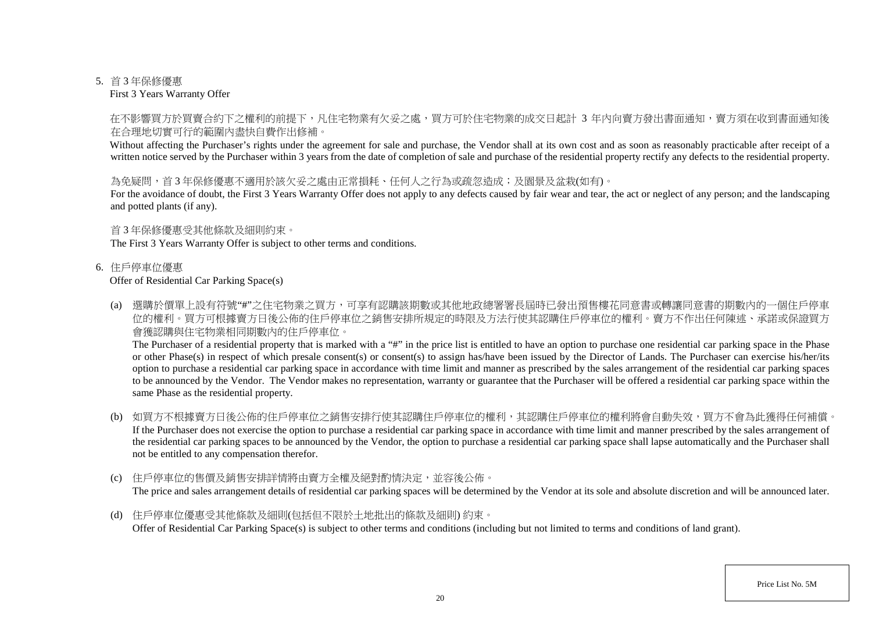#### 5. 首 3 年保修優惠

First 3 Years Warranty Offer

### 在不影響買方於買賣合約下之權利的前提下,凡住宅物業有欠妥之處,買方可於住宅物業的成交日起計 3 年内向賣方發出書面通知,賣方須在收到書面通知後 在合理地切實可行的範圍內盡快自費作出修補。

Without affecting the Purchaser's rights under the agreement for sale and purchase, the Vendor shall at its own cost and as soon as reasonably practicable after receipt of a written notice served by the Purchaser within 3 years from the date of completion of sale and purchase of the residential property rectify any defects to the residential property.

### 為免疑問,首3年保修優惠不適用於該欠妥之處由正常捐耗、任何人之行為或疏忽造成;及園景及盆栽(如有)。

For the avoidance of doubt, the First 3 Years Warranty Offer does not apply to any defects caused by fair wear and tear, the act or neglect of any person; and the landscaping and potted plants (if any).

#### 首 3 年保修優惠受其他條款及細則約束。

The First 3 Years Warranty Offer is subject to other terms and conditions.

#### 6. 住戶停車位優惠

#### Offer of Residential Car Parking Space(s)

(a) 選購於價單上設有符號"#"之住宅物業之買方,可享有認購該期數或其他地政總署署長屆時已發出預售樓花同意書或轉讓同意書的期數內的一個住戶停車 位的權利。買方可根據賣方日後公佈的住戶停車位之銷售安排所規定的時限及方法行使其認購住戶停車位的權利。賣方不作出任何陳述、承諾或保證買方 會獲認購與住宅物業相同期數內的住戶停車位。

The Purchaser of a residential property that is marked with a "#" in the price list is entitled to have an option to purchase one residential car parking space in the Phase or other Phase(s) in respect of which presale consent(s) or consent(s) to assign has/have been issued by the Director of Lands. The Purchaser can exercise his/her/its option to purchase a residential car parking space in accordance with time limit and manner as prescribed by the sales arrangement of the residential car parking spaces to be announced by the Vendor. The Vendor makes no representation, warranty or guarantee that the Purchaser will be offered a residential car parking space within the same Phase as the residential property.

- (b) 如買方不根據賣方日後公佈的住戶停車位之銷售安排行使其認購住戶停車位的權利,其認購住戶停車位的權利將會自動失效,買方不會為此獲得任何補償。 If the Purchaser does not exercise the option to purchase a residential car parking space in accordance with time limit and manner prescribed by the sales arrangement of the residential car parking spaces to be announced by the Vendor, the option to purchase a residential car parking space shall lapse automatically and the Purchaser shall not be entitled to any compensation therefor.
- (c) 住戶停車位的售價及銷售安排詳情將由賣方全權及絕對酌情決定,並容後公佈。 The price and sales arrangement details of residential car parking spaces will be determined by the Vendor at its sole and absolute discretion and will be announced later.
- (d) 住戶停車位優惠受其他條款及細則(包括但不限於土地批出的條款及細則) 約束。 Offer of Residential Car Parking Space(s) is subject to other terms and conditions (including but not limited to terms and conditions of land grant).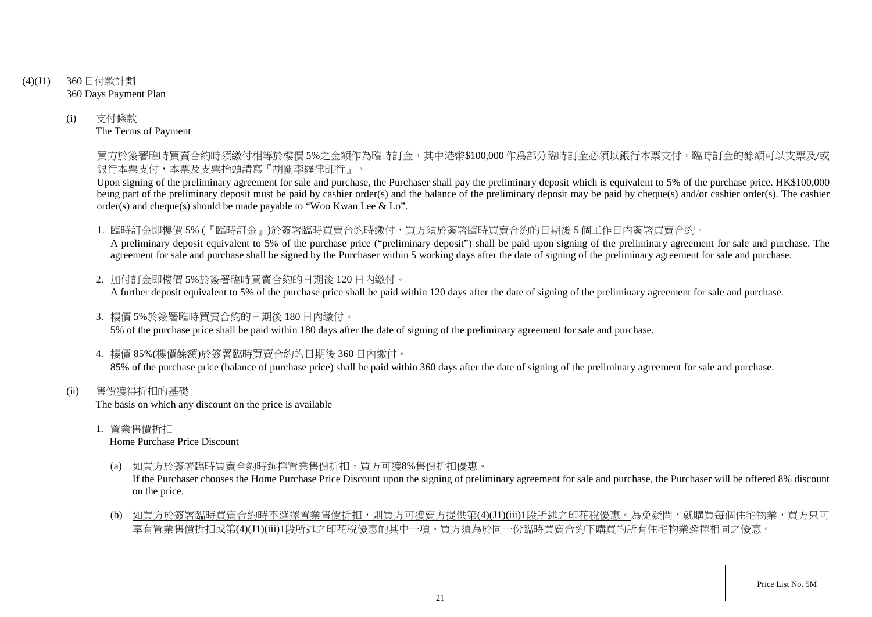- (4)(J1) 360 日付款計劃 360 Days Payment Plan
	- (i) 支付條款 The Terms of Payment

買方於簽署臨時買賣合約時須繳付相等於樓價 5%之金額作為臨時訂金,其中港幣\$100,000 作爲部分臨時訂金必須以銀行本票支付,臨時訂金的餘額可以支票及/或 銀行本票支付,本票及支票抬頭請寫『胡關李羅律師行』。

Upon signing of the preliminary agreement for sale and purchase, the Purchaser shall pay the preliminary deposit which is equivalent to 5% of the purchase price. HK\$100,000 being part of the preliminary deposit must be paid by cashier order(s) and the balance of the preliminary deposit may be paid by cheque(s) and/or cashier order(s). The cashier order(s) and cheque(s) should be made payable to "Woo Kwan Lee & Lo".

1. 臨時訂金即樓價 5% (『臨時訂金』)於簽署臨時買賣合約時繳付,買方須於簽署臨時買賣合約的日期後 5 個工作日內簽署買賣合約。

A preliminary deposit equivalent to 5% of the purchase price ("preliminary deposit") shall be paid upon signing of the preliminary agreement for sale and purchase. The agreement for sale and purchase shall be signed by the Purchaser within 5 working days after the date of signing of the preliminary agreement for sale and purchase.

- 2. 加付訂金即樓價 5%於簽署臨時買賣合約的日期後 120 日內繳付。 A further deposit equivalent to 5% of the purchase price shall be paid within 120 days after the date of signing of the preliminary agreement for sale and purchase.
- 3. 樓價 5%於簽署臨時買賣合約的日期後 180 日內繳付。 5% of the purchase price shall be paid within 180 days after the date of signing of the preliminary agreement for sale and purchase.
- 4. 樓價 85%(樓價餘額)於簽署臨時買賣合約的日期後 360 日內繳付。 85% of the purchase price (balance of purchase price) shall be paid within 360 days after the date of signing of the preliminary agreement for sale and purchase.
- (ii) 售價獲得折扣的基礎 The basis on which any discount on the price is available
	- 1. 置業售價折扣

Home Purchase Price Discount

(a) 如買方於簽署臨時買賣合約時選擇置業售價折扣,買方可獲8%售價折扣優惠。

If the Purchaser chooses the Home Purchase Price Discount upon the signing of preliminary agreement for sale and purchase, the Purchaser will be offered 8% discount on the price.

(b) 如買方於簽署臨時買賣合約時不選擇置業售價折扣,則買方可獲賣方提供第(4)(J1)(iii)1段所述之印花稅優惠。為免疑問,就購買每個住宅物業,買方只可 享有置業售價折扣或第(4)(J1)(iii)1段所述之印花稅優惠的其中一項。買方須為於同一份臨時買賣合約下購買的所有住宅物業選擇相同之優惠。

Price List No. 5M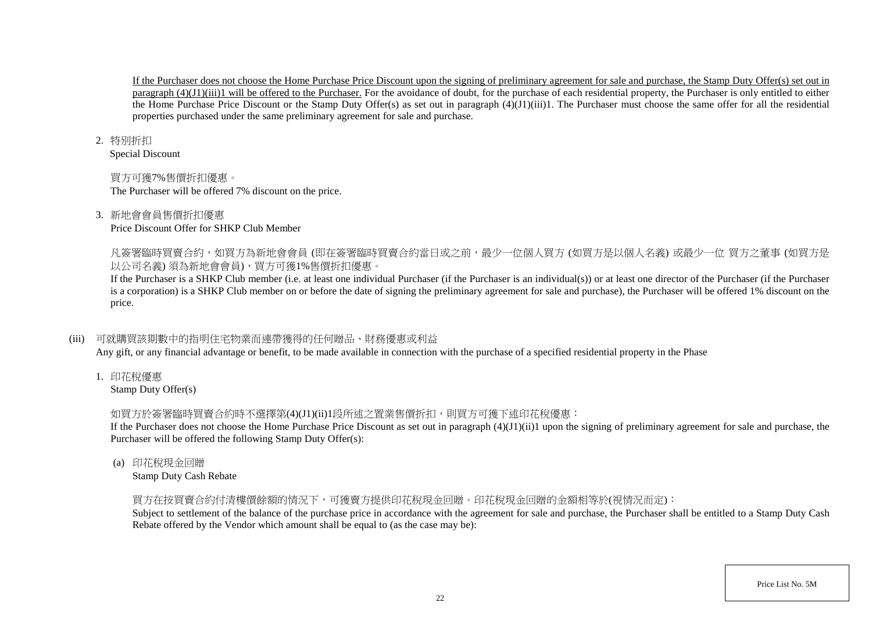If the Purchaser does not choose the Home Purchase Price Discount upon the signing of preliminary agreement for sale and purchase, the Stamp Duty Offer(s) set out in paragraph (4)(J1)(iii)1 will be offered to the Purchaser. For the avoidance of doubt, for the purchase of each residential property, the Purchaser is only entitled to either the Home Purchase Price Discount or the Stamp Duty Offer(s) as set out in paragraph (4)(J1)(iii)1. The Purchaser must choose the same offer for all the residential properties purchased under the same preliminary agreement for sale and purchase.

#### 2. 特別折扣

Special Discount

## 買方可獲7%售價折扣優惠。

The Purchaser will be offered 7% discount on the price.

## 3. 新地會會員售價折扣優惠

Price Discount Offer for SHKP Club Member

凡簽署臨時買賣合約,如買方為新地會會員 (即在簽署臨時買賣合約當日或之前,最少一位個人買方 (如買方是以個人名義) 或最少一位 買方之董事 (如買方是 以公司名義) 須為新地會會員),買方可獲1%售價折扣優惠。

If the Purchaser is a SHKP Club member (i.e. at least one individual Purchaser (if the Purchaser is an individual(s)) or at least one director of the Purchaser (if the Purchaser is a corporation) is a SHKP Club member on or before the date of signing the preliminary agreement for sale and purchase), the Purchaser will be offered 1% discount on the price.

## (iii) 可就購買該期數中的指明住宅物業而連帶獲得的任何贈品、財務優惠或利益

Any gift, or any financial advantage or benefit, to be made available in connection with the purchase of a specified residential property in the Phase

1. 印花稅優惠

Stamp Duty Offer(s)

# 如買方於簽署臨時買賣合約時不選擇第(4)(J1)(ii)1段所述之置業售價折扣,則買方可獲下述印花稅優惠:

If the Purchaser does not choose the Home Purchase Price Discount as set out in paragraph  $(4)(J1)(ii)1$  upon the signing of preliminary agreement for sale and purchase, the Purchaser will be offered the following Stamp Duty Offer(s):

(a) 印花稅現金回贈

Stamp Duty Cash Rebate

## 買方在按買賣合約付清樓價餘額的情況下,可獲賣方提供印花稅現金回贈。印花稅現金回贈的金額相等於(視情況而定):

Subject to settlement of the balance of the purchase price in accordance with the agreement for sale and purchase, the Purchaser shall be entitled to a Stamp Duty Cash Rebate offered by the Vendor which amount shall be equal to (as the case may be):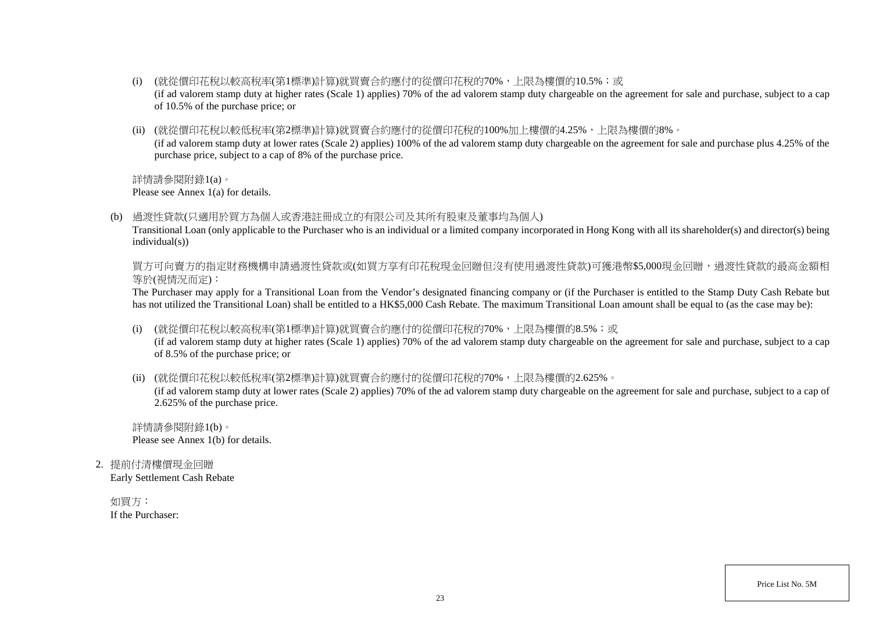- (i) (就從價印花稅以較高稅率(第1標準)計算)就買賣合約應付的從價印花稅的70%,上限為樓價的10.5%;或 (if ad valorem stamp duty at higher rates (Scale 1) applies) 70% of the ad valorem stamp duty chargeable on the agreement for sale and purchase, subject to a cap of 10.5% of the purchase price; or
- (ii) (就從價印花稅以較低稅率(第2標準)計算)就買賣合約應付的從價印花稅的100%加上樓價的4.25%,上限為樓價的8%。 (if ad valorem stamp duty at lower rates (Scale 2) applies) 100% of the ad valorem stamp duty chargeable on the agreement for sale and purchase plus 4.25% of the purchase price, subject to a cap of 8% of the purchase price.

詳情請參閱附錄1(a)。

Please see Annex 1(a) for details.

(b) 過渡性貸款(只適用於買方為個人或香港註冊成立的有限公司及其所有股東及董事均為個人)

Transitional Loan (only applicable to the Purchaser who is an individual or a limited company incorporated in Hong Kong with all its shareholder(s) and director(s) being individual(s))

買方可向賣方的指定財務機構申請過渡性貸款或(如買方享有印花稅現金回贈但沒有使用過渡性貸款)可獲港幣\$5,000現金回贈,過渡性貸款的最高金額相 等於(視情況而定):

The Purchaser may apply for a Transitional Loan from the Vendor's designated financing company or (if the Purchaser is entitled to the Stamp Duty Cash Rebate but has not utilized the Transitional Loan) shall be entitled to a HK\$5,000 Cash Rebate. The maximum Transitional Loan amount shall be equal to (as the case may be):

(i) (就從價印花稅以較高稅率(第1標準)計算)就買賣合約應付的從價印花稅的70%,上限為樓價的8.5%;或

(if ad valorem stamp duty at higher rates (Scale 1) applies) 70% of the ad valorem stamp duty chargeable on the agreement for sale and purchase, subject to a cap of 8.5% of the purchase price; or

(ii) (就從價印花稅以較低稅率(第2標準)計算)就買賣合約應付的從價印花稅的70%,上限為樓價的2.625%。

(if ad valorem stamp duty at lower rates (Scale 2) applies) 70% of the ad valorem stamp duty chargeable on the agreement for sale and purchase, subject to a cap of 2.625% of the purchase price.

詳情請參閱附錄1(b)。 Please see Annex 1(b) for details.

2. 提前付清樓價現金回贈

Early Settlement Cash Rebate

如買方: If the Purchaser:

Price List No. 5M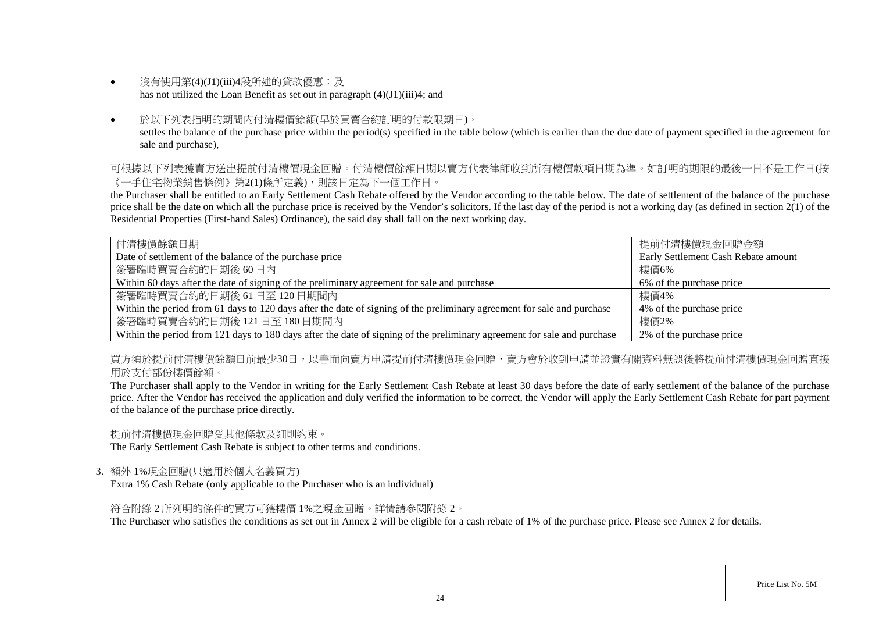- 沒有使用第(4)(J1)(iii)4段所述的貸款優惠;及 has not utilized the Loan Benefit as set out in paragraph (4)(J1)(iii)4; and
- 於以下列表指明的期間内付清樓價餘額(早於買賣合約訂明的付款限期日), settles the balance of the purchase price within the period(s) specified in the table below (which is earlier than the due date of payment specified in the agreement for sale and purchase),

可根據以下列表獲賣方送出提前付清樓價現金回贈。付清樓價餘額日期以賣方代表律師收到所有樓價款項日期為準。如訂明的期限的最後一日不是工作日(按 《一手住宅物業銷售條例》第2(1)條所定義),則該日定為下一個工作日。

the Purchaser shall be entitled to an Early Settlement Cash Rebate offered by the Vendor according to the table below. The date of settlement of the balance of the purchase price shall be the date on which all the purchase price is received by the Vendor's solicitors. If the last day of the period is not a working day (as defined in section  $2(1)$  of the Residential Properties (First-hand Sales) Ordinance), the said day shall fall on the next working day.

| 付清樓價餘額日期                                                                                                                 | 提前付清樓價現金回贈金額                        |
|--------------------------------------------------------------------------------------------------------------------------|-------------------------------------|
| Date of settlement of the balance of the purchase price                                                                  | Early Settlement Cash Rebate amount |
| 簽署臨時買賣合約的日期後60日內                                                                                                         | 樓價6%                                |
| Within 60 days after the date of signing of the preliminary agreement for sale and purchase                              | 6% of the purchase price            |
| 簽署臨時買賣合約的日期後 61日至 120日期間內                                                                                                | 樓價4%                                |
| Within the period from 61 days to 120 days after the date of signing of the preliminary agreement for sale and purchase  | 4\% of the purchase price           |
| 簽署臨時買賣合約的日期後 121日至 180日期間内                                                                                               | 樓價2%                                |
| Within the period from 121 days to 180 days after the date of signing of the preliminary agreement for sale and purchase | 2% of the purchase price            |

買方須於提前付清樓價餘額日前最少30日,以書面向賣方申請提前付清樓價現金回贈,賣方會於收到申請並證實有關資料無誤後將提前付清樓價現金回贈直接 用於支付部份樓價餘額。

The Purchaser shall apply to the Vendor in writing for the Early Settlement Cash Rebate at least 30 days before the date of early settlement of the balance of the purchase price. After the Vendor has received the application and duly verified the information to be correct, the Vendor will apply the Early Settlement Cash Rebate for part payment of the balance of the purchase price directly.

提前付清樓價現金回贈受其他條款及細則約束。

The Early Settlement Cash Rebate is subject to other terms and conditions.

3. 額外 1%現金回贈(只適用於個人名義買方)

Extra 1% Cash Rebate (only applicable to the Purchaser who is an individual)

符合附錄 2 所列明的條件的買方可獲樓價 1%之現金回贈。詳情請參閱附錄 2。

The Purchaser who satisfies the conditions as set out in Annex 2 will be eligible for a cash rebate of 1% of the purchase price. Please see Annex 2 for details.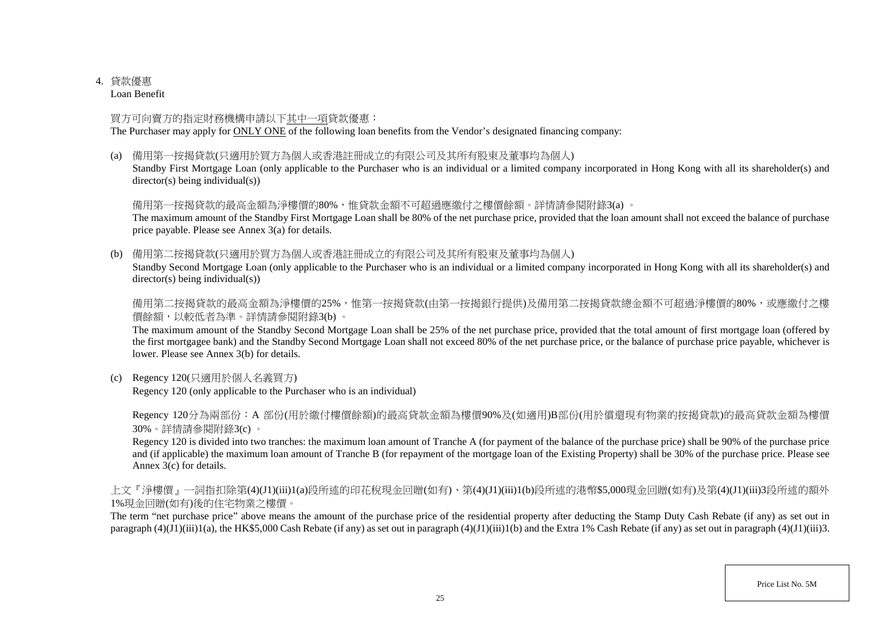## 4. 貸款優惠

Loan Benefit

## 買方可向賣方的指定財務機構申請以下其中一項貸款優惠:

The Purchaser may apply for ONLY ONE of the following loan benefits from the Vendor's designated financing company:

(a) 備用第一按揭貸款(只適用於買方為個人或香港註冊成立的有限公司及其所有股東及董事均為個人)

Standby First Mortgage Loan (only applicable to the Purchaser who is an individual or a limited company incorporated in Hong Kong with all its shareholder(s) and director(s) being individual(s))

## 備用第一按揭貸款的最高金額為淨樓價的80%,惟貸款金額不可超過應繳付之樓價餘額。詳情請參閱附錄3(a)。

The maximum amount of the Standby First Mortgage Loan shall be 80% of the net purchase price, provided that the loan amount shall not exceed the balance of purchase price payable. Please see Annex 3(a) for details.

(b) 備用第二按揭貸款(只適用於買方為個人或香港註冊成立的有限公司及其所有股東及董事均為個人)

Standby Second Mortgage Loan (only applicable to the Purchaser who is an individual or a limited company incorporated in Hong Kong with all its shareholder(s) and director(s) being individual(s))

備用第二按揭貸款的最高金額為淨樓價的25%,惟第一按揭貸款(由第一按揭銀行提供)及備用第二按揭貸款總金額不可超過淨樓價的80%,或應繳付之樓 價餘額,以較低者為準。詳情請參閱附錄3(b) 。

The maximum amount of the Standby Second Mortgage Loan shall be 25% of the net purchase price, provided that the total amount of first mortgage loan (offered by the first mortgagee bank) and the Standby Second Mortgage Loan shall not exceed 80% of the net purchase price, or the balance of purchase price payable, whichever is lower. Please see Annex 3(b) for details.

(c) Regency 120(只適用於個人名義買方)

Regency 120 (only applicable to the Purchaser who is an individual)

Regency 120分為兩部份:A 部份(用於繳付樓價餘額)的最高貸款金額為樓價90%及(如適用)B部份(用於償還現有物業的按揭貸款)的最高貸款金額為樓價 30%。詳情請參閱附錄3(c) 。

Regency 120 is divided into two tranches: the maximum loan amount of Tranche A (for payment of the balance of the purchase price) shall be 90% of the purchase price and (if applicable) the maximum loan amount of Tranche B (for repayment of the mortgage loan of the Existing Property) shall be 30% of the purchase price. Please see Annex 3(c) for details.

上文『淨樓價』一詞指扣除第(4)(J1)(iii)1(a)段所述的印花稅現金回贈(如有)、第(4)(J1)(iii)1(b)段所述的港幣\$5,000現金回贈(如有)及第(4)(J1)(iii)3段所述的額外 1%現金回贈(如有)後的住宅物業之樓價。

The term "net purchase price" above means the amount of the purchase price of the residential property after deducting the Stamp Duty Cash Rebate (if any) as set out in paragraph  $(4)(J1)(iii)1(a)$ , the HK\$5,000 Cash Rebate (if any) as set out in paragraph  $(4)(J1)(iii)1(b)$  and the Extra 1% Cash Rebate (if any) as set out in paragraph  $(4)(J1)(iii)3$ .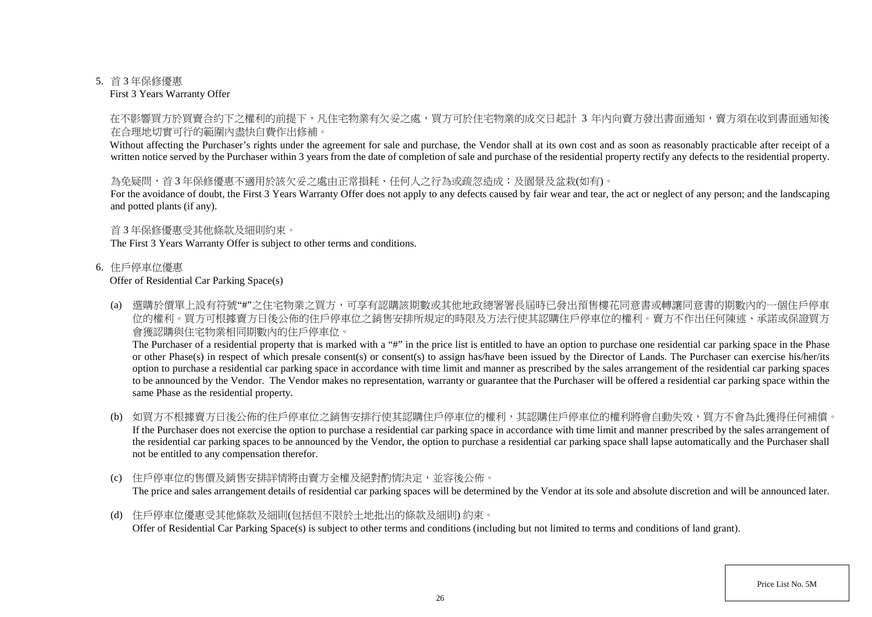#### 5. 首 3 年保修優惠

First 3 Years Warranty Offer

### 在不影響買方於買賣合約下之權利的前提下,凡住宅物業有欠妥之處,買方可於住宅物業的成交日起計 3 年内向賣方發出書面通知,賣方須在收到書面通知後 在合理地切實可行的範圍內盡快自費作出修補。

Without affecting the Purchaser's rights under the agreement for sale and purchase, the Vendor shall at its own cost and as soon as reasonably practicable after receipt of a written notice served by the Purchaser within 3 years from the date of completion of sale and purchase of the residential property rectify any defects to the residential property.

### 為免疑問,首3年保修優惠不適用於該欠妥之處由正常捐耗、任何人之行為或疏忽造成;及園景及盆栽(如有)。

For the avoidance of doubt, the First 3 Years Warranty Offer does not apply to any defects caused by fair wear and tear, the act or neglect of any person; and the landscaping and potted plants (if any).

#### 首 3 年保修優惠受其他條款及細則約束。

The First 3 Years Warranty Offer is subject to other terms and conditions.

#### 6. 住戶停車位優惠

#### Offer of Residential Car Parking Space(s)

(a) 選購於價單上設有符號"#"之住宅物業之買方,可享有認購該期數或其他地政總署署長屆時已發出預售樓花同意書或轉讓同意書的期數內的一個住戶停車 位的權利。買方可根據賣方日後公佈的住戶停車位之銷售安排所規定的時限及方法行使其認購住戶停車位的權利。賣方不作出任何陳述、承諾或保證買方 會獲認購與住宅物業相同期數內的住戶停車位。

The Purchaser of a residential property that is marked with a "#" in the price list is entitled to have an option to purchase one residential car parking space in the Phase or other Phase(s) in respect of which presale consent(s) or consent(s) to assign has/have been issued by the Director of Lands. The Purchaser can exercise his/her/its option to purchase a residential car parking space in accordance with time limit and manner as prescribed by the sales arrangement of the residential car parking spaces to be announced by the Vendor. The Vendor makes no representation, warranty or guarantee that the Purchaser will be offered a residential car parking space within the same Phase as the residential property.

- (b) 如買方不根據賣方日後公佈的住戶停車位之銷售安排行使其認購住戶停車位的權利,其認購住戶停車位的權利將會自動失效,買方不會為此獲得任何補償。 If the Purchaser does not exercise the option to purchase a residential car parking space in accordance with time limit and manner prescribed by the sales arrangement of the residential car parking spaces to be announced by the Vendor, the option to purchase a residential car parking space shall lapse automatically and the Purchaser shall not be entitled to any compensation therefor.
- (c) 住戶停車位的售價及銷售安排詳情將由賣方全權及絕對酌情決定,並容後公佈。 The price and sales arrangement details of residential car parking spaces will be determined by the Vendor at its sole and absolute discretion and will be announced later.
- (d) 住戶停車位優惠受其他條款及細則(包括但不限於土地批出的條款及細則) 約束。 Offer of Residential Car Parking Space(s) is subject to other terms and conditions (including but not limited to terms and conditions of land grant).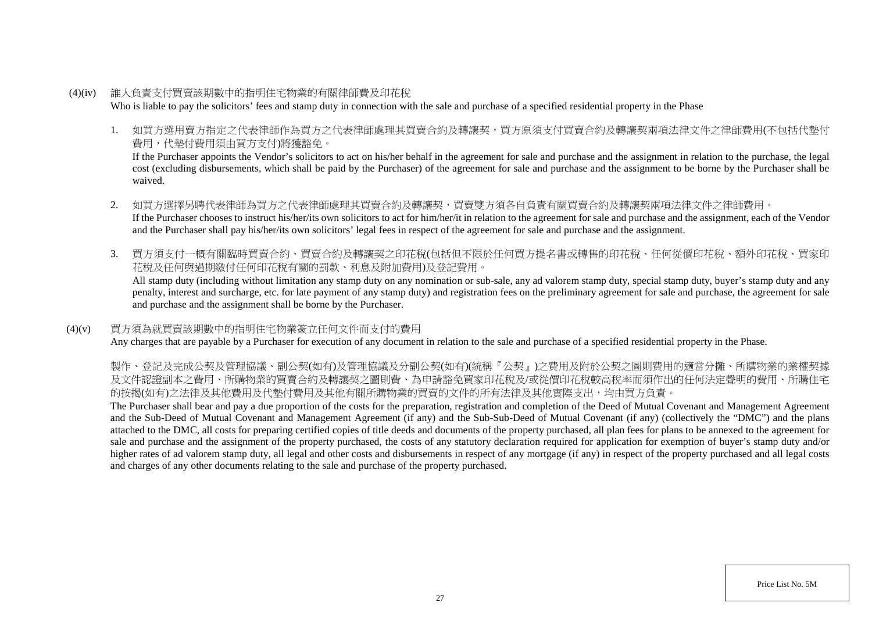- (4)(iv) 誰人負責支付買賣該期數中的指明住宅物業的有關律師費及印花稅 Who is liable to pay the solicitors' fees and stamp duty in connection with the sale and purchase of a specified residential property in the Phase
	- 1. 如買方選用賣方指定之代表律師作為買方之代表律師處理其買賣合約及轉讓契,買方原須支付買賣合約及轉讓契兩項法律文件之律師費用(不包括代墊付 費用,代墊付費用須由買方支付)將獲豁免。

If the Purchaser appoints the Vendor's solicitors to act on his/her behalf in the agreement for sale and purchase and the assignment in relation to the purchase, the legal cost (excluding disbursements, which shall be paid by the Purchaser) of the agreement for sale and purchase and the assignment to be borne by the Purchaser shall be waived.

- 2. 如買方選擇另聘代表律師為買方之代表律師處理其買賣合約及轉讓契,買賣雙方須各自負責有關買賣合約及轉讓契兩項法律文件之律師費用。 If the Purchaser chooses to instruct his/her/its own solicitors to act for him/her/it in relation to the agreement for sale and purchase and the assignment, each of the Vendor and the Purchaser shall pay his/her/its own solicitors' legal fees in respect of the agreement for sale and purchase and the assignment.
- 3. 買方須支付一概有關臨時買賣合約、買賣合約及轉讓契之印花稅(包括但不限於任何買方提名書或轉售的印花稅、任何從價印花稅、額外印花稅、買家印 花稅及任何與過期繳付任何印花稅有關的罰款、利息及附加費用)及登記費用。

All stamp duty (including without limitation any stamp duty on any nomination or sub-sale, any ad valorem stamp duty, special stamp duty, buyer's stamp duty and any penalty, interest and surcharge, etc. for late payment of any stamp duty) and registration fees on the preliminary agreement for sale and purchase, the agreement for sale and purchase and the assignment shall be borne by the Purchaser.

### (4)(v) 買方須為就買賣該期數中的指明住宅物業簽立任何文件而支付的費用

Any charges that are payable by a Purchaser for execution of any document in relation to the sale and purchase of a specified residential property in the Phase.

製作、登記及完成公契及管理協議、副公契(如有)及管理協議及分副公契(如有)(統稱『公契』)之費用及附於公契之圖則費用的適當分攤、所購物業的業權契據 及文件認證副本之費用、所購物業的買賣合約及轉讓契之圖則費、為申請豁免買家印花稅及/或從價印花稅較高稅率而須作出的任何法定聲明的費用、所購住宅 的按揭(如有)之法律及其他費用及代墊付費用及其他有關所購物業的買賣的文件的所有法律及其他實際支出,均由買方負責。

The Purchaser shall bear and pay a due proportion of the costs for the preparation, registration and completion of the Deed of Mutual Covenant and Management Agreement and the Sub-Deed of Mutual Covenant and Management Agreement (if any) and the Sub-Sub-Deed of Mutual Covenant (if any) (collectively the "DMC") and the plans attached to the DMC, all costs for preparing certified copies of title deeds and documents of the property purchased, all plan fees for plans to be annexed to the agreement for sale and purchase and the assignment of the property purchased, the costs of any statutory declaration required for application for exemption of buyer's stamp duty and/or higher rates of ad valorem stamp duty, all legal and other costs and disbursements in respect of any mortgage (if any) in respect of the property purchased and all legal costs and charges of any other documents relating to the sale and purchase of the property purchased.

Price List No. 5M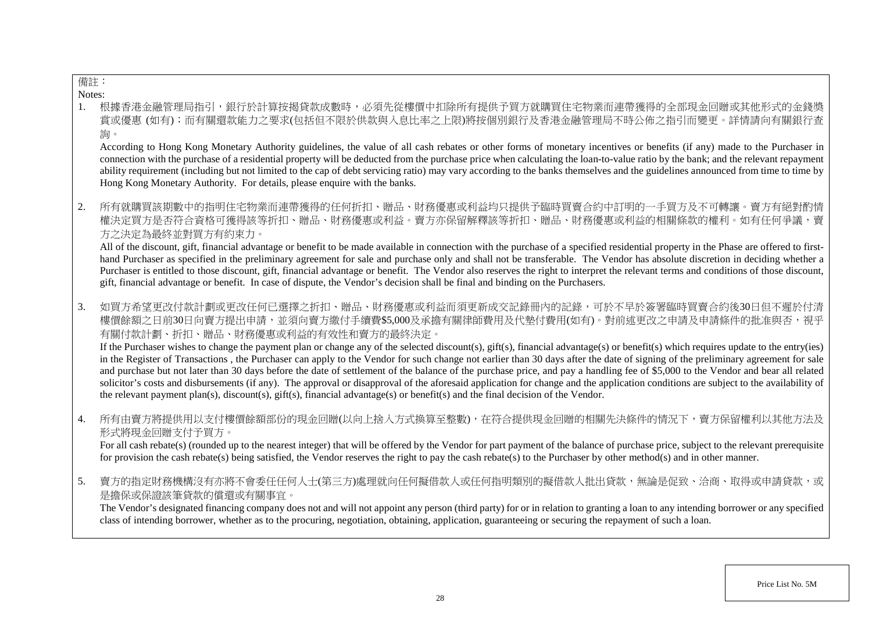## 備註:

Notes:

1. 根據香港金融管理局指引,銀行於計算按揭貸款成數時,必須先從樓價中扣除所有提供予買方就購買住宅物業而連帶獲得的全部現金回贈或其 賞或優惠 (如有);而有關還款能力之要求(包括但不限於供款與入息比率之上限)將按個別銀行及香港金融管理局不時公佈之指引而變更。詳情請向有關銀行查 詢。

According to Hong Kong Monetary Authority guidelines, the value of all cash rebates or other forms of monetary incentives or benefits (if any) made to the Purchaser in connection with the purchase of a residential property will be deducted from the purchase price when calculating the loan-to-value ratio by the bank; and the relevant repayment ability requirement (including but not limited to the cap of debt servicing ratio) may vary according to the banks themselves and the guidelines announced from time to time by Hong Kong Monetary Authority. For details, please enquire with the banks.

2. 所有就購買該期數中的指明住宅物業而連帶獲得的任何折扣、贈品、財務優惠或利益均只提供予臨時買賣合約中訂明的一手買方及不可轉讓 權決定買方是否符合資格可獲得該等折扣、贈品、財務優惠或利益。賣方亦保留解釋該等折扣、贈品、財務優惠或利益的相關條款的權利。如有任何爭議,賣 方之決定為最終並對買方有約束力。

All of the discount, gift, financial advantage or benefit to be made available in connection with the purchase of a specified residential property in the Phase are offered to firsthand Purchaser as specified in the preliminary agreement for sale and purchase only and shall not be transferable. The Vendor has absolute discretion in deciding whether a Purchaser is entitled to those discount, gift, financial advantage or benefit. The Vendor also reserves the right to interpret the relevant terms and conditions of those discount, gift, financial advantage or benefit. In case of dispute, the Vendor's decision shall be final and binding on the Purchasers.

3. 如買方希望更改付款計劃或更改任何已選擇之折扣、贈品、財務優惠或利益而須更新成交記錄冊內的記錄,可於不早於簽署臨時買賣合約後30日但不遲於付清 樓價餘額之日前30日向賣方提出申請,並須向賣方繳付手續費\$5,000及承擔有關律師費用及代墊付費用(如有)。對前述更改之申請及申請條件的批准與否,視乎 有關付款計劃、折扣、贈品、財務優惠或利益的有效性和賣方的最終決定。

If the Purchaser wishes to change the payment plan or change any of the selected discount(s), gift(s), financial advantage(s) or benefit(s) which requires update to the entry(ies) in the Register of Transactions , the Purchaser can apply to the Vendor for such change not earlier than 30 days after the date of signing of the preliminary agreement for sale and purchase but not later than 30 days before the date of settlement of the balance of the purchase price, and pay a handling fee of \$5,000 to the Vendor and bear all related solicitor's costs and disbursements (if any). The approval or disapproval of the aforesaid application for change and the application conditions are subject to the availability of the relevant payment plan(s), discount(s), gift(s), financial advantage(s) or benefit(s) and the final decision of the Vendor.

4. 所有由賣方將提供用以支付樓價餘額部份的現金回贈(以向上捨入方式換算至整數),在符合提供現金回贈的相關先決條件的情況下,賣方保留權利以其他方法及 形式將現金回贈支付予買方。

For all cash rebate(s) (rounded up to the nearest integer) that will be offered by the Vendor for part payment of the balance of purchase price, subject to the relevant prerequisite for provision the cash rebate(s) being satisfied, the Vendor reserves the right to pay the cash rebate(s) to the Purchaser by other method(s) and in other manner.

5. 賣方的指定財務機構沒有亦將不會委任任何人士(第三方)處理就向任何擬借款人或任何指明類別的擬借款人批出貸款,無論是促致、洽商、取得或申請貸款,或 是擔保或保證該筆貸款的償還或有關事宜。

The Vendor's designated financing company does not and will not appoint any person (third party) for or in relation to granting a loan to any intending borrower or any specified class of intending borrower, whether as to the procuring, negotiation, obtaining, application, guaranteeing or securing the repayment of such a loan.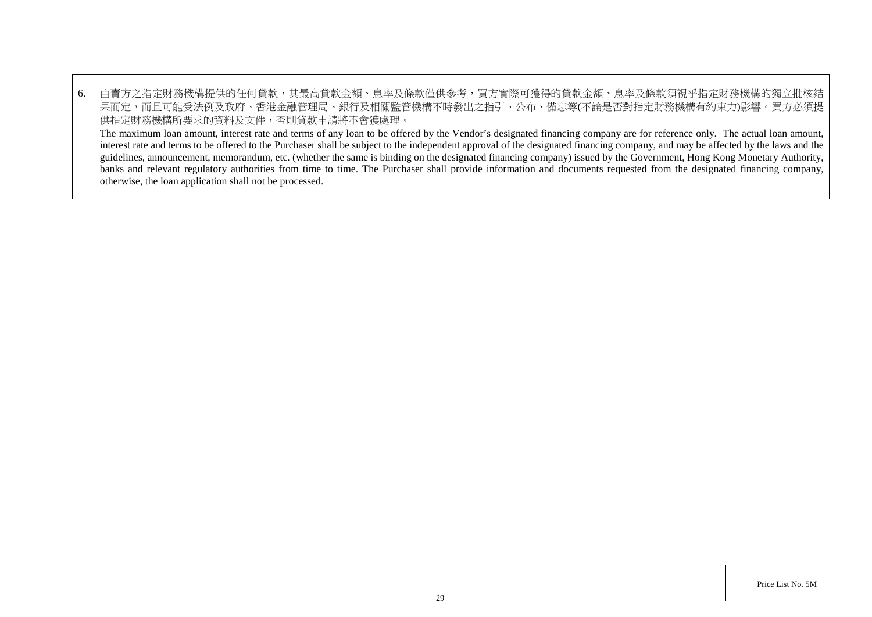6. 由賣方之指定財務機構提供的任何貸款,其最高貸款金額、息率及條款僅供參考,買方實際可獲得的貸款金額、息率及條款須視乎指定財務機構的獨立批核結 果而定,而且可能受法例及政府、香港金融管理局、銀行及相關監管機構不時發出之指引、公布、備忘等(不論是否對指定財務機構有約束力)影響。買方必須提 供指定財務機構所要求的資料及文件,否則貸款申請將不會獲處理。 The maximum loan amount, interest rate and terms of any loan to be offered by the Vendor's designated financing company are for reference only. The actual loan amount, interest rate and terms to be offered to the Purchaser shall be subject to the independent approval of the designated financing company, and may be affected by the laws and the guidelines, announcement, memorandum, etc. (whether the same is binding on the designated financing company) issued by the Government, Hong Kong Monetary Authority, banks and relevant regulatory authorities from time to time. The Purchaser shall provide information and documents requested from the designated financing company,

otherwise, the loan application shall not be processed.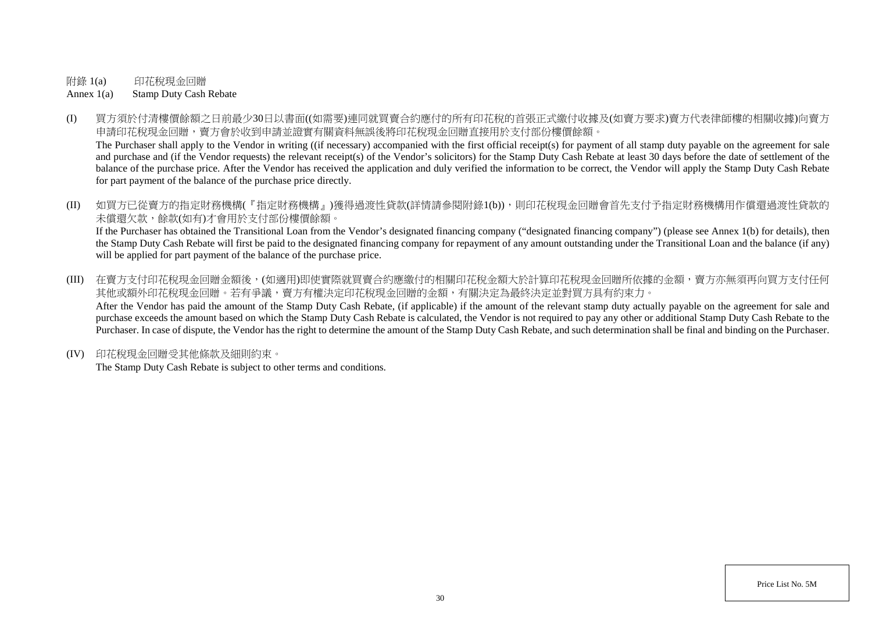附錄 1(a) 印花稅現金回贈

Annex 1(a) Stamp Duty Cash Rebate

(I) 買方須於付清樓價餘額之日前最少30日以書面((如需要)連同就買賣合約應付的所有印花稅的首張正式繳付收據及(如賣方要求)賣方代表律師樓的相關收據)向賣方 申請印花稅現金回贈,賣方會於收到申請並證實有關資料無誤後將印花稅現金回贈直接用於支付部份樓價餘額。

The Purchaser shall apply to the Vendor in writing ((if necessary) accompanied with the first official receipt(s) for payment of all stamp duty payable on the agreement for sale and purchase and (if the Vendor requests) the relevant receipt(s) of the Vendor's solicitors) for the Stamp Duty Cash Rebate at least 30 days before the date of settlement of the balance of the purchase price. After the Vendor has received the application and duly verified the information to be correct, the Vendor will apply the Stamp Duty Cash Rebate for part payment of the balance of the purchase price directly.

(II) 如買方已從賣方的指定財務機構(『指定財務機構』)獲得過渡性貸款(詳情請參閱附錄1(b)),則印花稅現金回贈會首先支付予指定財務機構用作償還過渡性貸款的 未償還欠款,餘款(如有)才會用於支付部份樓價餘額。 If the Purchaser has obtained the Transitional Loan from the Vendor's designated financing company ("designated financing company") (please see Annex 1(b) for details), then

the Stamp Duty Cash Rebate will first be paid to the designated financing company for repayment of any amount outstanding under the Transitional Loan and the balance (if any) will be applied for part payment of the balance of the purchase price.

- (III) 在賣方支付印花稅現金回贈金額後,(如適用)即使實際就買賣合約應繳付的相關印花稅金額大於計算印花稅現金回贈所依據的金額,賣方亦無須再向買方支付任何 其他或額外印花稅現金回贈。若有爭議,賣方有權決定印花稅現金回贈的金額,有關決定為最終決定並對買方具有約束力。 After the Vendor has paid the amount of the Stamp Duty Cash Rebate, (if applicable) if the amount of the relevant stamp duty actually payable on the agreement for sale and purchase exceeds the amount based on which the Stamp Duty Cash Rebate is calculated, the Vendor is not required to pay any other or additional Stamp Duty Cash Rebate to the Purchaser. In case of dispute, the Vendor has the right to determine the amount of the Stamp Duty Cash Rebate, and such determination shall be final and binding on the Purchaser.
- (IV) 印花稅現金回贈受其他條款及細則約束。

The Stamp Duty Cash Rebate is subject to other terms and conditions.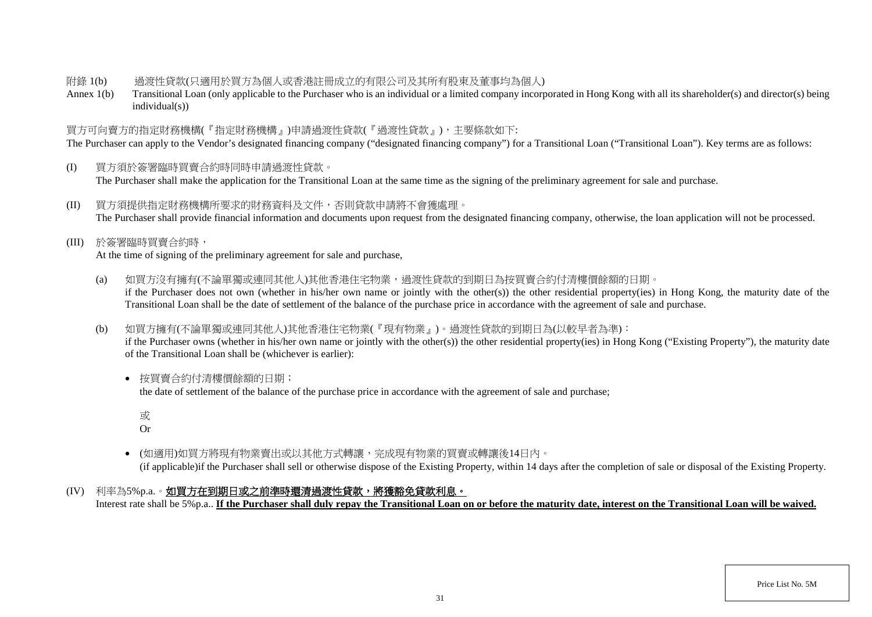### 附錄 1(b) 過渡性貸款(只適用於買方為個人或香港註冊成立的有限公司及其所有股東及董事均為個人)

Annex 1(b) Transitional Loan (only applicable to the Purchaser who is an individual or a limited company incorporated in Hong Kong with all its shareholder(s) and director(s) being individual(s))

## 買方可向賣方的指定財務機構(『指定財務機構』)申請過渡性貸款(『過渡性貸款』),主要條款如下:

The Purchaser can apply to the Vendor's designated financing company ("designated financing company") for a Transitional Loan ("Transitional Loan"). Key terms are as follows:

- (I) 買方須於簽署臨時買賣合約時同時申請過渡性貸款。 The Purchaser shall make the application for the Transitional Loan at the same time as the signing of the preliminary agreement for sale and purchase.
- (II) 買方須提供指定財務機構所要求的財務資料及文件,否則貸款申請將不會獲處理。 The Purchaser shall provide financial information and documents upon request from the designated financing company, otherwise, the loan application will not be processed.
- (III) 於簽署臨時買賣合約時,

At the time of signing of the preliminary agreement for sale and purchase,

- (a) 如買方沒有擁有(不論單獨或連同其他人)其他香港住宅物業,過渡性貸款的到期日為按買賣合約付清樓價餘額的日期。 if the Purchaser does not own (whether in his/her own name or jointly with the other(s)) the other residential property(ies) in Hong Kong, the maturity date of the Transitional Loan shall be the date of settlement of the balance of the purchase price in accordance with the agreement of sale and purchase.
- (b) 如買方擁有(不論單獨或連同其他人)其他香港住宅物業(『現有物業』)。過渡性貸款的到期日為(以較早者為準):

if the Purchaser owns (whether in his/her own name or jointly with the other(s)) the other residential property(ies) in Hong Kong ("Existing Property"), the maturity date of the Transitional Loan shall be (whichever is earlier):

• 按買賣合約付清樓價餘額的日期;

the date of settlement of the balance of the purchase price in accordance with the agreement of sale and purchase;

或

Or

- (如適用)如買方將現有物業賣出或以其他方式轉讓,完成現有物業的買賣或轉讓後14日內。 (if applicable)if the Purchaser shall sell or otherwise dispose of the Existing Property, within 14 days after the completion of sale or disposal of the Existing Property.
- (IV) 利率為5%p.a.。如買方在到期日或之前準時還清過渡性貸款,將獲豁免貸款利息。

Interest rate shall be 5%p.a.. **If the Purchaser shall duly repay the Transitional Loan on or before the maturity date, interest on the Transitional Loan will be waived.**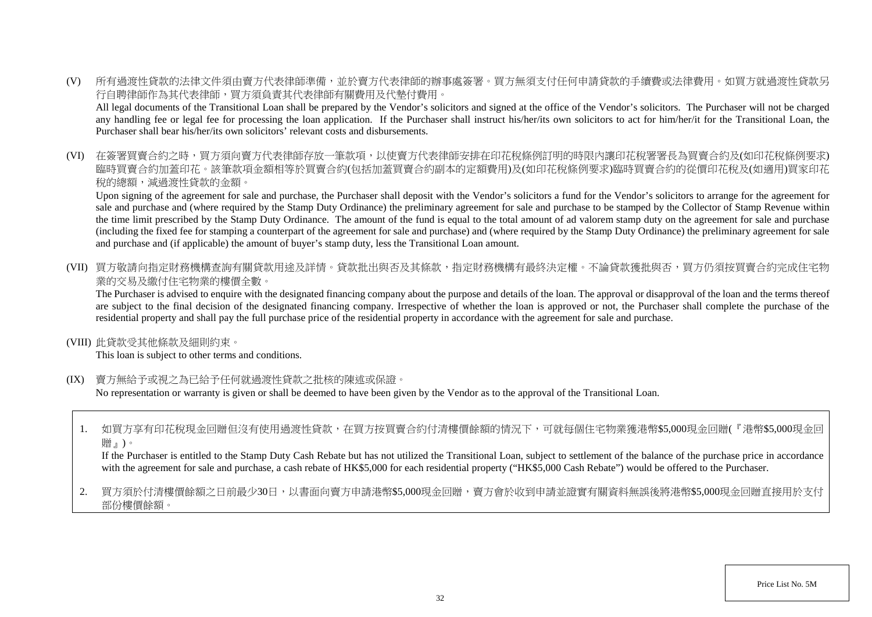(V) 所有過渡性貸款的法律文件須由賣方代表律師準備,並於賣方代表律師的辦事處簽署。買方無須支付任何申請貸款的手續費或法律費用。如買方就過渡性貸款另 行自聘律師作為其代表律師,買方須負責其代表律師有關費用及代墊付費用。

All legal documents of the Transitional Loan shall be prepared by the Vendor's solicitors and signed at the office of the Vendor's solicitors. The Purchaser will not be charged any handling fee or legal fee for processing the loan application. If the Purchaser shall instruct his/her/its own solicitors to act for him/her/it for the Transitional Loan, the Purchaser shall bear his/her/its own solicitors' relevant costs and disbursements.

(VI) 在簽署買賣合約之時,買方須向賣方代表律師存放一筆款項,以使賣方代表律師安排在印花稅條例訂明的時限內讓印花稅署署長為買賣合約及(如印花稅條例要求) 臨時買賣合約加蓋印花。該筆款項金額相等於買賣合約(包括加蓋買賣合約副本的定額費用)及(如印花稅條例要求)臨時買賣合約的從價印花稅及(如適用)買家印花 稅的總額,減過渡性貸款的金額。

Upon signing of the agreement for sale and purchase, the Purchaser shall deposit with the Vendor's solicitors a fund for the Vendor's solicitors to arrange for the agreement for sale and purchase and (where required by the Stamp Duty Ordinance) the preliminary agreement for sale and purchase to be stamped by the Collector of Stamp Revenue within the time limit prescribed by the Stamp Duty Ordinance. The amount of the fund is equal to the total amount of ad valorem stamp duty on the agreement for sale and purchase (including the fixed fee for stamping a counterpart of the agreement for sale and purchase) and (where required by the Stamp Duty Ordinance) the preliminary agreement for sale and purchase and (if applicable) the amount of buyer's stamp duty, less the Transitional Loan amount.

(VII) 買方敬請向指定財務機構查詢有關貸款用途及詳情。貸款批出與否及其條款,指定財務機構有最終決定權。不論貸款獲批與否,買方仍須按買賣合約完成住宅物 業的交易及繳付住宅物業的樓價全數。

The Purchaser is advised to enquire with the designated financing company about the purpose and details of the loan. The approval or disapproval of the loan and the terms thereof are subject to the final decision of the designated financing company. Irrespective of whether the loan is approved or not, the Purchaser shall complete the purchase of the residential property and shall pay the full purchase price of the residential property in accordance with the agreement for sale and purchase.

(VIII) 此貸款受其他條款及細則約束。

This loan is subject to other terms and conditions.

(IX) 賣方無給予或視之為已給予任何就過渡性貸款之批核的陳述或保證。

No representation or warranty is given or shall be deemed to have been given by the Vendor as to the approval of the Transitional Loan.

1. 如買方享有印花稅現金回贈但沒有使用過渡性貸款,在買方按買賣合約付清樓價餘額的情況下,可就每個住宅物業獲港幣\$5,000現金回贈(『港幣\$5,000現金回 贈』)。

If the Purchaser is entitled to the Stamp Duty Cash Rebate but has not utilized the Transitional Loan, subject to settlement of the balance of the purchase price in accordance with the agreement for sale and purchase, a cash rebate of HK\$5,000 for each residential property ("HK\$5,000 Cash Rebate") would be offered to the Purchaser.

2. 買方須於付清樓價餘額之日前最少30日,以書面向賣方申請港幣\$5,000現金回贈,賣方會於收到申請並證實有關資料無誤後將港幣\$5,000現金回贈直接用於支付 部份樓價餘額。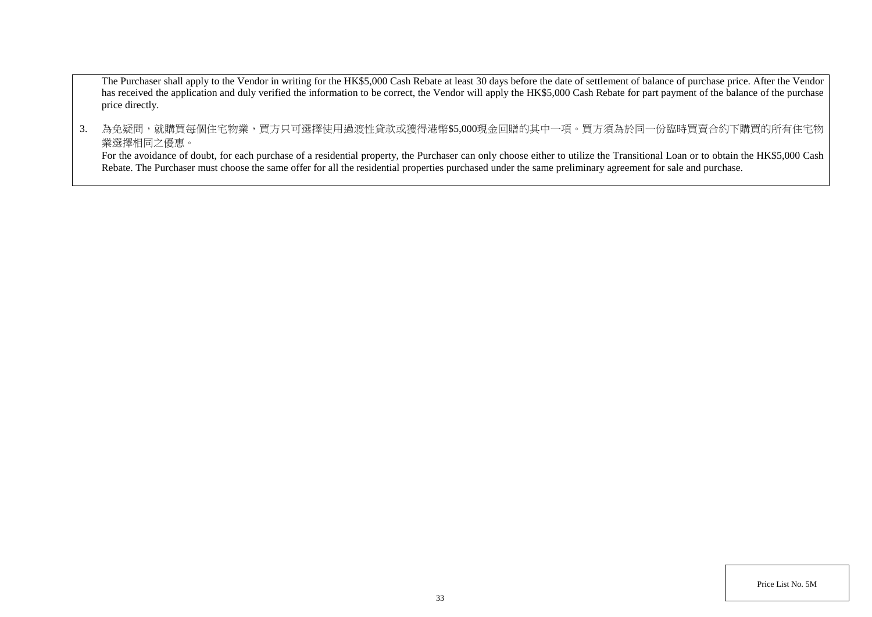The Purchaser shall apply to the Vendor in writing for the HK\$5,000 Cash Rebate at least 30 days before the date of settlement of balance of purchase price. After the Vendor has received the application and duly verified the information to be correct, the Vendor will apply the HK\$5,000 Cash Rebate for part payment of the balance of the purchase price directly.

3. 為免疑問,就購買每個住宅物業,買方只可選擇使用過渡性貸款或獲得港幣\$5,000現金回贈的其中一項。買方須為於同一份臨時買賣合約下購買的所有住宅物 業選擇相同之優惠。

For the avoidance of doubt, for each purchase of a residential property, the Purchaser can only choose either to utilize the Transitional Loan or to obtain the HK\$5,000 Cash Rebate. The Purchaser must choose the same offer for all the residential properties purchased under the same preliminary agreement for sale and purchase.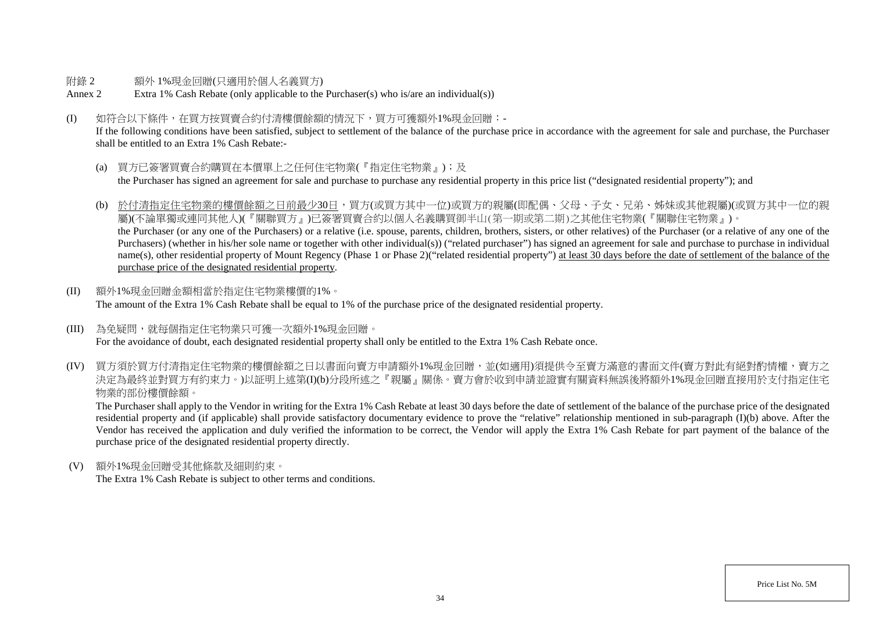#### 附錄 2 額外 1%現金回贈(只適用於個人名義買方)

- Annex 2 Extra 1% Cash Rebate (only applicable to the Purchaser(s) who is/are an individual(s))
- (I) 如符合以下條件,在買方按買賣合約付清樓價餘額的情況下,買方可獲額外1%現金回贈:-

If the following conditions have been satisfied, subject to settlement of the balance of the purchase price in accordance with the agreement for sale and purchase, the Purchaser shall be entitled to an Extra 1% Cash Rebate:-

- (a) 買方已簽署買賣合約購買在本價單上之任何住宅物業(『指定住宅物業』);及 the Purchaser has signed an agreement for sale and purchase to purchase any residential property in this price list ("designated residential property"); and
- (b) 於付清指定住宅物業的樓價餘額之日前最少30日,買方(或買方其中一位)或買方的親屬(即配偶、父母、子女、兄弟、姊妹或其他親屬)(或買方其中一位的親 屬)(不論單獨或連同其他人)(『關聯買方』)已簽署買賣合約以個人名義購買御半山(第一期或第二期)之其他住宅物業(『關聯住宅物業』)。 the Purchaser (or any one of the Purchasers) or a relative (i.e. spouse, parents, children, brothers, sisters, or other relatives) of the Purchaser (or a relative of any one of the Purchasers) (whether in his/her sole name or together with other individual(s)) ("related purchaser") has signed an agreement for sale and purchase to purchase in individual name(s), other residential property of Mount Regency (Phase 1 or Phase 2)("related residential property") at least 30 days before the date of settlement of the balance of the purchase price of the designated residential property.
- (II) 額外1%現金回贈金額相當於指定住宅物業樓價的1%。 The amount of the Extra 1% Cash Rebate shall be equal to 1% of the purchase price of the designated residential property.
- (III) 為免疑問,就每個指定住宅物業只可獲一次額外1%現金回贈。 For the avoidance of doubt, each designated residential property shall only be entitled to the Extra 1% Cash Rebate once.
- (IV) 買方須於買方付清指定住宅物業的樓價餘額之日以書面向賣方申請額外1%現金回贈,並(如適用)須提供今至賣方滿意的書面文件(賣方對此有絕對酌情權,賣方之 決定為最終並對買方有約束力。)以証明上述第(I)(b)分段所述之『親屬』關係。賣方會於收到申請並證實有關資料無誤後將額外1%現金回贈直接用於支付指定住宅 物業的部份樓價餘額。

The Purchaser shall apply to the Vendor in writing for the Extra 1% Cash Rebate at least 30 days before the date of settlement of the balance of the purchase price of the designated residential property and (if applicable) shall provide satisfactory documentary evidence to prove the "relative" relationship mentioned in sub-paragraph (I)(b) above. After the Vendor has received the application and duly verified the information to be correct, the Vendor will apply the Extra 1% Cash Rebate for part payment of the balance of the purchase price of the designated residential property directly.

(V) 額外1%現金回贈受其他條款及細則約束。

The Extra 1% Cash Rebate is subject to other terms and conditions.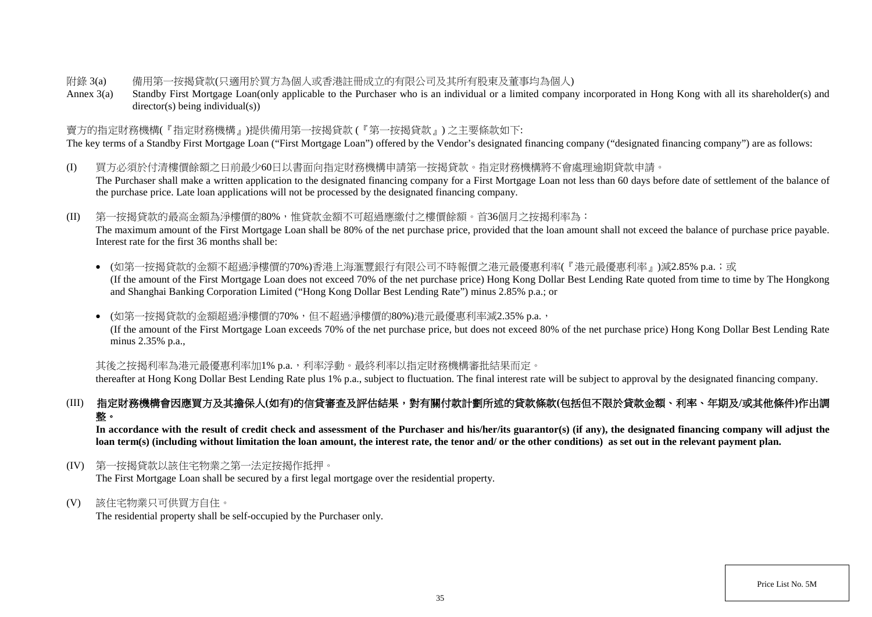#### 附錄 3(a) 備用第一按揭貸款(只適用於買方為個人或香港註冊成立的有限公司及其所有股東及董事均為個人)

Annex 3(a) Standby First Mortgage Loan(only applicable to the Purchaser who is an individual or a limited company incorporated in Hong Kong with all its shareholder(s) and director(s) being individual(s))

### 賣方的指定財務機構(『指定財務機構』)提供備用第一按揭貸款 (『第一按揭貸款』) 之主要條款如下:

The key terms of a Standby First Mortgage Loan ("First Mortgage Loan") offered by the Vendor's designated financing company ("designated financing company") are as follows:

- (I) 買方必須於付清樓價餘額之日前最少60日以書面向指定財務機構申請第一按揭貸款。指定財務機構將不會處理逾期貸款申請。 The Purchaser shall make a written application to the designated financing company for a First Mortgage Loan not less than 60 days before date of settlement of the balance of the purchase price. Late loan applications will not be processed by the designated financing company.
- (II) 第一按揭貸款的最高金額為淨樓價的80%,惟貸款金額不可超過應繳付之樓價餘額。首36個月之按揭利率為:

The maximum amount of the First Mortgage Loan shall be 80% of the net purchase price, provided that the loan amount shall not exceed the balance of purchase price payable. Interest rate for the first 36 months shall be:

• (如第一按揭貸款的金額不超過淨樓價的70%)香港上海滙豐銀行有限公司不時報價之港元最優惠利率(『港元最優惠利率』)減2.85% p.a.;或 (If the amount of the First Mortgage Loan does not exceed 70% of the net purchase price) Hong Kong Dollar Best Lending Rate quoted from time to time by The Hongkong and Shanghai Banking Corporation Limited ("Hong Kong Dollar Best Lending Rate") minus 2.85% p.a.; or

• (如第一按揭貸款的金額超過淨樓價的70%,但不超過淨樓價的80%)港元最優惠利率減2.35% p.a., (If the amount of the First Mortgage Loan exceeds 70% of the net purchase price, but does not exceed 80% of the net purchase price) Hong Kong Dollar Best Lending Rate minus 2.35% p.a.,

其後之按揭利率為港元最優惠利率加1% p.a., 利率浮動。最終利率以指定財務機構審批結果而定。

thereafter at Hong Kong Dollar Best Lending Rate plus 1% p.a., subject to fluctuation. The final interest rate will be subject to approval by the designated financing company.

# (III) 指定財務機構會因應買方及其擔保人**(**如有**)**的信貸審查及評估結果,對有關付款計劃所述的貸款條款**(**包括但不限於貸款金額、利率、年期及**/**或其他條件**)**作出調 整。

In accordance with the result of credit check and assessment of the Purchaser and his/her/its guarantor(s) (if any), the designated financing company will adjust the **loan term(s) (including without limitation the loan amount, the interest rate, the tenor and/ or the other conditions) as set out in the relevant payment plan.**

(IV) 第一按揭貸款以該住宅物業之第一法定按揭作抵押。

The First Mortgage Loan shall be secured by a first legal mortgage over the residential property.

(V) 該住宅物業只可供買方自住。

The residential property shall be self-occupied by the Purchaser only.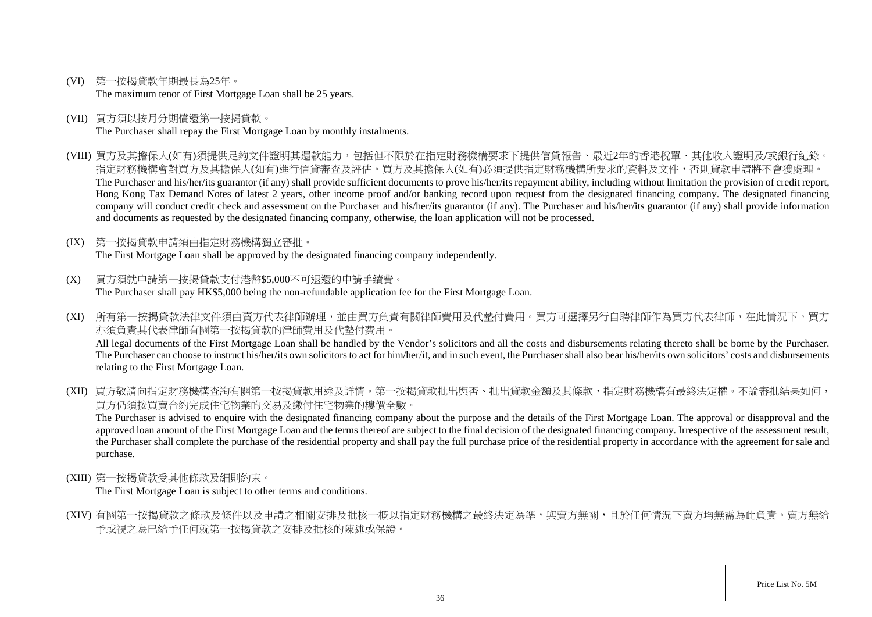- (VI) 第一按揭貸款年期最長為25年。 The maximum tenor of First Mortgage Loan shall be 25 years.
- (VII) 買方須以按月分期償還第一按揭貸款。 The Purchaser shall repay the First Mortgage Loan by monthly instalments.
- (VIII) 買方及其擔保人(如有)須提供足夠文件證明其還款能力,包括但不限於在指定財務機構要求下提供信貸報告、最近2年的香港稅單、其他收入證明及/或銀行紀錄。 指定財務機構會對買方及其擔保人(如有)進行信貸審查及評估。買方及其擔保人(如有)必須提供指定財務機構所要求的資料及文件,否則貸款申請將不會獲處理。 The Purchaser and his/her/its guarantor (if any) shall provide sufficient documents to prove his/her/its repayment ability, including without limitation the provision of credit report, Hong Kong Tax Demand Notes of latest 2 years, other income proof and/or banking record upon request from the designated financing company. The designated financing company will conduct credit check and assessment on the Purchaser and his/her/its guarantor (if any). The Purchaser and his/her/its guarantor (if any) shall provide information and documents as requested by the designated financing company, otherwise, the loan application will not be processed.
- (IX) 第一按揭貸款申請須由指定財務機構獨立審批。 The First Mortgage Loan shall be approved by the designated financing company independently.
- (X) 買方須就申請第一按揭貸款支付港幣\$5,000不可退還的申請手續費。 The Purchaser shall pay HK\$5,000 being the non-refundable application fee for the First Mortgage Loan.
- (XI) 所有第一按揭貸款法律文件須由賣方代表律師辦理,並由買方負責有關律師費用及代墊付費用。買方可選擇另行自聘律師作為買方代表律師,在此情況下,買方 亦須負責其代表律師有關第一按揭貸款的律師費用及代墊付費用。 All legal documents of the First Mortgage Loan shall be handled by the Vendor's solicitors and all the costs and disbursements relating thereto shall be borne by the Purchaser. The Purchaser can choose to instruct his/her/its own solicitors to act for him/her/it, and in such event, the Purchaser shall also bear his/her/its own solicitors' costs and disbursements relating to the First Mortgage Loan.
- (XII) 買方敬請向指定財務機構查詢有關第一按揭貸款用涂及詳情。第一按揭貸款批出與否、批出貸款金額及其條款,指定財務機構有最終決定權。不論審批結果如何, 買方仍須按買賣合約完成住宅物業的交易及繳付住宅物業的樓價全數。

The Purchaser is advised to enquire with the designated financing company about the purpose and the details of the First Mortgage Loan. The approval or disapproval and the approved loan amount of the First Mortgage Loan and the terms thereof are subject to the final decision of the designated financing company. Irrespective of the assessment result, the Purchaser shall complete the purchase of the residential property and shall pay the full purchase price of the residential property in accordance with the agreement for sale and purchase.

(XIII) 第一按揭貸款受其他條款及細則約束。

The First Mortgage Loan is subject to other terms and conditions.

(XIV) 有關第一按揭貸款之條款及條件以及申請之相關安排及批核一概以指定財務機構之最終決定為準,與賣方無關,且於任何情況下賣方均無需為此負責。賣方無給 予或視之為已給予任何就第一按揭貸款之安排及批核的陳述或保證。

Price List No. 5M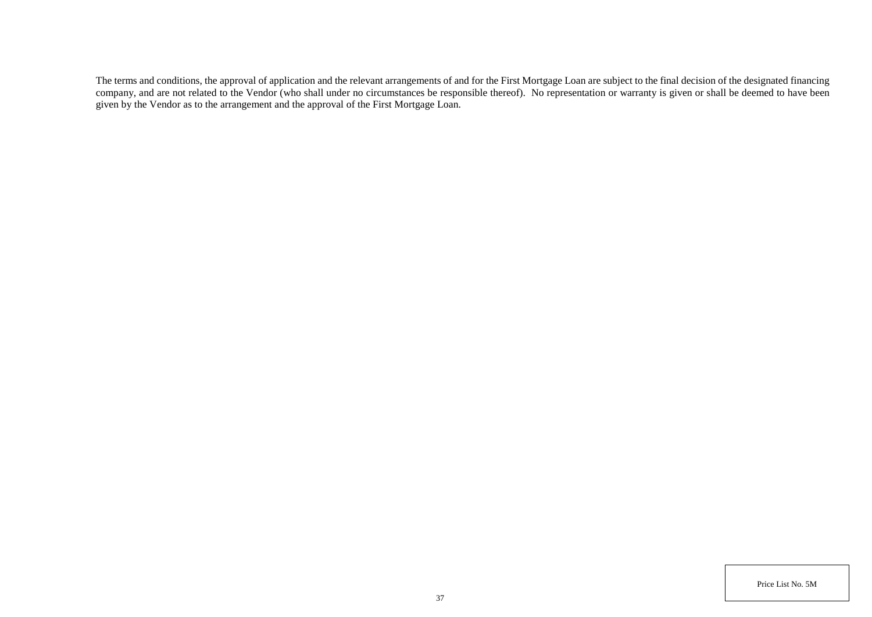The terms and conditions, the approval of application and the relevant arrangements of and for the First Mortgage Loan are subject to the final decision of the designated financing company, and are not related to the Vendor (who shall under no circumstances be responsible thereof). No representation or warranty is given or shall be deemed to have been given by the Vendor as to the arrangement and the approval of the First Mortgage Loan.

Price List No. 5M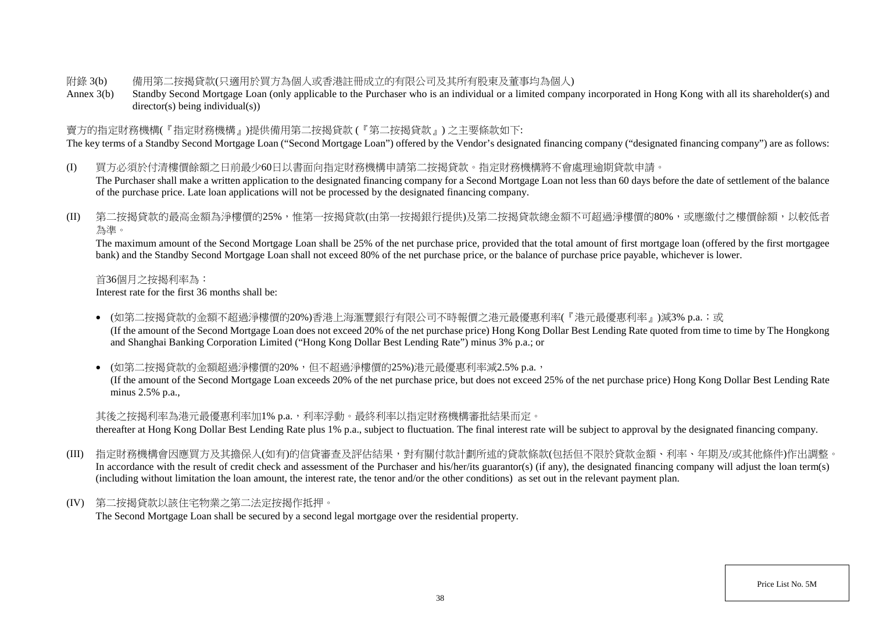#### 附錄 3(b) 備用第二按揭貸款(只適用於買方為個人或香港註冊成立的有限公司及其所有股東及董事均為個人)

Annex 3(b) Standby Second Mortgage Loan (only applicable to the Purchaser who is an individual or a limited company incorporated in Hong Kong with all its shareholder(s) and director(s) being individual(s))

### 賣方的指定財務機構(『指定財務機構』)提供備用第二按揭貸款 (『第二按揭貸款』) 之主要條款如下:

The key terms of a Standby Second Mortgage Loan ("Second Mortgage Loan") offered by the Vendor's designated financing company ("designated financing company") are as follows:

- (I) 買方必須於付清樓價餘額之日前最少60日以書面向指定財務機構申請第二按揭貸款。指定財務機構將不會處理逾期貸款申請。 The Purchaser shall make a written application to the designated financing company for a Second Mortgage Loan not less than 60 days before the date of settlement of the balance of the purchase price. Late loan applications will not be processed by the designated financing company.
- (II) 第二按揭貸款的最高金額為淨樓價的25%,惟第一按揭貸款(由第一按揭銀行提供)及第二按揭貸款總金額不可超過淨樓價的80%,或應繳付之樓價餘額,以較低者 為準。

The maximum amount of the Second Mortgage Loan shall be 25% of the net purchase price, provided that the total amount of first mortgage loan (offered by the first mortgagee bank) and the Standby Second Mortgage Loan shall not exceed 80% of the net purchase price, or the balance of purchase price payable, whichever is lower.

首36個月之按揭利率為:

Interest rate for the first 36 months shall be:

• (如第二按揭貸款的金額不超過淨樓價的20%)香港上海滙豐銀行有限公司不時報價之港元最優惠利率(『港元最優惠利率』)減3% p.a.;或 (If the amount of the Second Mortgage Loan does not exceed 20% of the net purchase price) Hong Kong Dollar Best Lending Rate quoted from time to time by The Hongkong and Shanghai Banking Corporation Limited ("Hong Kong Dollar Best Lending Rate") minus 3% p.a.; or

• (如第二按揭貸款的金額超過淨樓價的20%,但不超過淨樓價的25%)港元最優惠利率減2.5% p.a., (If the amount of the Second Mortgage Loan exceeds 20% of the net purchase price, but does not exceed 25% of the net purchase price) Hong Kong Dollar Best Lending Rate minus 2.5% p.a.,

其後之按揭利率為港元最優惠利率加1% p.a.,利率浮動。最終利率以指定財務機構審批結果而定。

thereafter at Hong Kong Dollar Best Lending Rate plus 1% p.a., subject to fluctuation. The final interest rate will be subject to approval by the designated financing company.

- (III) 指定財務機構會因應買方及其擔保人(如有)的信貸審查及評估結果,對有關付款計劃所述的貸款條款(包括但不限於貸款金額、利率、年期及/或其他條件)作出調整。 In accordance with the result of credit check and assessment of the Purchaser and his/her/its guarantor(s) (if any), the designated financing company will adjust the loan term(s) (including without limitation the loan amount, the interest rate, the tenor and/or the other conditions) as set out in the relevant payment plan.
- (IV) 第二按揭貸款以該住宅物業之第二法定按揭作抵押。 The Second Mortgage Loan shall be secured by a second legal mortgage over the residential property.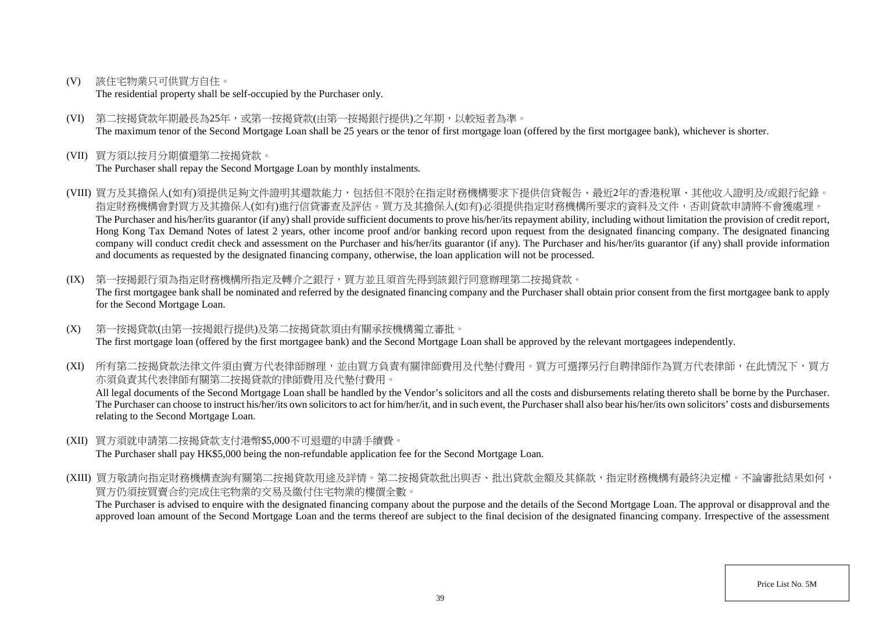(V) 該住宅物業只可供買方自住。

The residential property shall be self-occupied by the Purchaser only.

- (VI) 第二按揭貸款年期最長為25年,或第一按揭貸款(由第一按揭銀行提供)之年期,以較短者為準。 The maximum tenor of the Second Mortgage Loan shall be 25 years or the tenor of first mortgage loan (offered by the first mortgagee bank), whichever is shorter.
- (VII) 買方須以按月分期償還第二按揭貸款。

The Purchaser shall repay the Second Mortgage Loan by monthly instalments.

- (VIII) 買方及其擔保人(如有)須提供足夠文件證明其還款能力,包括但不限於在指定財務機構要求下提供信貸報告、最近2年的香港稅單、其他收入證明及/或銀行紀錄。 指定財務機構會對買方及其擔保人(如有)進行信貸審查及評估。買方及其擔保人(如有)必須提供指定財務機構所要求的資料及文件,否則貸款申請將不會獲處理。 The Purchaser and his/her/its guarantor (if any) shall provide sufficient documents to prove his/her/its repayment ability, including without limitation the provision of credit report, Hong Kong Tax Demand Notes of latest 2 years, other income proof and/or banking record upon request from the designated financing company. The designated financing company will conduct credit check and assessment on the Purchaser and his/her/its guarantor (if any). The Purchaser and his/her/its guarantor (if any) shall provide information and documents as requested by the designated financing company, otherwise, the loan application will not be processed.
- (IX) 第一按揭銀行須為指定財務機構所指定及轉介之銀行,買方並且須首先得到該銀行同意辦理第二按揭貸款。 The first mortgagee bank shall be nominated and referred by the designated financing company and the Purchaser shall obtain prior consent from the first mortgagee bank to apply for the Second Mortgage Loan.
- (X) 第一按揭貸款(由第一按揭銀行提供)及第二按揭貸款須由有關承按機構獨立審批。 The first mortgage loan (offered by the first mortgagee bank) and the Second Mortgage Loan shall be approved by the relevant mortgagees independently.

(XI) 所有第二按揭貸款法律文件須由賣方代表律師辦理,並由買方負責有關律師費用及代墊付費用。買方可選擇另行自聘律師作為買方代表律師,在此情況下,買方 亦須負責其代表律師有關第二按揭貸款的律師費用及代墊付費用。

All legal documents of the Second Mortgage Loan shall be handled by the Vendor's solicitors and all the costs and disbursements relating thereto shall be borne by the Purchaser. The Purchaser can choose to instruct his/her/its own solicitors to act for him/her/it, and in such event, the Purchaser shall also bear his/her/its own solicitors' costs and disbursements relating to the Second Mortgage Loan.

- (XII) 買方須就申請第二按揭貸款支付港幣\$5,000不可退還的申請手續費。 The Purchaser shall pay HK\$5,000 being the non-refundable application fee for the Second Mortgage Loan.
- (XIII) 買方敬請向指定財務機構查詢有關第二按揭貸款用途及詳情。第二按揭貸款批出與否、批出貸款金額及其條款,指定財務機構有最終決定權。不論審批結果如何, 買方仍須按買賣合約完成住宅物業的交易及繳付住宅物業的樓價全數。

The Purchaser is advised to enquire with the designated financing company about the purpose and the details of the Second Mortgage Loan. The approval or disapproval and the approved loan amount of the Second Mortgage Loan and the terms thereof are subject to the final decision of the designated financing company. Irrespective of the assessment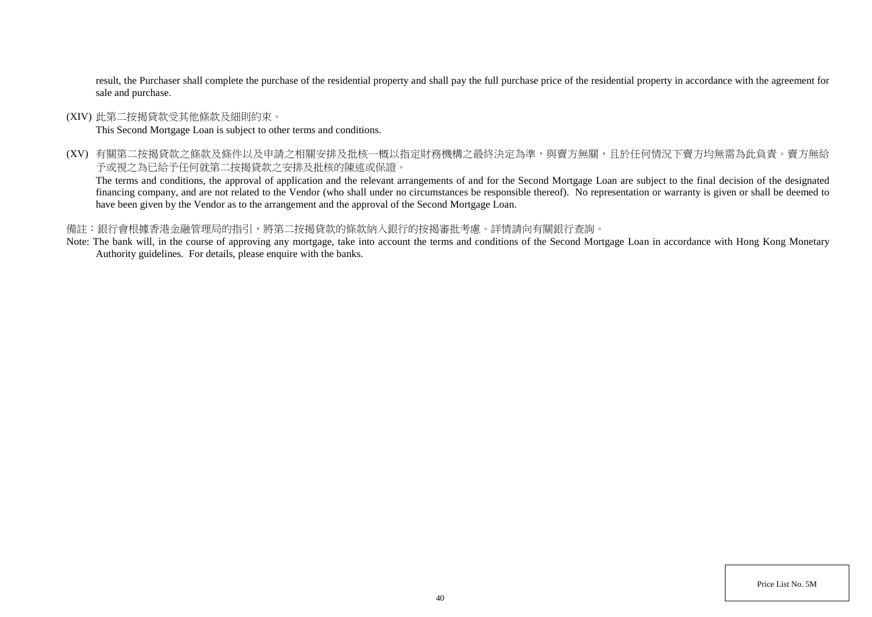result, the Purchaser shall complete the purchase of the residential property and shall pay the full purchase price of the residential property in accordance with the agreement for sale and purchase.

(XIV) 此第二按揭貸款受其他條款及細則約束。

This Second Mortgage Loan is subject to other terms and conditions.

(XV) 有關第二按揭貸款之條款及條件以及申請之相關安排及批核一概以指定財務機構之最終決定為準,與賣方無關,且於任何情況下賣方均無需為此負責。賣方無給 予或視之為已給予任何就第二按揭貸款之安排及批核的陳述或保證。

The terms and conditions, the approval of application and the relevant arrangements of and for the Second Mortgage Loan are subject to the final decision of the designated financing company, and are not related to the Vendor (who shall under no circumstances be responsible thereof). No representation or warranty is given or shall be deemed to have been given by the Vendor as to the arrangement and the approval of the Second Mortgage Loan.

### 備註:銀行會根據香港金融管理局的指引,將第二按揭貸款的條款納入銀行的按揭審批考慮。詳情請向有關銀行查詢。

Note: The bank will, in the course of approving any mortgage, take into account the terms and conditions of the Second Mortgage Loan in accordance with Hong Kong Monetary Authority guidelines. For details, please enquire with the banks.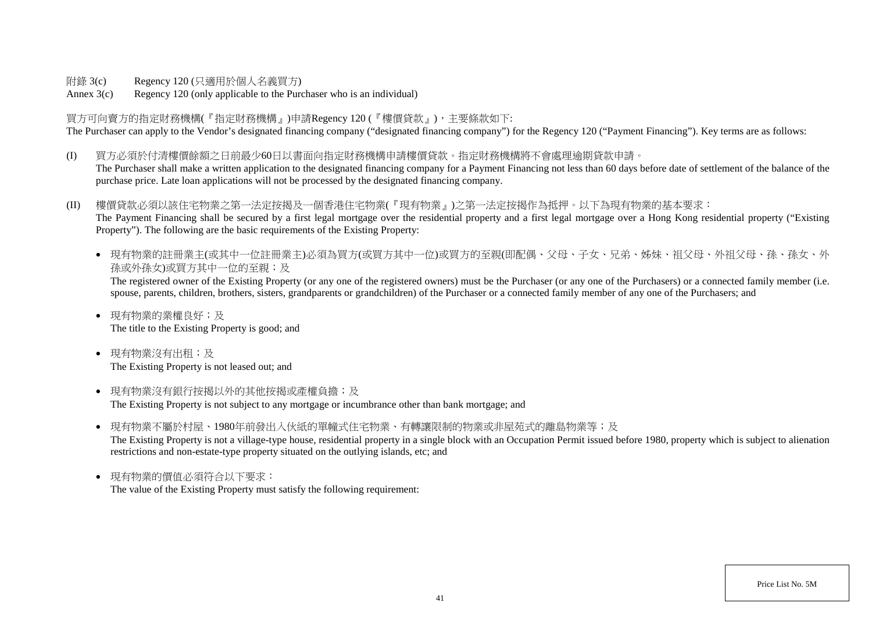附錄 3(c) Regency 120 (只適用於個人名義買方)

Annex 3(c) Regency 120 (only applicable to the Purchaser who is an individual)

買方可向賣方的指定財務機構(『指定財務機構』)申請Regency 120 (『樓價貸款』),主要條款如下: The Purchaser can apply to the Vendor's designated financing company ("designated financing company") for the Regency 120 ("Payment Financing"). Key terms are as follows:

(I) 買方必須於付清樓價餘額之日前最少60日以書面向指定財務機構申請樓價貸款。指定財務機構將不會處理逾期貸款申請。 The Purchaser shall make a written application to the designated financing company for a Payment Financing not less than 60 days before date of settlement of the balance of the purchase price. Late loan applications will not be processed by the designated financing company.

(II) 樓價貸款必須以該住宅物業之第一法定按揭及一個香港住宅物業(『現有物業』)之第一法定按揭作為抵押。以下為現有物業的基本要求: The Payment Financing shall be secured by a first legal mortgage over the residential property and a first legal mortgage over a Hong Kong residential property ("Existing Property"). The following are the basic requirements of the Existing Property:

● 現有物業的註冊業主(或其中一位註冊業主)必須為買方(或買方其中一位)或買方的至親(即配偶、父母、子女、兄弟、姊妹、祖父母、外祖父母、孫、孫女、外 孫或外孫女)或買方其中一位的至親;及

The registered owner of the Existing Property (or any one of the registered owners) must be the Purchaser (or any one of the Purchasers) or a connected family member (i.e. spouse, parents, children, brothers, sisters, grandparents or grandchildren) of the Purchaser or a connected family member of any one of the Purchasers; and

- 現有物業的業權良好;及 The title to the Existing Property is good; and
- 現有物業沒有出租;及 The Existing Property is not leased out; and
- 現有物業沒有銀行按揭以外的其他按揭或產權負擔;及 The Existing Property is not subject to any mortgage or incumbrance other than bank mortgage; and
- 現有物業不屬於村屋、1980年前發出入伙紙的單幢式住宅物業、有轉讓限制的物業或非屋苑式的離鳥物業等;及 The Existing Property is not a village-type house, residential property in a single block with an Occupation Permit issued before 1980, property which is subject to alienation restrictions and non-estate-type property situated on the outlying islands, etc; and
- 現有物業的價值必須符合以下要求: The value of the Existing Property must satisfy the following requirement: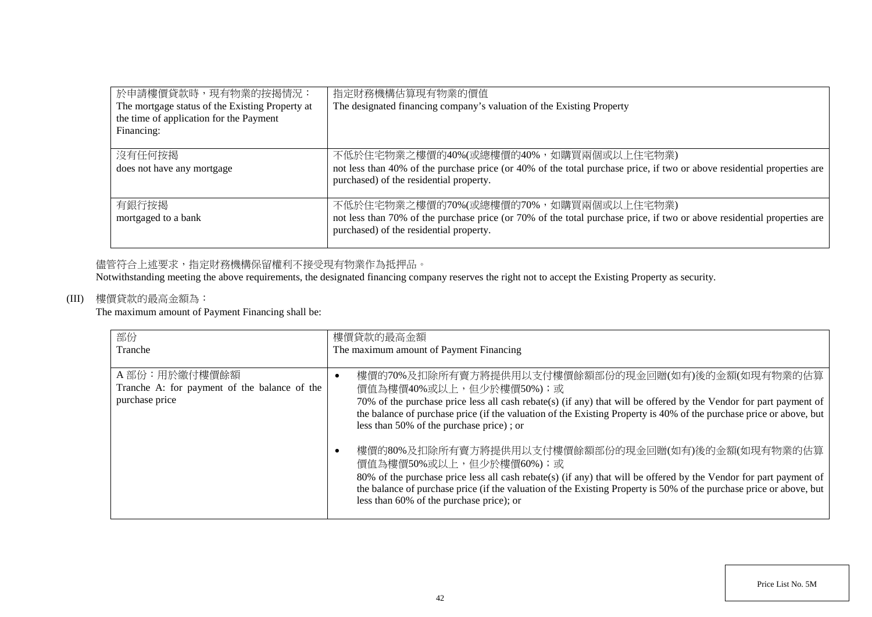| 於申請樓價貸款時,現有物業的按揭情況:<br>The mortgage status of the Existing Property at<br>the time of application for the Payment<br>Financing: | 指定財務機構估算現有物業的價值<br>The designated financing company's valuation of the Existing Property                                                                                                                    |
|---------------------------------------------------------------------------------------------------------------------------------|-------------------------------------------------------------------------------------------------------------------------------------------------------------------------------------------------------------|
| 沒有任何按揭<br>does not have any mortgage                                                                                            | 不低於住宅物業之樓價的40%(或總樓價的40%,如購買兩個或以上住宅物業)<br>not less than 40% of the purchase price (or 40% of the total purchase price, if two or above residential properties are<br>purchased) of the residential property. |
| 有銀行按揭<br>mortgaged to a bank                                                                                                    | 不低於住宅物業之樓價的70%(或總樓價的70%,如購買兩個或以上住宅物業)<br>not less than 70% of the purchase price (or 70% of the total purchase price, if two or above residential properties are<br>purchased) of the residential property. |

# 儘管符合上述要求,指定財務機構保留權利不接受現有物業作為抵押品。

Notwithstanding meeting the above requirements, the designated financing company reserves the right not to accept the Existing Property as security.

## (III) 樓價貸款的最高金額為:

The maximum amount of Payment Financing shall be:

| 部份                                           | 樓價貸款的最高金額                                                                                                           |
|----------------------------------------------|---------------------------------------------------------------------------------------------------------------------|
| Tranche                                      | The maximum amount of Payment Financing                                                                             |
|                                              |                                                                                                                     |
| A部份:用於繳付樓價餘額                                 | 樓價的70%及扣除所有賣方將提供用以支付樓價餘額部份的現金回贈(如有)後的金額(如現有物業的估算                                                                    |
| Tranche A: for payment of the balance of the | 價值為樓價40%或以上,但少於樓價50%);或                                                                                             |
| purchase price                               | 70% of the purchase price less all cash rebate(s) (if any) that will be offered by the Vendor for part payment of   |
|                                              | the balance of purchase price (if the valuation of the Existing Property is 40% of the purchase price or above, but |
|                                              | less than 50% of the purchase price); or                                                                            |
|                                              |                                                                                                                     |
|                                              | 樓價的80%及扣除所有賣方將提供用以支付樓價餘額部份的現金回贈(如有)後的金額(如現有物業的估算                                                                    |
|                                              | 價值為樓價50%或以上,但少於樓價60%);或                                                                                             |
|                                              | 80% of the purchase price less all cash rebate(s) (if any) that will be offered by the Vendor for part payment of   |
|                                              | the balance of purchase price (if the valuation of the Existing Property is 50% of the purchase price or above, but |
|                                              | less than 60% of the purchase price); or                                                                            |
|                                              |                                                                                                                     |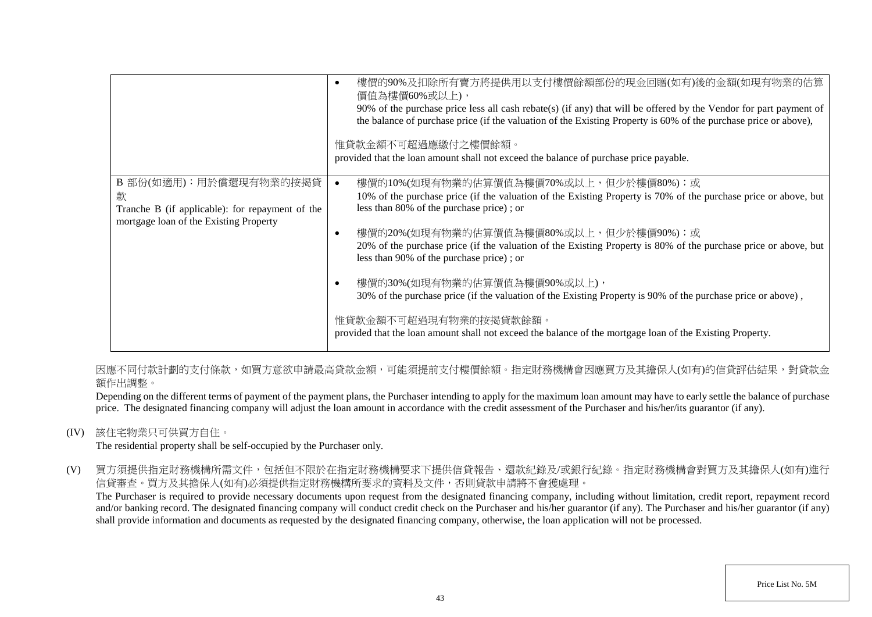|                                                                                                                           | 樓價的90%及扣除所有賣方將提供用以支付樓價餘額部份的現金回贈(如有)後的金額(如現有物業的估算<br>價值為樓價60%或以上),<br>90% of the purchase price less all cash rebate(s) (if any) that will be offered by the Vendor for part payment of<br>the balance of purchase price (if the valuation of the Existing Property is 60% of the purchase price or above),<br>惟貸款金額不可超過應繳付之樓價餘額。<br>provided that the loan amount shall not exceed the balance of purchase price payable.                                                                                                                                                                                                                                                                                      |
|---------------------------------------------------------------------------------------------------------------------------|----------------------------------------------------------------------------------------------------------------------------------------------------------------------------------------------------------------------------------------------------------------------------------------------------------------------------------------------------------------------------------------------------------------------------------------------------------------------------------------------------------------------------------------------------------------------------------------------------------------------------------------------------------------------------------------------------------------|
| B 部份(如適用): 用於償還現有物業的按揭貸<br>款<br>Tranche B (if applicable): for repayment of the<br>mortgage loan of the Existing Property | 樓價的10%(如現有物業的估算價值為樓價70%或以上,但少於樓價80%);或<br>10% of the purchase price (if the valuation of the Existing Property is 70% of the purchase price or above, but<br>less than 80% of the purchase price); or<br>樓價的20%(如現有物業的估算價值為樓價80%或以上,但少於樓價90%);或<br>O<br>20% of the purchase price (if the valuation of the Existing Property is 80% of the purchase price or above, but<br>less than 90% of the purchase price); or<br>樓價的30%(如現有物業的估算價值為樓價90%或以上),<br>O<br>30% of the purchase price (if the valuation of the Existing Property is 90% of the purchase price or above),<br>惟貸款金額不可超過現有物業的按揭貸款餘額。<br>provided that the loan amount shall not exceed the balance of the mortgage loan of the Existing Property. |

因應不同付款計劃的支付條款,如買方意欲申請最高貸款金額,可能須提前支付樓價餘額。指定財務機構會因應買方及其擔保人(如有)的信貸評估結果,對貸款金 額作出調整。

Depending on the different terms of payment of the payment plans, the Purchaser intending to apply for the maximum loan amount may have to early settle the balance of purchase price. The designated financing company will adjust the loan amount in accordance with the credit assessment of the Purchaser and his/her/its guarantor (if any).

(IV) 該住宅物業只可供買方自住。

The residential property shall be self-occupied by the Purchaser only.

(V) 買方須提供指定財務機構所需文件,包括但不限於在指定財務機構要求下提供信貸報告、還款紀錄及/或銀行紀錄。指定財務機構會對買方及其擔保人(如有)進行 信貸審查。買方及其擔保人(如有)必須提供指定財務機構所要求的資料及文件,否則貸款申請將不會獲處理。

The Purchaser is required to provide necessary documents upon request from the designated financing company, including without limitation, credit report, repayment record and/or banking record. The designated financing company will conduct credit check on the Purchaser and his/her guarantor (if any). The Purchaser and his/her guarantor (if any) shall provide information and documents as requested by the designated financing company, otherwise, the loan application will not be processed.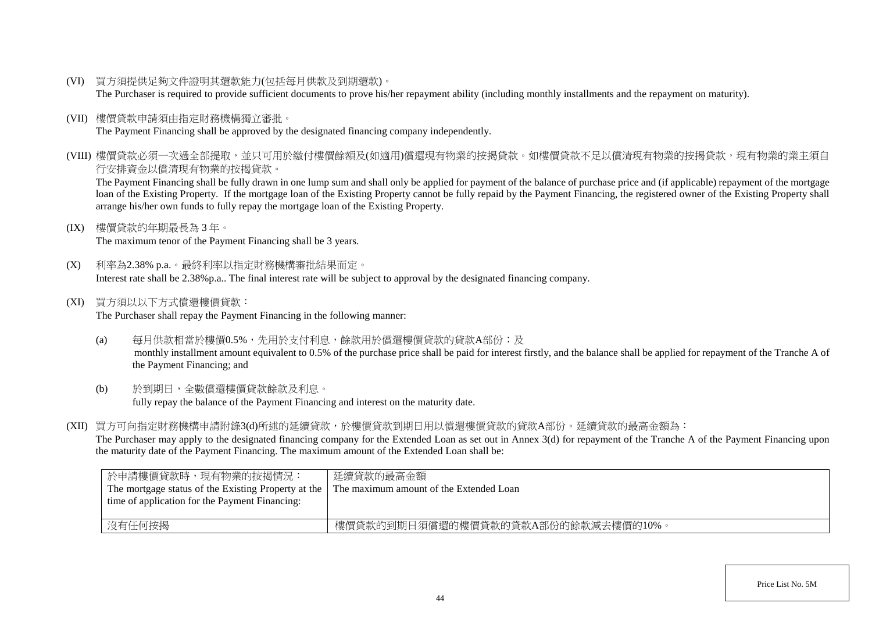(VI) 買方須提供足夠文件證明其還款能力(包括每月供款及到期還款)。

The Purchaser is required to provide sufficient documents to prove his/her repayment ability (including monthly installments and the repayment on maturity).

(VII) 樓價貸款申請須由指定財務機構獨立審批。

The Payment Financing shall be approved by the designated financing company independently.

(VIII) 樓價貸款必須一次過全部提取,並只可用於繳付樓價餘額及(如適用)償還現有物業的按揭貸款。如樓價貸款不足以償清現有物業的按揭貸款,現有物業的業主須自 行安排資金以償清現有物業的按揭貸款。

The Payment Financing shall be fully drawn in one lump sum and shall only be applied for payment of the balance of purchase price and (if applicable) repayment of the mortgage loan of the Existing Property. If the mortgage loan of the Existing Property cannot be fully repaid by the Payment Financing, the registered owner of the Existing Property shall arrange his/her own funds to fully repay the mortgage loan of the Existing Property.

(IX) 樓價貸款的年期最長為 3 年。

The maximum tenor of the Payment Financing shall be 3 years.

- (X) 利率為2.38% p.a.。最終利率以指定財務機構審批結果而定。 Interest rate shall be 2.38%p.a.. The final interest rate will be subject to approval by the designated financing company.
- (XI) 買方須以以下方式償還樓價貸款:

The Purchaser shall repay the Payment Financing in the following manner:

- (a) 每月供款相當於樓價0.5%,先用於支付利息,餘款用於償還樓價貸款的貸款A部份;及 monthly installment amount equivalent to 0.5% of the purchase price shall be paid for interest firstly, and the balance shall be applied for repayment of the Tranche A of the Payment Financing; and
- (b) 於到期日,全數償還樓價貸款餘款及利息。 fully repay the balance of the Payment Financing and interest on the maturity date.
- (XII) 買方可向指定財務機構申請附錄3(d)所述的延續貸款,於樓價貸款到期日用以償還樓價貸款的貸款A部份。延續貸款的最高金額為:

The Purchaser may apply to the designated financing company for the Extended Loan as set out in Annex 3(d) for repayment of the Tranche A of the Payment Financing upon the maturity date of the Payment Financing. The maximum amount of the Extended Loan shall be:

| 於申請樓價貸款時,現有物業的按揭情況:<br>The mortgage status of the Existing Property at the<br>time of application for the Payment Financing: | 延續貸款的最高金額<br>The maximum amount of the Extended Loan |
|------------------------------------------------------------------------------------------------------------------------------|------------------------------------------------------|
| 沒有任何按揭                                                                                                                       | 樓價貸款的到期日須償還的樓價貸款的貸款A部份的餘款減去樓價的10%。                   |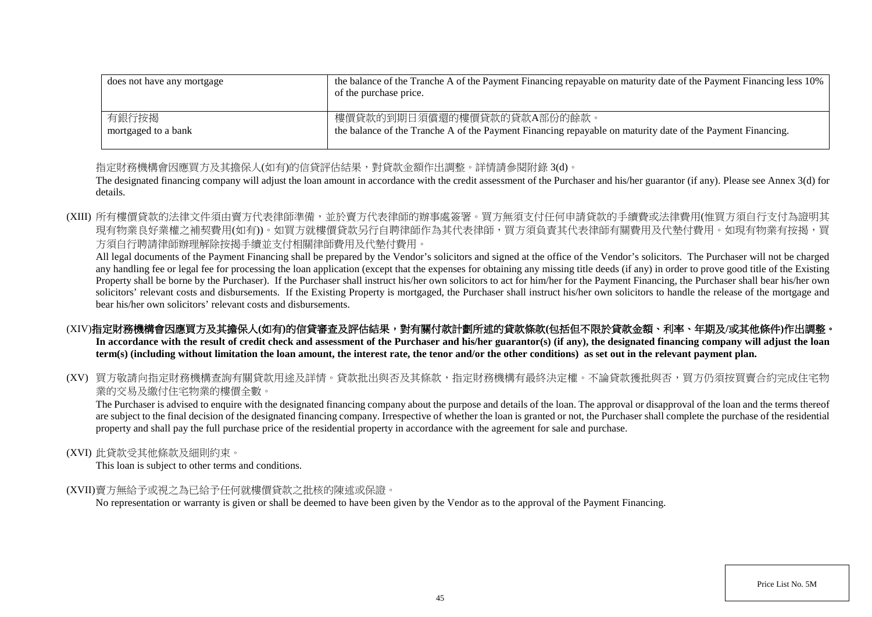| does not have any mortgage | the balance of the Tranche A of the Payment Financing repayable on maturity date of the Payment Financing less 10%<br>of the purchase price. |
|----------------------------|----------------------------------------------------------------------------------------------------------------------------------------------|
| 有銀行按揭                      | 樓價貸款的到期日須償還的樓價貸款的貸款A部份的餘款。                                                                                                                   |
| mortgaged to a bank        | the balance of the Tranche A of the Payment Financing repayable on maturity date of the Payment Financing.                                   |

指定財務機構會因應買方及其擔保人(如有)的信貸評估結果,對貸款金額作出調整。詳情請參閱附錄 3(d)。

The designated financing company will adjust the loan amount in accordance with the credit assessment of the Purchaser and his/her guarantor (if any). Please see Annex 3(d) for details.

(XIII) 所有樓價貸款的法律文件須由賣方代表律師準備,並於賣方代表律師的辦事處簽署。買方無須支付任何申請貸款的手續費或法律費用(惟買方須自行支付為證明其 現有物業良好業權之補契費用(如有))。如買方就樓價貸款另行自聘律師作為其代表律師,買方須負責其代表律師有關費用及代墊付費用。如現有物業有按揭,買 方須自行聘請律師辦理解除按揭手續並支付相關律師費用及代墊付費用。

All legal documents of the Payment Financing shall be prepared by the Vendor's solicitors and signed at the office of the Vendor's solicitors. The Purchaser will not be charged any handling fee or legal fee for processing the loan application (except that the expenses for obtaining any missing title deeds (if any) in order to prove good title of the Existing Property shall be borne by the Purchaser). If the Purchaser shall instruct his/her own solicitors to act for him/her for the Payment Financing, the Purchaser shall bear his/her own solicitors' relevant costs and disbursements. If the Existing Property is mortgaged, the Purchaser shall instruct his/her own solicitors to handle the release of the mortgage and bear his/her own solicitors' relevant costs and disbursements.

# (XIV)指定財務機構會因應買方及其擔保人(如有)的信貸審查及評估結果,對有關付款計劃所述的貸款條款(包括但不限於貸款金額、利率、年期及/或其他條件)作出調整。

In accordance with the result of credit check and assessment of the Purchaser and his/her guarantor(s) (if any), the designated financing company will adjust the loan **term(s) (including without limitation the loan amount, the interest rate, the tenor and/or the other conditions) as set out in the relevant payment plan.**

(XV) 買方敬請向指定財務機構查詢有關貸款用途及詳情。貸款批出與否及其條款,指定財務機構有最終決定權。不論貸款獲批與否,買方仍須按買賣合約完成住宅物 業的交易及繳付住宅物業的樓價全數。

The Purchaser is advised to enquire with the designated financing company about the purpose and details of the loan. The approval or disapproval of the loan and the terms thereof are subject to the final decision of the designated financing company. Irrespective of whether the loan is granted or not, the Purchaser shall complete the purchase of the residential property and shall pay the full purchase price of the residential property in accordance with the agreement for sale and purchase.

### (XVI) 此貸款受其他條款及細則約束。

This loan is subject to other terms and conditions.

### (XVII)賣方無給予或視之為已給予任何就樓價貸款之批核的陳述或保證。

No representation or warranty is given or shall be deemed to have been given by the Vendor as to the approval of the Payment Financing.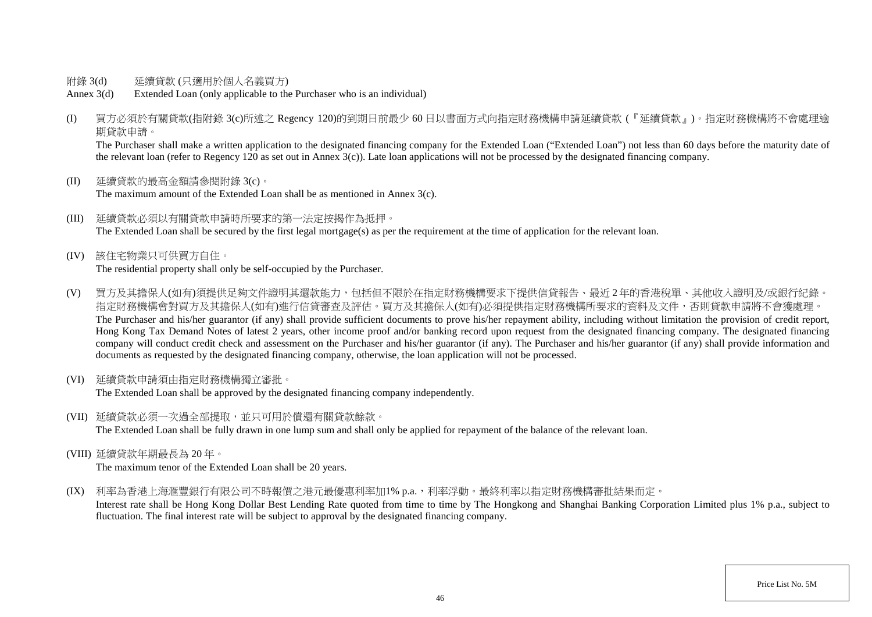- 附錄 3(d) 延續貸款 (只適用於個人名義買方)
- Annex 3(d) Extended Loan (only applicable to the Purchaser who is an individual)
- (I) 買方必須於有關貸款(指附錄 3(c)所述之 Regency 120)的到期日前最少 60 日以書面方式向指定財務機構申請延續貸款 (『延續貸款』)。指定財務機構將不會處理逾 期貸款申請。

The Purchaser shall make a written application to the designated financing company for the Extended Loan ("Extended Loan") not less than 60 days before the maturity date of the relevant loan (refer to Regency 120 as set out in Annex  $3(c)$ ). Late loan applications will not be processed by the designated financing company.

- (II) 延續貸款的最高金額請參閱附錄 3(c)。 The maximum amount of the Extended Loan shall be as mentioned in Annex 3(c).
- (III) 延續貸款必須以有關貸款申請時所要求的第一法定按揭作為抵押。 The Extended Loan shall be secured by the first legal mortgage(s) as per the requirement at the time of application for the relevant loan.
- (IV) 該住宅物業只可供買方自住。 The residential property shall only be self-occupied by the Purchaser.
- (V) 買方及其擔保人(如有)須提供足夠文件證明其還款能力,包括但不限於在指定財務機構要求下提供信貸報告、最近 2 年的香港稅單、其他收入證明及/或銀行紀錄。 指定財務機構會對買方及其擔保人(如有)進行信貸審查及評估。買方及其擔保人(如有)必須提供指定財務機構所要求的資料及文件,否則貸款申請將不會獲處理。 The Purchaser and his/her guarantor (if any) shall provide sufficient documents to prove his/her repayment ability, including without limitation the provision of credit report, Hong Kong Tax Demand Notes of latest 2 years, other income proof and/or banking record upon request from the designated financing company. The designated financing company will conduct credit check and assessment on the Purchaser and his/her guarantor (if any). The Purchaser and his/her guarantor (if any) shall provide information and documents as requested by the designated financing company, otherwise, the loan application will not be processed.
- (VI) 延續貸款申請須由指定財務機構獨立審批。

The Extended Loan shall be approved by the designated financing company independently.

(VII) 延續貸款必須一次過全部提取,並只可用於償還有關貸款餘款。

The Extended Loan shall be fully drawn in one lump sum and shall only be applied for repayment of the balance of the relevant loan.

(VIII) 延續貸款年期最長為 20 年。

The maximum tenor of the Extended Loan shall be 20 years.

(IX) 利率為香港上海滙豐銀行有限公司不時報價之港元最優惠利率加1% p.a., 利率浮動。最終利率以指定財務機構審批結果而定。

Interest rate shall be Hong Kong Dollar Best Lending Rate quoted from time to time by The Hongkong and Shanghai Banking Corporation Limited plus 1% p.a., subject to fluctuation. The final interest rate will be subject to approval by the designated financing company.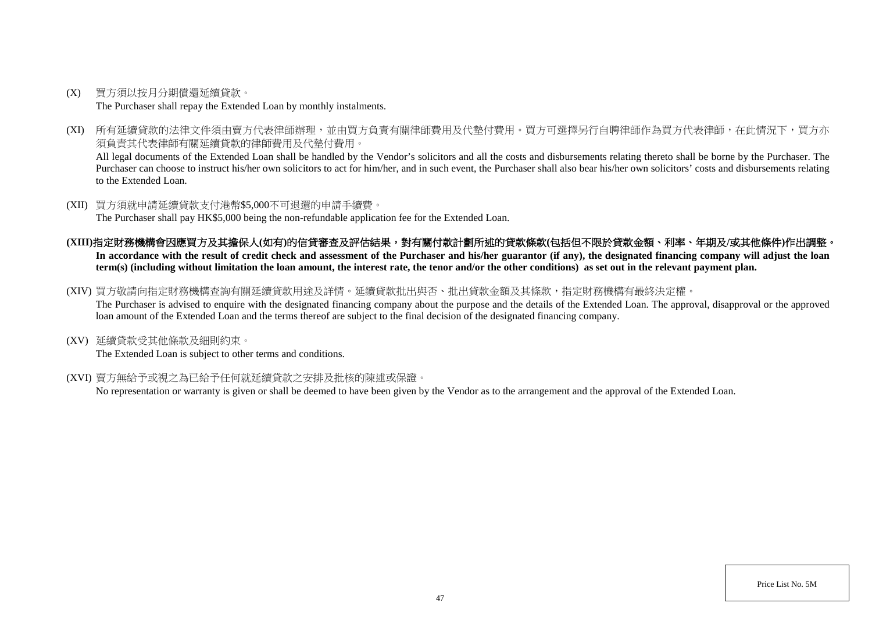- (X) 買方須以按月分期償還延續貸款。 The Purchaser shall repay the Extended Loan by monthly instalments.
- (XI) 所有延續貸款的法律文件須由賣方代表律師辦理,並由買方負責有關律師費用及代墊付費用。買方可選擇另行自聘律師作為買方代表律師,在此情況下,買方亦 須負責其代表律師有關延續貸款的律師費用及代墊付費用。

All legal documents of the Extended Loan shall be handled by the Vendor's solicitors and all the costs and disbursements relating thereto shall be borne by the Purchaser. The Purchaser can choose to instruct his/her own solicitors to act for him/her, and in such event, the Purchaser shall also bear his/her own solicitors' costs and disbursements relating to the Extended Loan.

(XII) 買方須就申請延續貸款支付港幣\$5,000不可退還的申請手續費。

The Purchaser shall pay HK\$5,000 being the non-refundable application fee for the Extended Loan.

- **(XIII)**指定財務機構會因應買方及其擔保人**(**如有**)**的信貸審查及評估結果,對有關付款計劃所述的貸款條款**(**包括但不限於貸款金額、利率、年期及**/**或其他條件**)**作出調整。 In accordance with the result of credit check and assessment of the Purchaser and his/her guarantor (if any), the designated financing company will adjust the loan **term(s) (including without limitation the loan amount, the interest rate, the tenor and/or the other conditions) as set out in the relevant payment plan.**
- (XIV) 買方敬請向指定財務機構查詢有關延續貸款用途及詳情。延續貸款批出與否、批出貸款金額及其條款,指定財務機構有最終決定權。

The Purchaser is advised to enquire with the designated financing company about the purpose and the details of the Extended Loan. The approval, disapproval or the approved loan amount of the Extended Loan and the terms thereof are subject to the final decision of the designated financing company.

(XV) 延續貸款受其他條款及細則約束。

The Extended Loan is subject to other terms and conditions.

(XVI) 賣方無給予或視之為已給予任何就延續貸款之安排及批核的陳述或保證。

No representation or warranty is given or shall be deemed to have been given by the Vendor as to the arrangement and the approval of the Extended Loan.